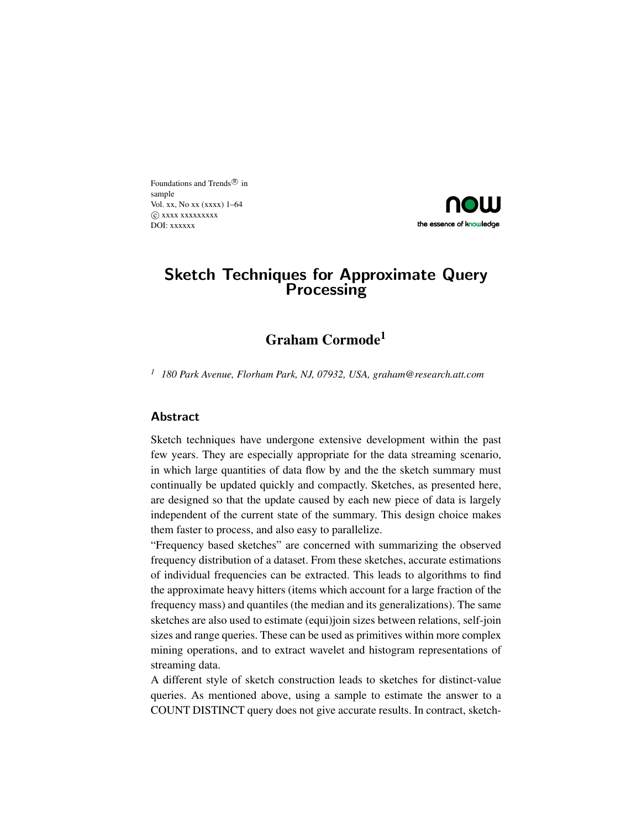Foundations and Trends<sup>®</sup> in sample Vol. xx, No xx (xxxx) 1–64 C xxxx xxxxxxxx DOI: xxxxxx



# Sketch Techniques for Approximate Query **Processing**

# Graham Cormode<sup>1</sup>

*<sup>1</sup> 180 Park Avenue, Florham Park, NJ, 07932, USA, graham@research.att.com*

## Abstract

Sketch techniques have undergone extensive development within the past few years. They are especially appropriate for the data streaming scenario, in which large quantities of data flow by and the the sketch summary must continually be updated quickly and compactly. Sketches, as presented here, are designed so that the update caused by each new piece of data is largely independent of the current state of the summary. This design choice makes them faster to process, and also easy to parallelize.

"Frequency based sketches" are concerned with summarizing the observed frequency distribution of a dataset. From these sketches, accurate estimations of individual frequencies can be extracted. This leads to algorithms to find the approximate heavy hitters (items which account for a large fraction of the frequency mass) and quantiles (the median and its generalizations). The same sketches are also used to estimate (equi)join sizes between relations, self-join sizes and range queries. These can be used as primitives within more complex mining operations, and to extract wavelet and histogram representations of streaming data.

A different style of sketch construction leads to sketches for distinct-value queries. As mentioned above, using a sample to estimate the answer to a COUNT DISTINCT query does not give accurate results. In contract, sketch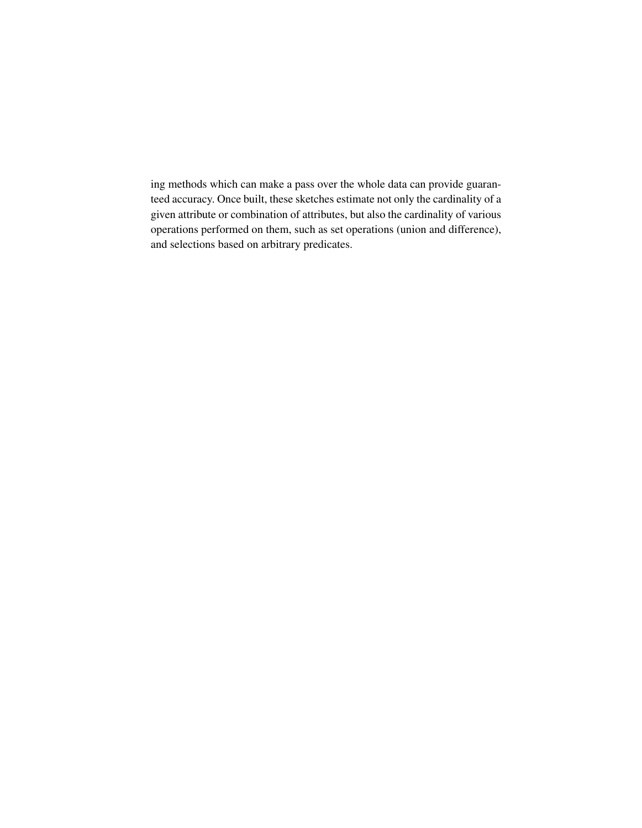ing methods which can make a pass over the whole data can provide guaranteed accuracy. Once built, these sketches estimate not only the cardinality of a given attribute or combination of attributes, but also the cardinality of various operations performed on them, such as set operations (union and difference), and selections based on arbitrary predicates.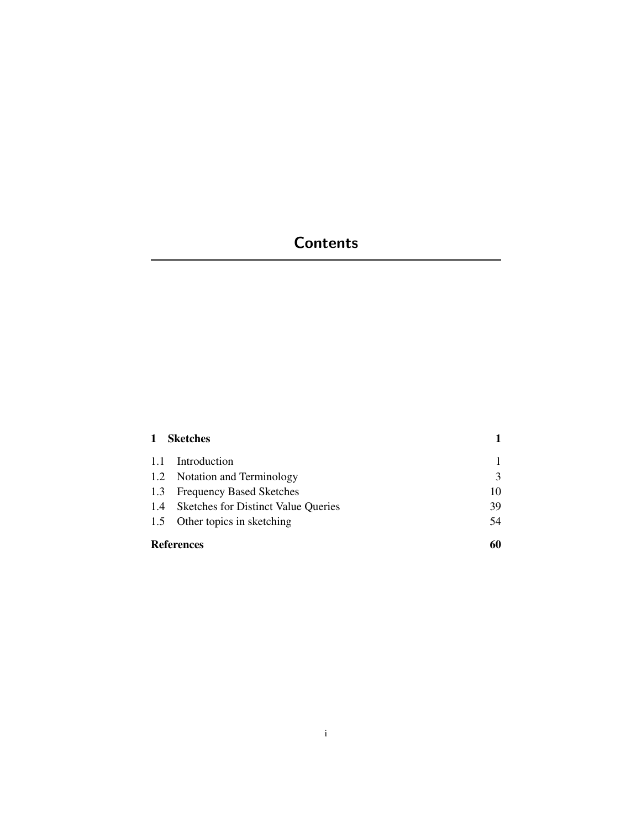# **Contents**

|                   | <b>Sketches</b>                            |    |
|-------------------|--------------------------------------------|----|
| -1.1              | Introduction                               |    |
|                   | 1.2 Notation and Terminology               | 3  |
| 1.3               | <b>Frequency Based Sketches</b>            | 10 |
| 1.4               | <b>Sketches for Distinct Value Queries</b> | 39 |
| 1.5               | Other topics in sketching                  | 54 |
| <b>References</b> |                                            | 60 |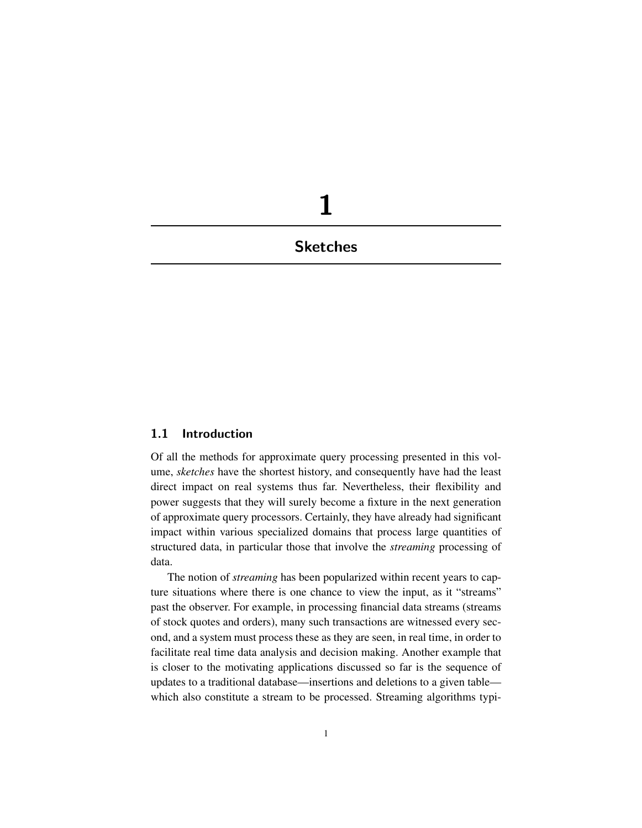# 1

# **Sketches**

## 1.1 Introduction

Of all the methods for approximate query processing presented in this volume, *sketches* have the shortest history, and consequently have had the least direct impact on real systems thus far. Nevertheless, their flexibility and power suggests that they will surely become a fixture in the next generation of approximate query processors. Certainly, they have already had significant impact within various specialized domains that process large quantities of structured data, in particular those that involve the *streaming* processing of data.

The notion of *streaming* has been popularized within recent years to capture situations where there is one chance to view the input, as it "streams" past the observer. For example, in processing financial data streams (streams of stock quotes and orders), many such transactions are witnessed every second, and a system must process these as they are seen, in real time, in order to facilitate real time data analysis and decision making. Another example that is closer to the motivating applications discussed so far is the sequence of updates to a traditional database—insertions and deletions to a given table which also constitute a stream to be processed. Streaming algorithms typi-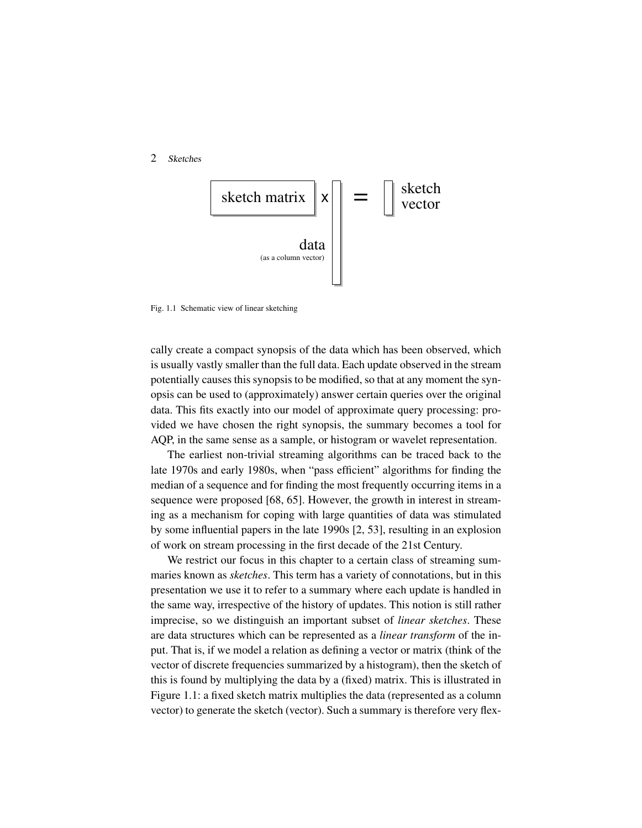

Fig. 1.1 Schematic view of linear sketching

cally create a compact synopsis of the data which has been observed, which is usually vastly smaller than the full data. Each update observed in the stream potentially causes this synopsis to be modified, so that at any moment the synopsis can be used to (approximately) answer certain queries over the original data. This fits exactly into our model of approximate query processing: provided we have chosen the right synopsis, the summary becomes a tool for AQP, in the same sense as a sample, or histogram or wavelet representation.

The earliest non-trivial streaming algorithms can be traced back to the late 1970s and early 1980s, when "pass efficient" algorithms for finding the median of a sequence and for finding the most frequently occurring items in a sequence were proposed [68, 65]. However, the growth in interest in streaming as a mechanism for coping with large quantities of data was stimulated by some influential papers in the late 1990s [2, 53], resulting in an explosion of work on stream processing in the first decade of the 21st Century.

We restrict our focus in this chapter to a certain class of streaming summaries known as *sketches*. This term has a variety of connotations, but in this presentation we use it to refer to a summary where each update is handled in the same way, irrespective of the history of updates. This notion is still rather imprecise, so we distinguish an important subset of *linear sketches*. These are data structures which can be represented as a *linear transform* of the input. That is, if we model a relation as defining a vector or matrix (think of the vector of discrete frequencies summarized by a histogram), then the sketch of this is found by multiplying the data by a (fixed) matrix. This is illustrated in Figure 1.1: a fixed sketch matrix multiplies the data (represented as a column vector) to generate the sketch (vector). Such a summary is therefore very flex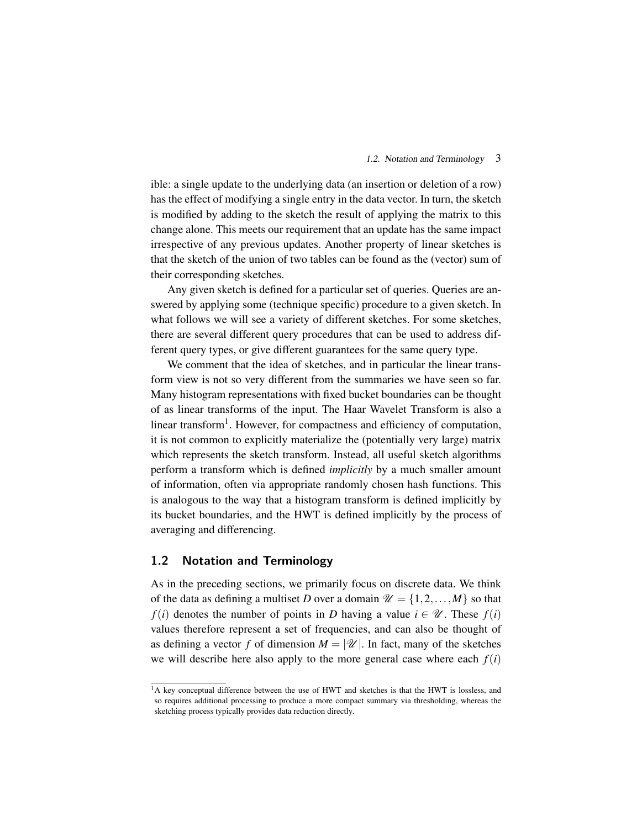ible: a single update to the underlying data (an insertion or deletion of a row) has the effect of modifying a single entry in the data vector. In turn, the sketch is modified by adding to the sketch the result of applying the matrix to this change alone. This meets our requirement that an update has the same impact irrespective of any previous updates. Another property of linear sketches is that the sketch of the union of two tables can be found as the (vector) sum of their corresponding sketches.

Any given sketch is defined for a particular set of queries. Queries are answered by applying some (technique specific) procedure to a given sketch. In what follows we will see a variety of different sketches. For some sketches, there are several different query procedures that can be used to address different query types, or give different guarantees for the same query type.

We comment that the idea of sketches, and in particular the linear transform view is not so very different from the summaries we have seen so far. Many histogram representations with fixed bucket boundaries can be thought of as linear transforms of the input. The Haar Wavelet Transform is also a linear transform<sup>1</sup>. However, for compactness and efficiency of computation, it is not common to explicitly materialize the (potentially very large) matrix which represents the sketch transform. Instead, all useful sketch algorithms perform a transform which is defined *implicitly* by a much smaller amount of information, often via appropriate randomly chosen hash functions. This is analogous to the way that a histogram transform is defined implicitly by its bucket boundaries, and the HWT is defined implicitly by the process of averaging and differencing.

## 1.2 Notation and Terminology

As in the preceding sections, we primarily focus on discrete data. We think of the data as defining a multiset *D* over a domain  $\mathcal{U} = \{1, 2, ..., M\}$  so that *f*(*i*) denotes the number of points in *D* having a value  $i \in \mathcal{U}$ . These *f*(*i*) values therefore represent a set of frequencies, and can also be thought of as defining a vector f of dimension  $M = |\mathcal{U}|$ . In fact, many of the sketches we will describe here also apply to the more general case where each  $f(i)$ 

<sup>&</sup>lt;sup>1</sup>A key conceptual difference between the use of HWT and sketches is that the HWT is lossless, and so requires additional processing to produce a more compact summary via thresholding, whereas the sketching process typically provides data reduction directly.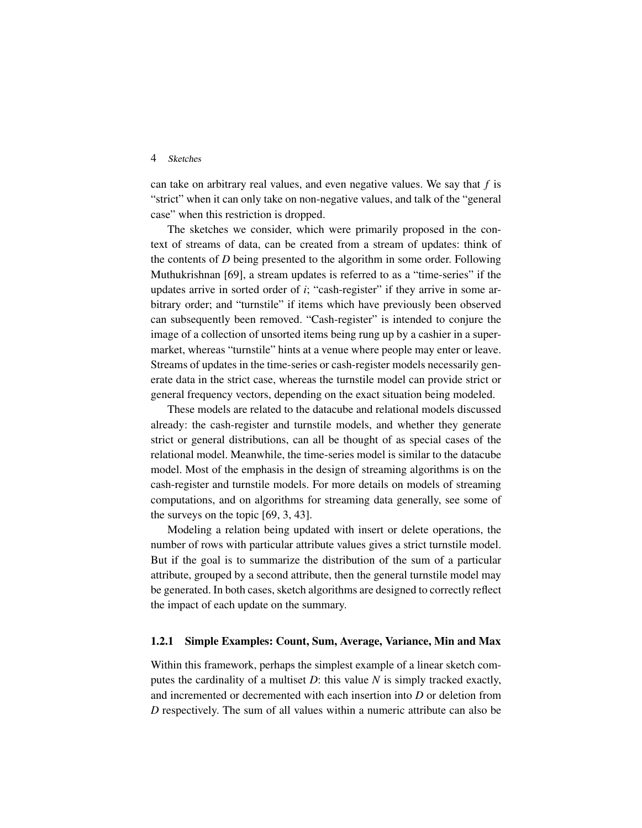can take on arbitrary real values, and even negative values. We say that *f* is "strict" when it can only take on non-negative values, and talk of the "general case" when this restriction is dropped.

The sketches we consider, which were primarily proposed in the context of streams of data, can be created from a stream of updates: think of the contents of *D* being presented to the algorithm in some order. Following Muthukrishnan [69], a stream updates is referred to as a "time-series" if the updates arrive in sorted order of *i*; "cash-register" if they arrive in some arbitrary order; and "turnstile" if items which have previously been observed can subsequently been removed. "Cash-register" is intended to conjure the image of a collection of unsorted items being rung up by a cashier in a supermarket, whereas "turnstile" hints at a venue where people may enter or leave. Streams of updates in the time-series or cash-register models necessarily generate data in the strict case, whereas the turnstile model can provide strict or general frequency vectors, depending on the exact situation being modeled.

These models are related to the datacube and relational models discussed already: the cash-register and turnstile models, and whether they generate strict or general distributions, can all be thought of as special cases of the relational model. Meanwhile, the time-series model is similar to the datacube model. Most of the emphasis in the design of streaming algorithms is on the cash-register and turnstile models. For more details on models of streaming computations, and on algorithms for streaming data generally, see some of the surveys on the topic [69, 3, 43].

Modeling a relation being updated with insert or delete operations, the number of rows with particular attribute values gives a strict turnstile model. But if the goal is to summarize the distribution of the sum of a particular attribute, grouped by a second attribute, then the general turnstile model may be generated. In both cases, sketch algorithms are designed to correctly reflect the impact of each update on the summary.

## 1.2.1 Simple Examples: Count, Sum, Average, Variance, Min and Max

Within this framework, perhaps the simplest example of a linear sketch computes the cardinality of a multiset *D*: this value *N* is simply tracked exactly, and incremented or decremented with each insertion into *D* or deletion from *D* respectively. The sum of all values within a numeric attribute can also be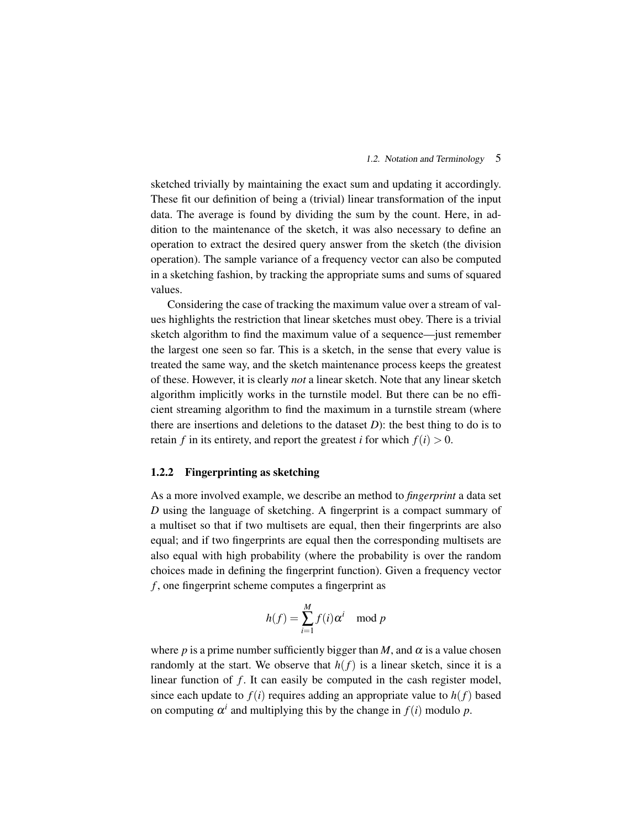sketched trivially by maintaining the exact sum and updating it accordingly. These fit our definition of being a (trivial) linear transformation of the input data. The average is found by dividing the sum by the count. Here, in addition to the maintenance of the sketch, it was also necessary to define an operation to extract the desired query answer from the sketch (the division operation). The sample variance of a frequency vector can also be computed in a sketching fashion, by tracking the appropriate sums and sums of squared values.

Considering the case of tracking the maximum value over a stream of values highlights the restriction that linear sketches must obey. There is a trivial sketch algorithm to find the maximum value of a sequence—just remember the largest one seen so far. This is a sketch, in the sense that every value is treated the same way, and the sketch maintenance process keeps the greatest of these. However, it is clearly *not* a linear sketch. Note that any linear sketch algorithm implicitly works in the turnstile model. But there can be no efficient streaming algorithm to find the maximum in a turnstile stream (where there are insertions and deletions to the dataset *D*): the best thing to do is to retain *f* in its entirety, and report the greatest *i* for which  $f(i) > 0$ .

#### 1.2.2 Fingerprinting as sketching

As a more involved example, we describe an method to *fingerprint* a data set *D* using the language of sketching. A fingerprint is a compact summary of a multiset so that if two multisets are equal, then their fingerprints are also equal; and if two fingerprints are equal then the corresponding multisets are also equal with high probability (where the probability is over the random choices made in defining the fingerprint function). Given a frequency vector *f* , one fingerprint scheme computes a fingerprint as

$$
h(f) = \sum_{i=1}^{M} f(i)\alpha^{i} \mod p
$$

where *p* is a prime number sufficiently bigger than *M*, and  $\alpha$  is a value chosen randomly at the start. We observe that  $h(f)$  is a linear sketch, since it is a linear function of *f*. It can easily be computed in the cash register model, since each update to  $f(i)$  requires adding an appropriate value to  $h(f)$  based on computing  $\alpha^i$  and multiplying this by the change in  $f(i)$  modulo p.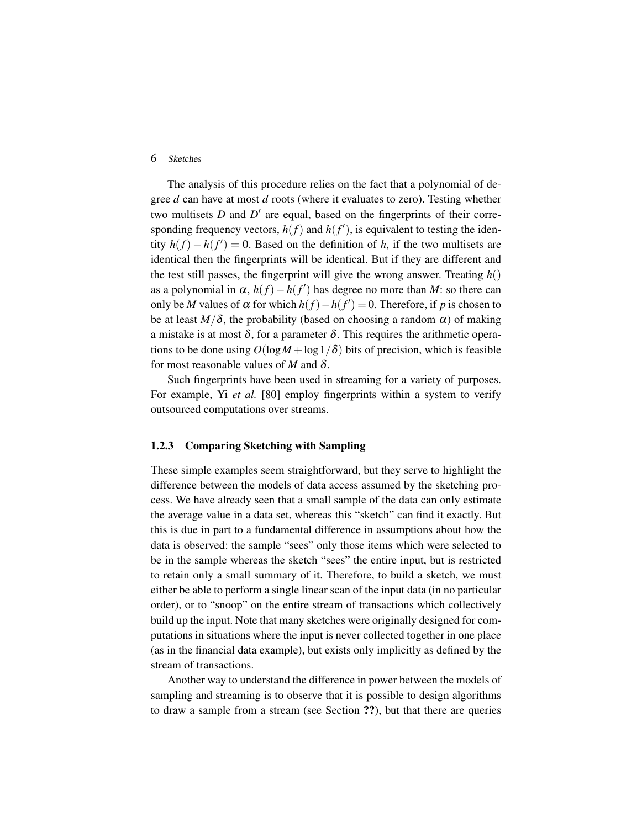The analysis of this procedure relies on the fact that a polynomial of degree *d* can have at most *d* roots (where it evaluates to zero). Testing whether two multisets  $D$  and  $D'$  are equal, based on the fingerprints of their corresponding frequency vectors,  $h(f)$  and  $h(f')$ , is equivalent to testing the identity  $h(f) - h(f') = 0$ . Based on the definition of *h*, if the two multisets are identical then the fingerprints will be identical. But if they are different and the test still passes, the fingerprint will give the wrong answer. Treating *h*() as a polynomial in  $\alpha$ ,  $h(f) - h(f')$  has degree no more than *M*: so there can only be *M* values of  $\alpha$  for which  $h(f) - h(f') = 0$ . Therefore, if *p* is chosen to be at least  $M/\delta$ , the probability (based on choosing a random  $\alpha$ ) of making a mistake is at most  $\delta$ , for a parameter  $\delta$ . This requires the arithmetic operations to be done using  $O(\log M + \log 1/\delta)$  bits of precision, which is feasible for most reasonable values of *M* and  $\delta$ .

Such fingerprints have been used in streaming for a variety of purposes. For example, Yi *et al.* [80] employ fingerprints within a system to verify outsourced computations over streams.

#### 1.2.3 Comparing Sketching with Sampling

These simple examples seem straightforward, but they serve to highlight the difference between the models of data access assumed by the sketching process. We have already seen that a small sample of the data can only estimate the average value in a data set, whereas this "sketch" can find it exactly. But this is due in part to a fundamental difference in assumptions about how the data is observed: the sample "sees" only those items which were selected to be in the sample whereas the sketch "sees" the entire input, but is restricted to retain only a small summary of it. Therefore, to build a sketch, we must either be able to perform a single linear scan of the input data (in no particular order), or to "snoop" on the entire stream of transactions which collectively build up the input. Note that many sketches were originally designed for computations in situations where the input is never collected together in one place (as in the financial data example), but exists only implicitly as defined by the stream of transactions.

Another way to understand the difference in power between the models of sampling and streaming is to observe that it is possible to design algorithms to draw a sample from a stream (see Section ??), but that there are queries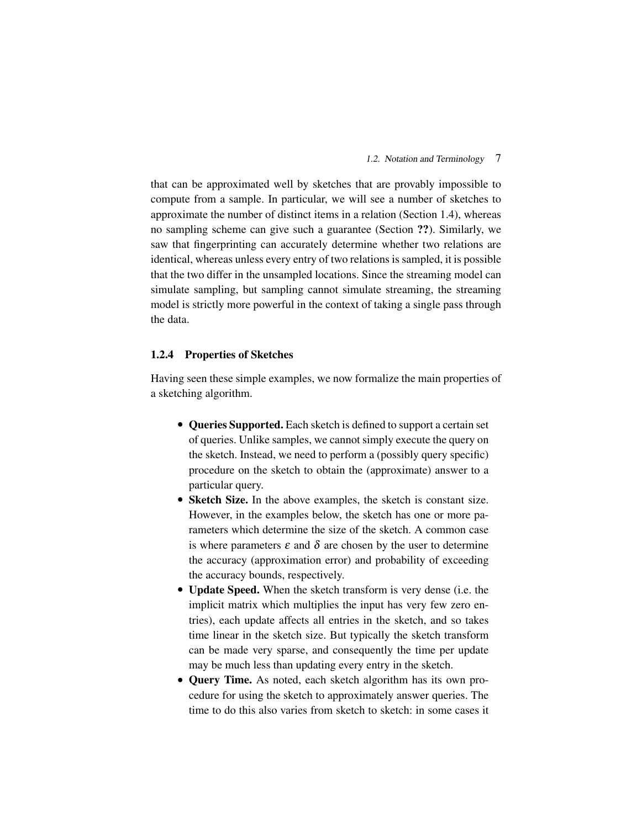that can be approximated well by sketches that are provably impossible to compute from a sample. In particular, we will see a number of sketches to approximate the number of distinct items in a relation (Section 1.4), whereas no sampling scheme can give such a guarantee (Section ??). Similarly, we saw that fingerprinting can accurately determine whether two relations are identical, whereas unless every entry of two relations is sampled, it is possible that the two differ in the unsampled locations. Since the streaming model can simulate sampling, but sampling cannot simulate streaming, the streaming model is strictly more powerful in the context of taking a single pass through the data.

## 1.2.4 Properties of Sketches

Having seen these simple examples, we now formalize the main properties of a sketching algorithm.

- Queries Supported. Each sketch is defined to support a certain set of queries. Unlike samples, we cannot simply execute the query on the sketch. Instead, we need to perform a (possibly query specific) procedure on the sketch to obtain the (approximate) answer to a particular query.
- Sketch Size. In the above examples, the sketch is constant size. However, in the examples below, the sketch has one or more parameters which determine the size of the sketch. A common case is where parameters  $\varepsilon$  and  $\delta$  are chosen by the user to determine the accuracy (approximation error) and probability of exceeding the accuracy bounds, respectively.
- Update Speed. When the sketch transform is very dense (i.e. the implicit matrix which multiplies the input has very few zero entries), each update affects all entries in the sketch, and so takes time linear in the sketch size. But typically the sketch transform can be made very sparse, and consequently the time per update may be much less than updating every entry in the sketch.
- Query Time. As noted, each sketch algorithm has its own procedure for using the sketch to approximately answer queries. The time to do this also varies from sketch to sketch: in some cases it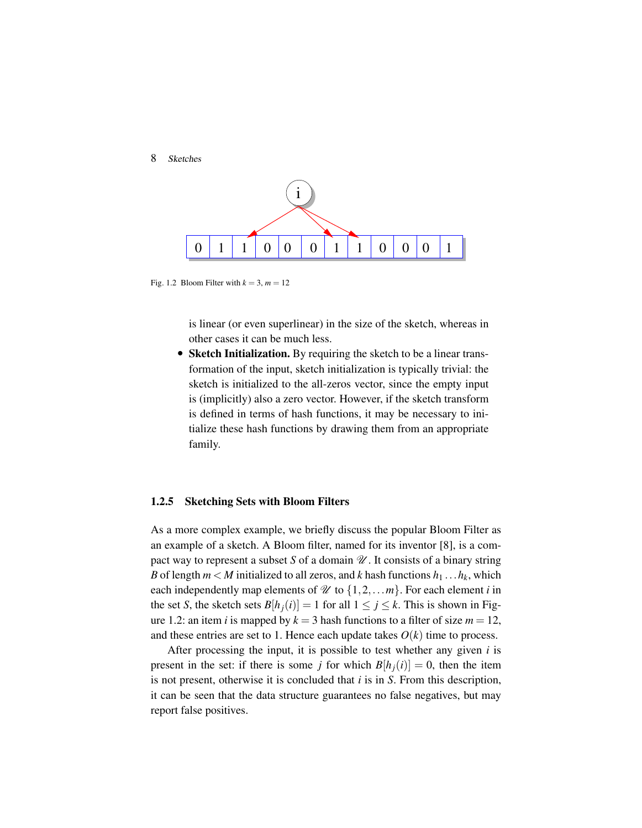

Fig. 1.2 Bloom Filter with  $k = 3$ ,  $m = 12$ 

is linear (or even superlinear) in the size of the sketch, whereas in other cases it can be much less.

• Sketch Initialization. By requiring the sketch to be a linear transformation of the input, sketch initialization is typically trivial: the sketch is initialized to the all-zeros vector, since the empty input is (implicitly) also a zero vector. However, if the sketch transform is defined in terms of hash functions, it may be necessary to initialize these hash functions by drawing them from an appropriate family.

### 1.2.5 Sketching Sets with Bloom Filters

As a more complex example, we briefly discuss the popular Bloom Filter as an example of a sketch. A Bloom filter, named for its inventor [8], is a compact way to represent a subset *S* of a domain  $\mathcal{U}$ . It consists of a binary string *B* of length  $m < M$  initialized to all zeros, and *k* hash functions  $h_1 \nldots h_k$ , which each independently map elements of  $\mathcal U$  to  $\{1,2,\ldots,m\}$ . For each element *i* in the set *S*, the sketch sets  $B[h_i(i)] = 1$  for all  $1 \leq j \leq k$ . This is shown in Figure 1.2: an item *i* is mapped by  $k = 3$  hash functions to a filter of size  $m = 12$ , and these entries are set to 1. Hence each update takes  $O(k)$  time to process.

After processing the input, it is possible to test whether any given *i* is present in the set: if there is some *j* for which  $B[h_i(i)] = 0$ , then the item is not present, otherwise it is concluded that *i* is in *S*. From this description, it can be seen that the data structure guarantees no false negatives, but may report false positives.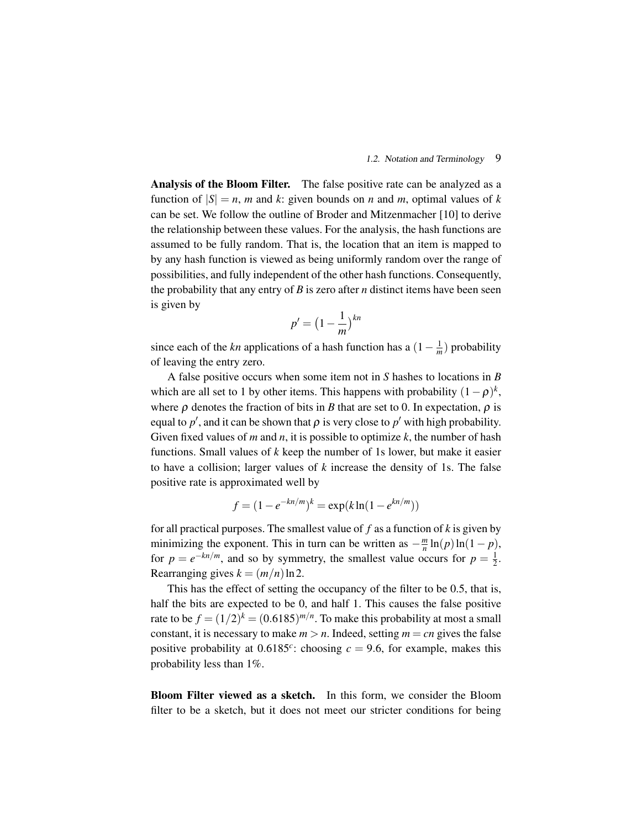Analysis of the Bloom Filter. The false positive rate can be analyzed as a function of  $|S| = n$ , *m* and *k*: given bounds on *n* and *m*, optimal values of *k* can be set. We follow the outline of Broder and Mitzenmacher [10] to derive the relationship between these values. For the analysis, the hash functions are assumed to be fully random. That is, the location that an item is mapped to by any hash function is viewed as being uniformly random over the range of possibilities, and fully independent of the other hash functions. Consequently, the probability that any entry of *B* is zero after *n* distinct items have been seen is given by

$$
p' = \left(1 - \frac{1}{m}\right)^{kn}
$$

since each of the *kn* applications of a hash function has a  $(1 - \frac{1}{m})$  probability of leaving the entry zero.

A false positive occurs when some item not in *S* hashes to locations in *B* which are all set to 1 by other items. This happens with probability  $(1 - \rho)^k$ , where  $\rho$  denotes the fraction of bits in *B* that are set to 0. In expectation,  $\rho$  is equal to  $p'$ , and it can be shown that  $\rho$  is very close to  $p'$  with high probability. Given fixed values of *m* and *n*, it is possible to optimize *k*, the number of hash functions. Small values of *k* keep the number of 1s lower, but make it easier to have a collision; larger values of *k* increase the density of 1s. The false positive rate is approximated well by

$$
f = (1 - e^{-kn/m})^k = \exp(k \ln(1 - e^{kn/m}))
$$

for all practical purposes. The smallest value of *f* as a function of *k* is given by minimizing the exponent. This in turn can be written as  $-\frac{m}{n}$  $\frac{m}{n}\ln(p)\ln(1-p),$ for  $p = e^{-kn/m}$ , and so by symmetry, the smallest value occurs for  $p = \frac{1}{2}$  $rac{1}{2}$ . Rearranging gives  $k = (m/n) \ln 2$ .

This has the effect of setting the occupancy of the filter to be 0.5, that is, half the bits are expected to be 0, and half 1. This causes the false positive rate to be  $f = (1/2)^k = (0.6185)^{m/n}$ . To make this probability at most a small constant, it is necessary to make  $m > n$ . Indeed, setting  $m = cn$  gives the false positive probability at  $0.6185^c$ : choosing  $c = 9.6$ , for example, makes this probability less than 1%.

Bloom Filter viewed as a sketch. In this form, we consider the Bloom filter to be a sketch, but it does not meet our stricter conditions for being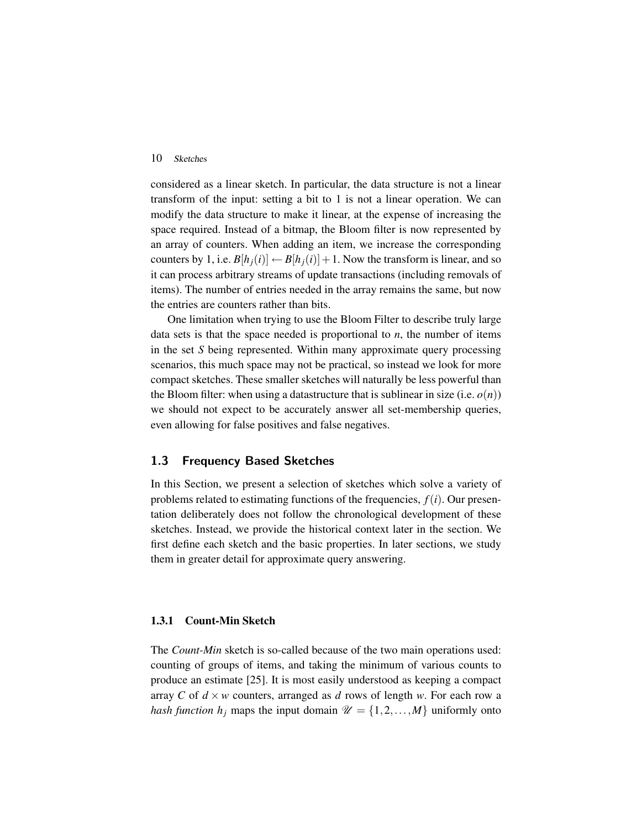considered as a linear sketch. In particular, the data structure is not a linear transform of the input: setting a bit to 1 is not a linear operation. We can modify the data structure to make it linear, at the expense of increasing the space required. Instead of a bitmap, the Bloom filter is now represented by an array of counters. When adding an item, we increase the corresponding counters by 1, i.e.  $B[h_i(i)] \leftarrow B[h_i(i)] + 1$ . Now the transform is linear, and so it can process arbitrary streams of update transactions (including removals of items). The number of entries needed in the array remains the same, but now the entries are counters rather than bits.

One limitation when trying to use the Bloom Filter to describe truly large data sets is that the space needed is proportional to *n*, the number of items in the set *S* being represented. Within many approximate query processing scenarios, this much space may not be practical, so instead we look for more compact sketches. These smaller sketches will naturally be less powerful than the Bloom filter: when using a datastructure that is sublinear in size (i.e.  $o(n)$ ) we should not expect to be accurately answer all set-membership queries, even allowing for false positives and false negatives.

## 1.3 Frequency Based Sketches

In this Section, we present a selection of sketches which solve a variety of problems related to estimating functions of the frequencies,  $f(i)$ . Our presentation deliberately does not follow the chronological development of these sketches. Instead, we provide the historical context later in the section. We first define each sketch and the basic properties. In later sections, we study them in greater detail for approximate query answering.

## 1.3.1 Count-Min Sketch

The *Count-Min* sketch is so-called because of the two main operations used: counting of groups of items, and taking the minimum of various counts to produce an estimate [25]. It is most easily understood as keeping a compact array *C* of  $d \times w$  counters, arranged as  $d$  rows of length  $w$ . For each row a *hash function h<sub>i</sub>* maps the input domain  $\mathcal{U} = \{1, 2, ..., M\}$  uniformly onto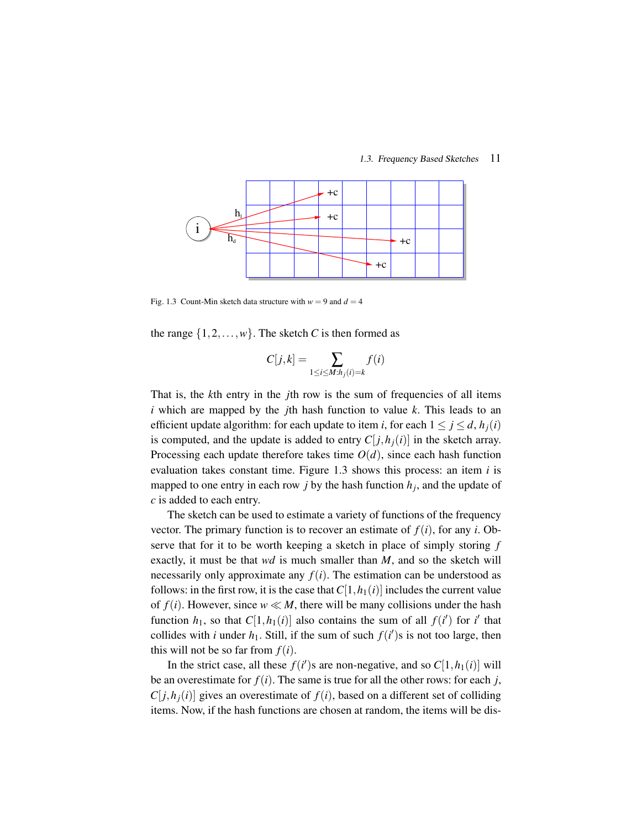#### 1.3. Frequency Based Sketches 11



Fig. 1.3 Count-Min sketch data structure with  $w = 9$  and  $d = 4$ 

the range  $\{1,2,\ldots,w\}$ . The sketch *C* is then formed as

$$
C[j,k] = \sum_{1 \le i \le M: h_j(i) = k} f(i)
$$

That is, the *k*th entry in the *j*th row is the sum of frequencies of all items *i* which are mapped by the *j*th hash function to value *k*. This leads to an efficient update algorithm: for each update to item *i*, for each  $1 \leq j \leq d$ ,  $h_i(i)$ is computed, and the update is added to entry  $C[i, h_i(i)]$  in the sketch array. Processing each update therefore takes time  $O(d)$ , since each hash function evaluation takes constant time. Figure 1.3 shows this process: an item *i* is mapped to one entry in each row  $j$  by the hash function  $h_j$ , and the update of *c* is added to each entry.

The sketch can be used to estimate a variety of functions of the frequency vector. The primary function is to recover an estimate of  $f(i)$ , for any *i*. Observe that for it to be worth keeping a sketch in place of simply storing *f* exactly, it must be that *wd* is much smaller than *M*, and so the sketch will necessarily only approximate any  $f(i)$ . The estimation can be understood as follows: in the first row, it is the case that  $C[1,h_1(i)]$  includes the current value of  $f(i)$ . However, since  $w \ll M$ , there will be many collisions under the hash function  $h_1$ , so that  $C[1, h_1(i)]$  also contains the sum of all  $f(i')$  for *i*' that collides with *i* under  $h_1$ . Still, if the sum of such  $f(i')$ s is not too large, then this will not be so far from  $f(i)$ .

In the strict case, all these  $f(i')$ s are non-negative, and so  $C[1, h_1(i)]$  will be an overestimate for  $f(i)$ . The same is true for all the other rows: for each *j*,  $C[j, h_j(i)]$  gives an overestimate of  $f(i)$ , based on a different set of colliding items. Now, if the hash functions are chosen at random, the items will be dis-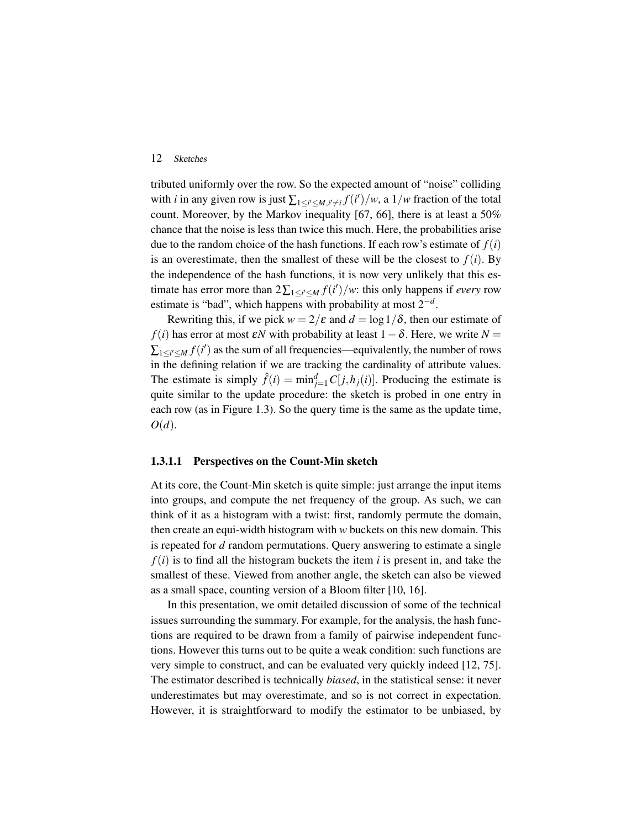tributed uniformly over the row. So the expected amount of "noise" colliding with *i* in any given row is just  $\sum_{1 \le i' \le M, i' \ne i} f(i')/w$ , a  $1/w$  fraction of the total count. Moreover, by the Markov inequality [67, 66], there is at least a 50% chance that the noise is less than twice this much. Here, the probabilities arise due to the random choice of the hash functions. If each row's estimate of  $f(i)$ is an overestimate, then the smallest of these will be the closest to  $f(i)$ . By the independence of the hash functions, it is now very unlikely that this estimate has error more than  $2\sum_{1 \le i' \le M} f(i')/w$ : this only happens if *every* row estimate is "bad", which happens with probability at most 2−*<sup>d</sup>* .

Rewriting this, if we pick  $w = 2/\varepsilon$  and  $d = \log 1/\delta$ , then our estimate of *f*(*i*) has error at most  $\epsilon N$  with probability at least  $1 - \delta$ . Here, we write  $N =$  $\sum_{1 \le i' \le M} f(i')$  as the sum of all frequencies—equivalently, the number of rows in the defining relation if we are tracking the cardinality of attribute values. The estimate is simply  $\hat{f}(i) = \min_{j=1}^{d} C[j, h_j(i)]$ . Producing the estimate is quite similar to the update procedure: the sketch is probed in one entry in each row (as in Figure 1.3). So the query time is the same as the update time, *O*(*d*).

#### 1.3.1.1 Perspectives on the Count-Min sketch

At its core, the Count-Min sketch is quite simple: just arrange the input items into groups, and compute the net frequency of the group. As such, we can think of it as a histogram with a twist: first, randomly permute the domain, then create an equi-width histogram with *w* buckets on this new domain. This is repeated for *d* random permutations. Query answering to estimate a single  $f(i)$  is to find all the histogram buckets the item *i* is present in, and take the smallest of these. Viewed from another angle, the sketch can also be viewed as a small space, counting version of a Bloom filter [10, 16].

In this presentation, we omit detailed discussion of some of the technical issues surrounding the summary. For example, for the analysis, the hash functions are required to be drawn from a family of pairwise independent functions. However this turns out to be quite a weak condition: such functions are very simple to construct, and can be evaluated very quickly indeed [12, 75]. The estimator described is technically *biased*, in the statistical sense: it never underestimates but may overestimate, and so is not correct in expectation. However, it is straightforward to modify the estimator to be unbiased, by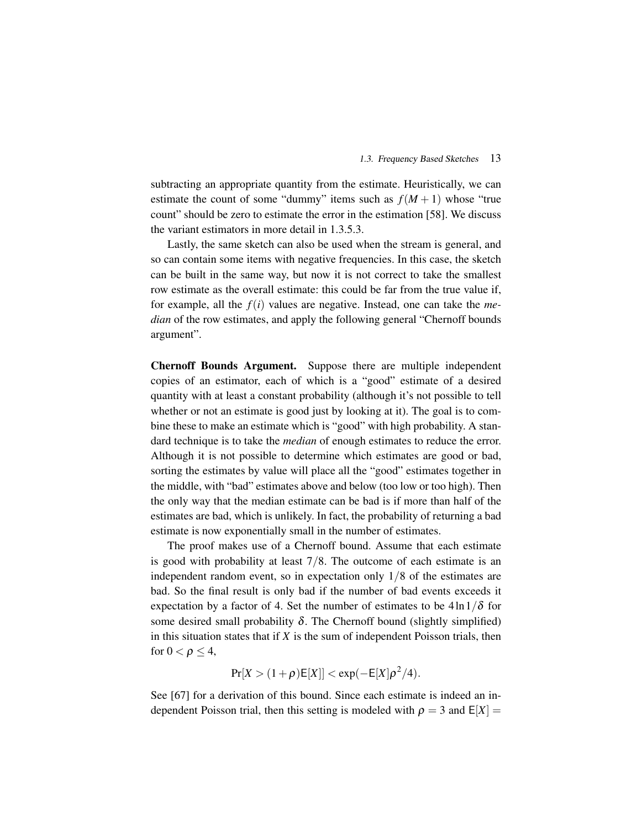subtracting an appropriate quantity from the estimate. Heuristically, we can estimate the count of some "dummy" items such as  $f(M + 1)$  whose "true" count" should be zero to estimate the error in the estimation [58]. We discuss the variant estimators in more detail in 1.3.5.3.

Lastly, the same sketch can also be used when the stream is general, and so can contain some items with negative frequencies. In this case, the sketch can be built in the same way, but now it is not correct to take the smallest row estimate as the overall estimate: this could be far from the true value if, for example, all the  $f(i)$  values are negative. Instead, one can take the *median* of the row estimates, and apply the following general "Chernoff bounds argument".

Chernoff Bounds Argument. Suppose there are multiple independent copies of an estimator, each of which is a "good" estimate of a desired quantity with at least a constant probability (although it's not possible to tell whether or not an estimate is good just by looking at it). The goal is to combine these to make an estimate which is "good" with high probability. A standard technique is to take the *median* of enough estimates to reduce the error. Although it is not possible to determine which estimates are good or bad, sorting the estimates by value will place all the "good" estimates together in the middle, with "bad" estimates above and below (too low or too high). Then the only way that the median estimate can be bad is if more than half of the estimates are bad, which is unlikely. In fact, the probability of returning a bad estimate is now exponentially small in the number of estimates.

The proof makes use of a Chernoff bound. Assume that each estimate is good with probability at least 7/8. The outcome of each estimate is an independent random event, so in expectation only 1/8 of the estimates are bad. So the final result is only bad if the number of bad events exceeds it expectation by a factor of 4. Set the number of estimates to be  $4\ln 1/\delta$  for some desired small probability  $\delta$ . The Chernoff bound (slightly simplified) in this situation states that if  $X$  is the sum of independent Poisson trials, then for  $0 < \rho \leq 4$ ,

$$
Pr[X > (1+\rho)E[X]] < exp(-E[X]\rho^2/4).
$$

See [67] for a derivation of this bound. Since each estimate is indeed an independent Poisson trial, then this setting is modeled with  $\rho = 3$  and  $E[X] =$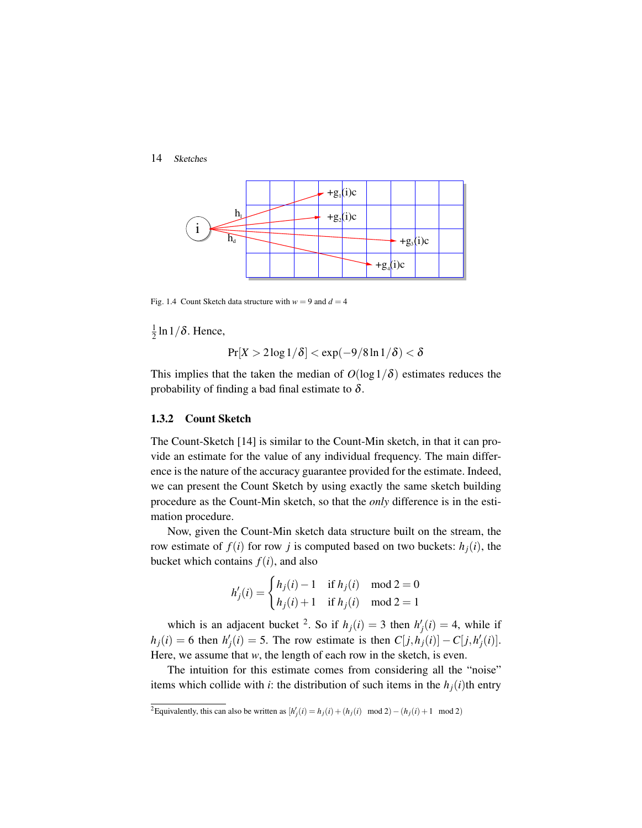

Fig. 1.4 Count Sketch data structure with  $w = 9$  and  $d = 4$ 

1  $\frac{1}{2} \ln 1/\delta$ . Hence,

$$
Pr[X > 2\log 1/\delta] < exp(-9/8\ln 1/\delta) < \delta
$$

This implies that the taken the median of  $O(\log 1/\delta)$  estimates reduces the probability of finding a bad final estimate to  $\delta$ .

## 1.3.2 Count Sketch

The Count-Sketch [14] is similar to the Count-Min sketch, in that it can provide an estimate for the value of any individual frequency. The main difference is the nature of the accuracy guarantee provided for the estimate. Indeed, we can present the Count Sketch by using exactly the same sketch building procedure as the Count-Min sketch, so that the *only* difference is in the estimation procedure.

Now, given the Count-Min sketch data structure built on the stream, the row estimate of  $f(i)$  for row *j* is computed based on two buckets:  $h_i(i)$ , the bucket which contains  $f(i)$ , and also

$$
h'_j(i) = \begin{cases} h_j(i) - 1 & \text{if } h_j(i) \mod 2 = 0 \\ h_j(i) + 1 & \text{if } h_j(i) \mod 2 = 1 \end{cases}
$$

which is an adjacent bucket <sup>2</sup>. So if  $h_j(i) = 3$  then  $h'_j(i) = 4$ , while if  $h_j(i) = 6$  then  $h'_j(i) = 5$ . The row estimate is then  $C[j, h_j(i)] - C[j, h'_j(i)]$ . Here, we assume that *w*, the length of each row in the sketch, is even.

The intuition for this estimate comes from considering all the "noise" items which collide with *i*: the distribution of such items in the  $h_i(i)$ th entry

<sup>&</sup>lt;sup>2</sup>Equivalently, this can also be written as  $[h'_j(i) = h_j(i) + (h_j(i) \mod 2) - (h_j(i) + 1 \mod 2)$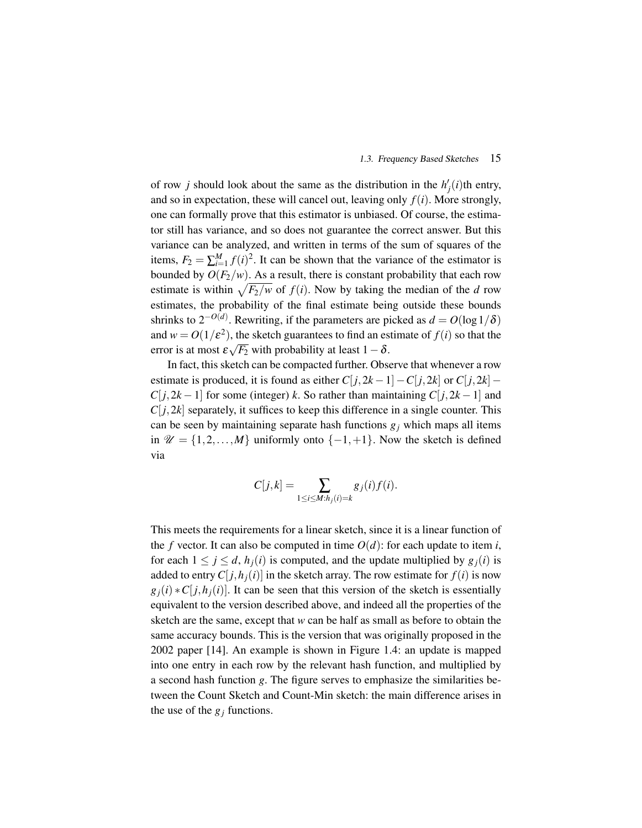of row *j* should look about the same as the distribution in the  $h'_{j}(i)$ th entry, and so in expectation, these will cancel out, leaving only  $f(i)$ . More strongly, one can formally prove that this estimator is unbiased. Of course, the estimator still has variance, and so does not guarantee the correct answer. But this variance can be analyzed, and written in terms of the sum of squares of the items,  $F_2 = \sum_{i=1}^{M} f(i)^2$ . It can be shown that the variance of the estimator is bounded by  $O(F_2/w)$ . As a result, there is constant probability that each row estimate is within  $\sqrt{F_2/w}$  of  $f(i)$ . Now by taking the median of the *d* row estimates, the probability of the final estimate being outside these bounds shrinks to 2−*O*(*d*) . Rewriting, if the parameters are picked as *d* = *O*(log 1/δ) and  $w = O(1/\varepsilon^2)$ , the sketch guarantees to find an estimate of  $f(i)$  so that the error is at most  $\varepsilon \sqrt{F_2}$  with probability at least  $1-\delta$ .

In fact, this sketch can be compacted further. Observe that whenever a row estimate is produced, it is found as either  $C[j, 2k-1]-C[j, 2k]$  or  $C[j, 2k]-$ *C*[ $j$ ,2 $k$  − 1] for some (integer)  $k$ . So rather than maintaining  $C[i, 2k - 1]$  and  $C[j, 2k]$  separately, it suffices to keep this difference in a single counter. This can be seen by maintaining separate hash functions  $g_j$  which maps all items in  $\mathcal{U} = \{1, 2, ..., M\}$  uniformly onto  $\{-1, +1\}$ . Now the sketch is defined via

$$
C[j,k] = \sum_{1 \leq i \leq M: h_j(i) = k} g_j(i) f(i).
$$

This meets the requirements for a linear sketch, since it is a linear function of the *f* vector. It can also be computed in time  $O(d)$ : for each update to item *i*, for each  $1 \leq j \leq d$ ,  $h_i(i)$  is computed, and the update multiplied by  $g_i(i)$  is added to entry  $C[j, h_i(i)]$  in the sketch array. The row estimate for  $f(i)$  is now  $g_i(i) * C[j, h_i(i)]$ . It can be seen that this version of the sketch is essentially equivalent to the version described above, and indeed all the properties of the sketch are the same, except that *w* can be half as small as before to obtain the same accuracy bounds. This is the version that was originally proposed in the 2002 paper [14]. An example is shown in Figure 1.4: an update is mapped into one entry in each row by the relevant hash function, and multiplied by a second hash function *g*. The figure serves to emphasize the similarities between the Count Sketch and Count-Min sketch: the main difference arises in the use of the  $g_j$  functions.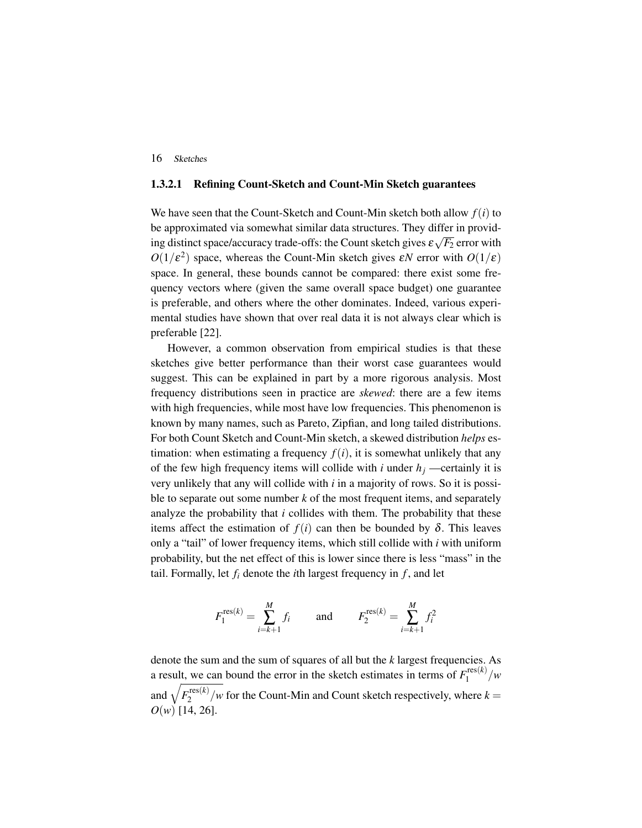#### 1.3.2.1 Refining Count-Sketch and Count-Min Sketch guarantees

We have seen that the Count-Sketch and Count-Min sketch both allow *f*(*i*) to be approximated via somewhat similar data structures. They differ in provid-<br> $\sqrt{\frac{1}{n}}$ ing distinct space/accuracy trade-offs: the Count sketch gives  $\varepsilon\sqrt{F_2}$  error with  $O(1/\varepsilon^2)$  space, whereas the Count-Min sketch gives  $\varepsilon N$  error with  $O(1/\varepsilon)$ space. In general, these bounds cannot be compared: there exist some frequency vectors where (given the same overall space budget) one guarantee is preferable, and others where the other dominates. Indeed, various experimental studies have shown that over real data it is not always clear which is preferable [22].

However, a common observation from empirical studies is that these sketches give better performance than their worst case guarantees would suggest. This can be explained in part by a more rigorous analysis. Most frequency distributions seen in practice are *skewed*: there are a few items with high frequencies, while most have low frequencies. This phenomenon is known by many names, such as Pareto, Zipfian, and long tailed distributions. For both Count Sketch and Count-Min sketch, a skewed distribution *helps* estimation: when estimating a frequency  $f(i)$ , it is somewhat unlikely that any of the few high frequency items will collide with *i* under  $h_j$  —certainly it is very unlikely that any will collide with *i* in a majority of rows. So it is possible to separate out some number *k* of the most frequent items, and separately analyze the probability that *i* collides with them. The probability that these items affect the estimation of  $f(i)$  can then be bounded by  $\delta$ . This leaves only a "tail" of lower frequency items, which still collide with *i* with uniform probability, but the net effect of this is lower since there is less "mass" in the tail. Formally, let  $f_i$  denote the *i*th largest frequency in  $f$ , and let

$$
F_1^{\text{res}(k)} = \sum_{i=k+1}^{M} f_i \quad \text{and} \quad F_2^{\text{res}(k)} = \sum_{i=k+1}^{M} f_i^2
$$

denote the sum and the sum of squares of all but the *k* largest frequencies. As a result, we can bound the error in the sketch estimates in terms of  $F_1^{\text{res}(k)}$  $\int_1^{\text{res}(\kappa)} / w$ and  $\sqrt{F_2^{\text{res}(k)}}$  $\frac{2^{Res(K)}}{2}$  w for the Count-Min and Count sketch respectively, where  $k =$  $O(w)$  [14, 26].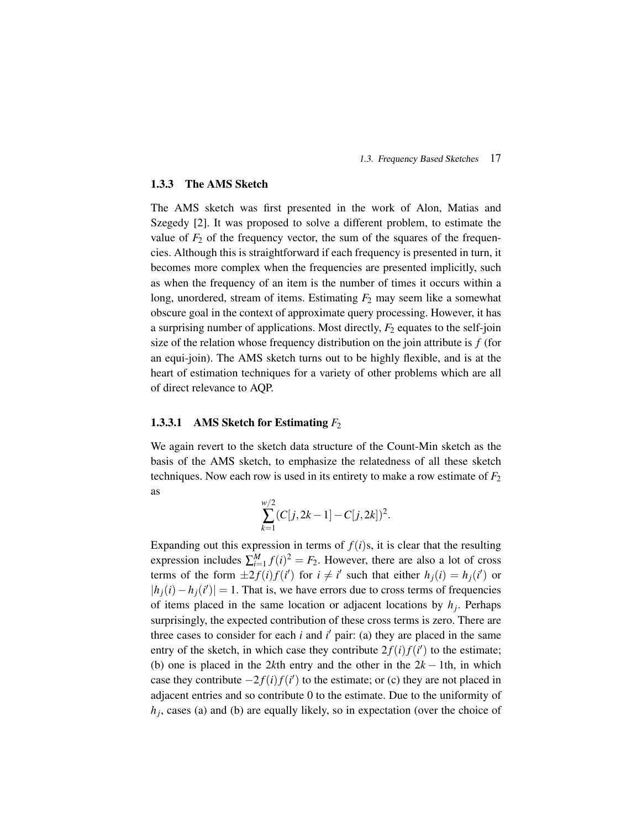## 1.3.3 The AMS Sketch

The AMS sketch was first presented in the work of Alon, Matias and Szegedy [2]. It was proposed to solve a different problem, to estimate the value of  $F_2$  of the frequency vector, the sum of the squares of the frequencies. Although this is straightforward if each frequency is presented in turn, it becomes more complex when the frequencies are presented implicitly, such as when the frequency of an item is the number of times it occurs within a long, unordered, stream of items. Estimating  $F_2$  may seem like a somewhat obscure goal in the context of approximate query processing. However, it has a surprising number of applications. Most directly,  $F_2$  equates to the self-join size of the relation whose frequency distribution on the join attribute is *f* (for an equi-join). The AMS sketch turns out to be highly flexible, and is at the heart of estimation techniques for a variety of other problems which are all of direct relevance to AQP.

## 1.3.3.1 AMS Sketch for Estimating *F*<sup>2</sup>

We again revert to the sketch data structure of the Count-Min sketch as the basis of the AMS sketch, to emphasize the relatedness of all these sketch techniques. Now each row is used in its entirety to make a row estimate of  $F_2$ as

$$
\sum_{k=1}^{w/2} (C[j, 2k-1] - C[j, 2k])^2.
$$

Expanding out this expression in terms of  $f(i)$ s, it is clear that the resulting expression includes  $\sum_{i=1}^{M} f(i)^2 = F_2$ . However, there are also a lot of cross terms of the form  $\pm 2f(i)f(i')$  for  $i \neq i'$  such that either  $h_j(i) = h_j(i')$  or  $|h_j(i) - h_j(i')| = 1$ . That is, we have errors due to cross terms of frequencies of items placed in the same location or adjacent locations by *h<sup>j</sup>* . Perhaps surprisingly, the expected contribution of these cross terms is zero. There are three cases to consider for each  $i$  and  $i'$  pair: (a) they are placed in the same entry of the sketch, in which case they contribute  $2f(i)f(i')$  to the estimate; (b) one is placed in the 2*k*th entry and the other in the  $2k - 1$ th, in which case they contribute  $-2f(i)f(i')$  to the estimate; or (c) they are not placed in adjacent entries and so contribute 0 to the estimate. Due to the uniformity of *hj* , cases (a) and (b) are equally likely, so in expectation (over the choice of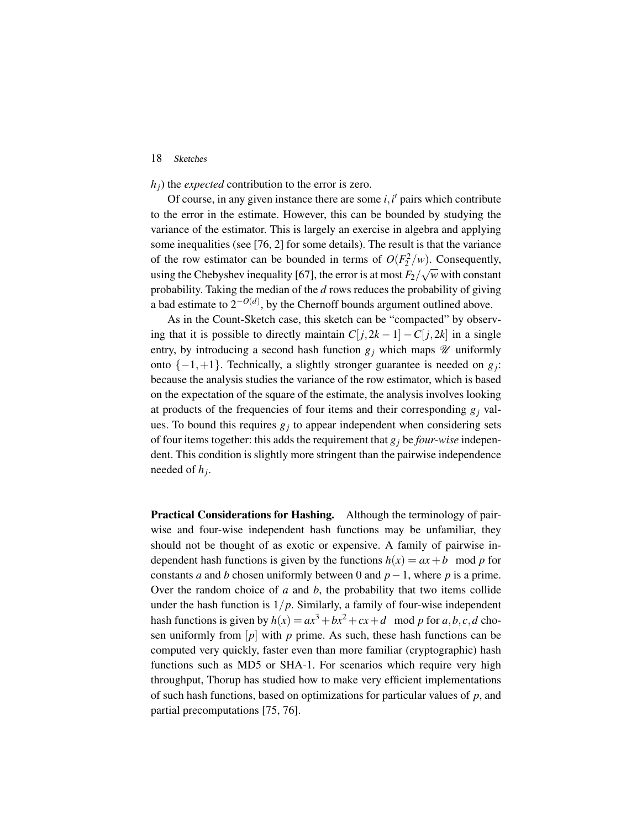*hj*) the *expected* contribution to the error is zero.

Of course, in any given instance there are some  $i$ ,  $i'$  pairs which contribute to the error in the estimate. However, this can be bounded by studying the variance of the estimator. This is largely an exercise in algebra and applying some inequalities (see [76, 2] for some details). The result is that the variance of the row estimator can be bounded in terms of  $O(F_2^2/w)$ . Consequently, using the Chebyshev inequality [67], the error is at most  $F_2/\sqrt{w}$  with constant probability. Taking the median of the *d* rows reduces the probability of giving a bad estimate to 2−*O*(*d*) , by the Chernoff bounds argument outlined above.

As in the Count-Sketch case, this sketch can be "compacted" by observing that it is possible to directly maintain  $C[i,2k-1]-C[i,2k]$  in a single entry, by introducing a second hash function  $g_j$  which maps  $\mathscr U$  uniformly onto {−1,+1}. Technically, a slightly stronger guarantee is needed on *g<sup>j</sup>* : because the analysis studies the variance of the row estimator, which is based on the expectation of the square of the estimate, the analysis involves looking at products of the frequencies of four items and their corresponding  $g_j$  values. To bound this requires  $g_j$  to appear independent when considering sets of four items together: this adds the requirement that *g<sup>j</sup>* be *four-wise* independent. This condition is slightly more stringent than the pairwise independence needed of *h<sup>j</sup>* .

Practical Considerations for Hashing. Although the terminology of pairwise and four-wise independent hash functions may be unfamiliar, they should not be thought of as exotic or expensive. A family of pairwise independent hash functions is given by the functions  $h(x) = ax + b \mod p$  for constants *a* and *b* chosen uniformly between 0 and  $p-1$ , where *p* is a prime. Over the random choice of *a* and *b*, the probability that two items collide under the hash function is  $1/p$ . Similarly, a family of four-wise independent hash functions is given by  $h(x) = ax^3 + bx^2 + cx + d \mod p$  for  $a, b, c, d$  chosen uniformly from  $[p]$  with  $p$  prime. As such, these hash functions can be computed very quickly, faster even than more familiar (cryptographic) hash functions such as MD5 or SHA-1. For scenarios which require very high throughput, Thorup has studied how to make very efficient implementations of such hash functions, based on optimizations for particular values of *p*, and partial precomputations [75, 76].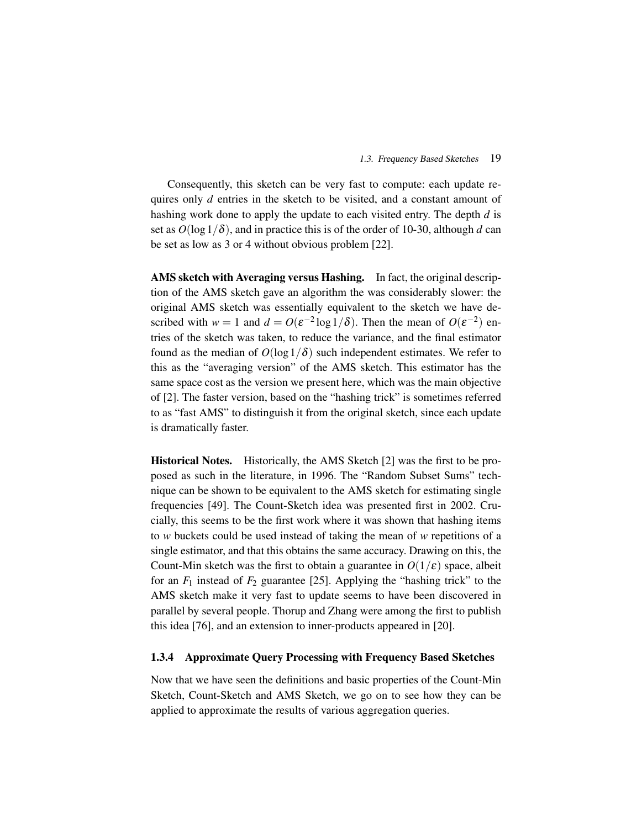Consequently, this sketch can be very fast to compute: each update requires only *d* entries in the sketch to be visited, and a constant amount of hashing work done to apply the update to each visited entry. The depth *d* is set as  $O(\log 1/\delta)$ , and in practice this is of the order of 10-30, although *d* can be set as low as 3 or 4 without obvious problem [22].

AMS sketch with Averaging versus Hashing. In fact, the original description of the AMS sketch gave an algorithm the was considerably slower: the original AMS sketch was essentially equivalent to the sketch we have described with  $w = 1$  and  $d = O(\varepsilon^{-2} \log 1/\delta)$ . Then the mean of  $O(\varepsilon^{-2})$  entries of the sketch was taken, to reduce the variance, and the final estimator found as the median of  $O(\log 1/\delta)$  such independent estimates. We refer to this as the "averaging version" of the AMS sketch. This estimator has the same space cost as the version we present here, which was the main objective of [2]. The faster version, based on the "hashing trick" is sometimes referred to as "fast AMS" to distinguish it from the original sketch, since each update is dramatically faster.

Historical Notes. Historically, the AMS Sketch [2] was the first to be proposed as such in the literature, in 1996. The "Random Subset Sums" technique can be shown to be equivalent to the AMS sketch for estimating single frequencies [49]. The Count-Sketch idea was presented first in 2002. Crucially, this seems to be the first work where it was shown that hashing items to *w* buckets could be used instead of taking the mean of *w* repetitions of a single estimator, and that this obtains the same accuracy. Drawing on this, the Count-Min sketch was the first to obtain a guarantee in  $O(1/\varepsilon)$  space, albeit for an  $F_1$  instead of  $F_2$  guarantee [25]. Applying the "hashing trick" to the AMS sketch make it very fast to update seems to have been discovered in parallel by several people. Thorup and Zhang were among the first to publish this idea [76], and an extension to inner-products appeared in [20].

## 1.3.4 Approximate Query Processing with Frequency Based Sketches

Now that we have seen the definitions and basic properties of the Count-Min Sketch, Count-Sketch and AMS Sketch, we go on to see how they can be applied to approximate the results of various aggregation queries.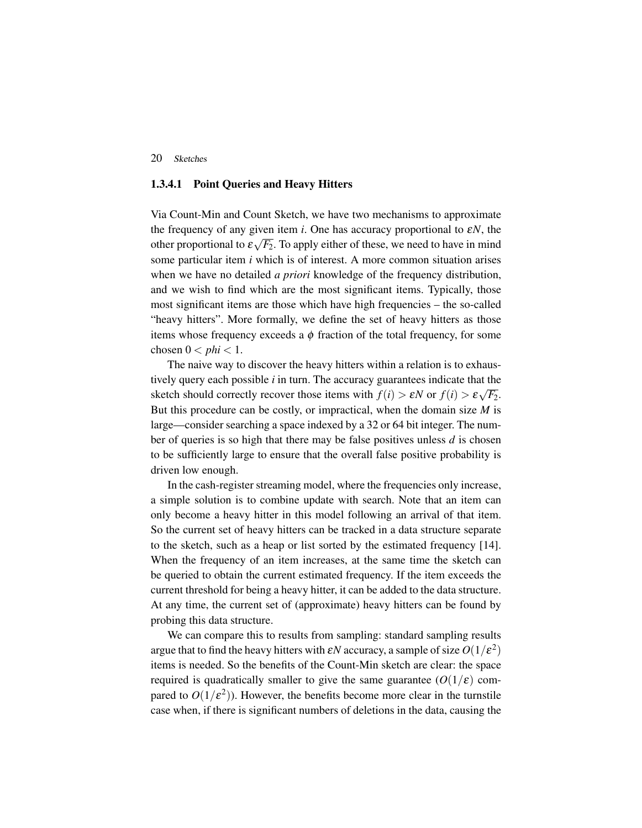#### 1.3.4.1 Point Queries and Heavy Hitters

Via Count-Min and Count Sketch, we have two mechanisms to approximate the frequency of any given item *i*. One has accuracy proportional to  $\epsilon N$ , the other proportional to  $\varepsilon\sqrt{F_2}$ . To apply either of these, we need to have in mind some particular item *i* which is of interest. A more common situation arises when we have no detailed *a priori* knowledge of the frequency distribution, and we wish to find which are the most significant items. Typically, those most significant items are those which have high frequencies – the so-called "heavy hitters". More formally, we define the set of heavy hitters as those items whose frequency exceeds a  $\phi$  fraction of the total frequency, for some chosen  $0 < phi < 1$ .

The naive way to discover the heavy hitters within a relation is to exhaustively query each possible *i* in turn. The accuracy guarantees indicate that the sketch should correctly recover those items with  $f(i) > \varepsilon N$  or  $f(i) > \varepsilon \sqrt{F_2}$ . But this procedure can be costly, or impractical, when the domain size *M* is large—consider searching a space indexed by a 32 or 64 bit integer. The number of queries is so high that there may be false positives unless *d* is chosen to be sufficiently large to ensure that the overall false positive probability is driven low enough.

In the cash-register streaming model, where the frequencies only increase, a simple solution is to combine update with search. Note that an item can only become a heavy hitter in this model following an arrival of that item. So the current set of heavy hitters can be tracked in a data structure separate to the sketch, such as a heap or list sorted by the estimated frequency [14]. When the frequency of an item increases, at the same time the sketch can be queried to obtain the current estimated frequency. If the item exceeds the current threshold for being a heavy hitter, it can be added to the data structure. At any time, the current set of (approximate) heavy hitters can be found by probing this data structure.

We can compare this to results from sampling: standard sampling results argue that to find the heavy hitters with  $\epsilon N$  accuracy, a sample of size  $O(1/\epsilon^2)$ items is needed. So the benefits of the Count-Min sketch are clear: the space required is quadratically smaller to give the same guarantee  $(O(1/\varepsilon))$  compared to  $O(1/\varepsilon^2)$ ). However, the benefits become more clear in the turnstile case when, if there is significant numbers of deletions in the data, causing the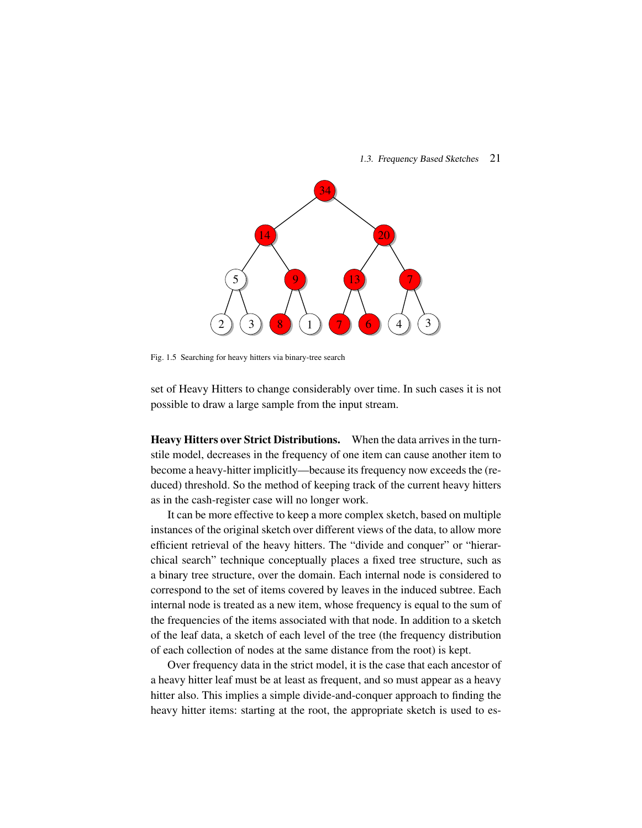



Fig. 1.5 Searching for heavy hitters via binary-tree search

set of Heavy Hitters to change considerably over time. In such cases it is not possible to draw a large sample from the input stream.

Heavy Hitters over Strict Distributions. When the data arrives in the turnstile model, decreases in the frequency of one item can cause another item to become a heavy-hitter implicitly—because its frequency now exceeds the (reduced) threshold. So the method of keeping track of the current heavy hitters as in the cash-register case will no longer work.

It can be more effective to keep a more complex sketch, based on multiple instances of the original sketch over different views of the data, to allow more efficient retrieval of the heavy hitters. The "divide and conquer" or "hierarchical search" technique conceptually places a fixed tree structure, such as a binary tree structure, over the domain. Each internal node is considered to correspond to the set of items covered by leaves in the induced subtree. Each internal node is treated as a new item, whose frequency is equal to the sum of the frequencies of the items associated with that node. In addition to a sketch of the leaf data, a sketch of each level of the tree (the frequency distribution of each collection of nodes at the same distance from the root) is kept.

Over frequency data in the strict model, it is the case that each ancestor of a heavy hitter leaf must be at least as frequent, and so must appear as a heavy hitter also. This implies a simple divide-and-conquer approach to finding the heavy hitter items: starting at the root, the appropriate sketch is used to es-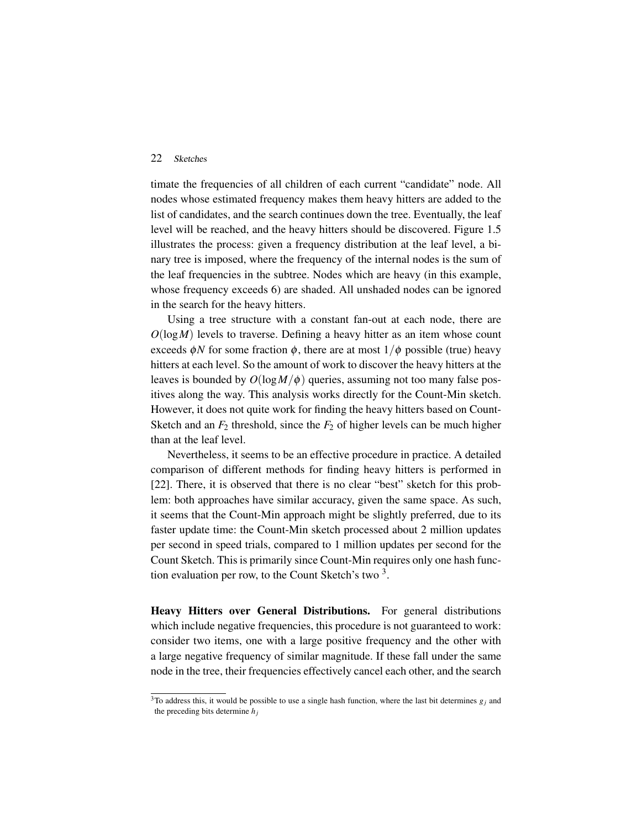timate the frequencies of all children of each current "candidate" node. All nodes whose estimated frequency makes them heavy hitters are added to the list of candidates, and the search continues down the tree. Eventually, the leaf level will be reached, and the heavy hitters should be discovered. Figure 1.5 illustrates the process: given a frequency distribution at the leaf level, a binary tree is imposed, where the frequency of the internal nodes is the sum of the leaf frequencies in the subtree. Nodes which are heavy (in this example, whose frequency exceeds 6) are shaded. All unshaded nodes can be ignored in the search for the heavy hitters.

Using a tree structure with a constant fan-out at each node, there are  $O(logM)$  levels to traverse. Defining a heavy hitter as an item whose count exceeds  $\phi N$  for some fraction  $\phi$ , there are at most  $1/\phi$  possible (true) heavy hitters at each level. So the amount of work to discover the heavy hitters at the leaves is bounded by  $O(\log M/\phi)$  queries, assuming not too many false positives along the way. This analysis works directly for the Count-Min sketch. However, it does not quite work for finding the heavy hitters based on Count-Sketch and an  $F_2$  threshold, since the  $F_2$  of higher levels can be much higher than at the leaf level.

Nevertheless, it seems to be an effective procedure in practice. A detailed comparison of different methods for finding heavy hitters is performed in [22]. There, it is observed that there is no clear "best" sketch for this problem: both approaches have similar accuracy, given the same space. As such, it seems that the Count-Min approach might be slightly preferred, due to its faster update time: the Count-Min sketch processed about 2 million updates per second in speed trials, compared to 1 million updates per second for the Count Sketch. This is primarily since Count-Min requires only one hash function evaluation per row, to the Count Sketch's two  $3$ .

Heavy Hitters over General Distributions. For general distributions which include negative frequencies, this procedure is not guaranteed to work: consider two items, one with a large positive frequency and the other with a large negative frequency of similar magnitude. If these fall under the same node in the tree, their frequencies effectively cancel each other, and the search

 $3$ To address this, it would be possible to use a single hash function, where the last bit determines  $g_j$  and the preceding bits determine *h<sup>j</sup>*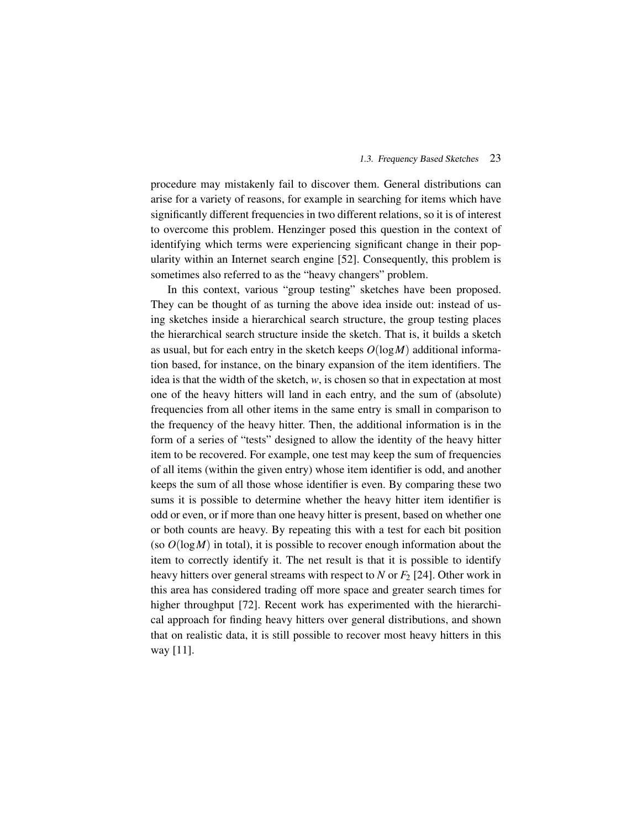procedure may mistakenly fail to discover them. General distributions can arise for a variety of reasons, for example in searching for items which have significantly different frequencies in two different relations, so it is of interest to overcome this problem. Henzinger posed this question in the context of identifying which terms were experiencing significant change in their popularity within an Internet search engine [52]. Consequently, this problem is sometimes also referred to as the "heavy changers" problem.

In this context, various "group testing" sketches have been proposed. They can be thought of as turning the above idea inside out: instead of using sketches inside a hierarchical search structure, the group testing places the hierarchical search structure inside the sketch. That is, it builds a sketch as usual, but for each entry in the sketch keeps  $O(\log M)$  additional information based, for instance, on the binary expansion of the item identifiers. The idea is that the width of the sketch, *w*, is chosen so that in expectation at most one of the heavy hitters will land in each entry, and the sum of (absolute) frequencies from all other items in the same entry is small in comparison to the frequency of the heavy hitter. Then, the additional information is in the form of a series of "tests" designed to allow the identity of the heavy hitter item to be recovered. For example, one test may keep the sum of frequencies of all items (within the given entry) whose item identifier is odd, and another keeps the sum of all those whose identifier is even. By comparing these two sums it is possible to determine whether the heavy hitter item identifier is odd or even, or if more than one heavy hitter is present, based on whether one or both counts are heavy. By repeating this with a test for each bit position (so  $O(logM)$  in total), it is possible to recover enough information about the item to correctly identify it. The net result is that it is possible to identify heavy hitters over general streams with respect to *N* or *F*<sup>2</sup> [24]. Other work in this area has considered trading off more space and greater search times for higher throughput [72]. Recent work has experimented with the hierarchical approach for finding heavy hitters over general distributions, and shown that on realistic data, it is still possible to recover most heavy hitters in this way [11].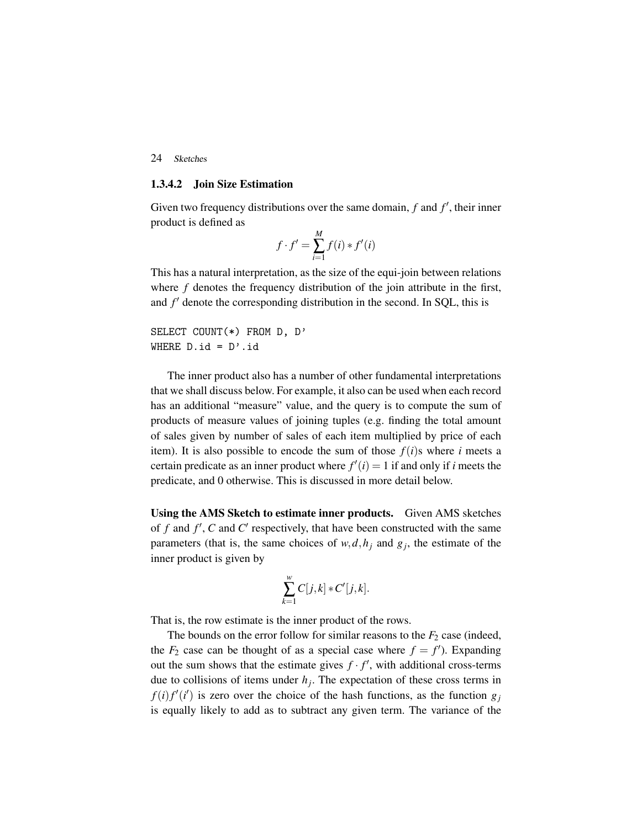#### 1.3.4.2 Join Size Estimation

Given two frequency distributions over the same domain,  $f$  and  $f'$ , their inner product is defined as

$$
f \cdot f' = \sum_{i=1}^{M} f(i) * f'(i)
$$

This has a natural interpretation, as the size of the equi-join between relations where *f* denotes the frequency distribution of the join attribute in the first, and  $f'$  denote the corresponding distribution in the second. In SQL, this is

SELECT COUNT(\*) FROM D, D' WHERE  $D.id = D'.id$ 

The inner product also has a number of other fundamental interpretations that we shall discuss below. For example, it also can be used when each record has an additional "measure" value, and the query is to compute the sum of products of measure values of joining tuples (e.g. finding the total amount of sales given by number of sales of each item multiplied by price of each item). It is also possible to encode the sum of those  $f(i)$ s where *i* meets a certain predicate as an inner product where  $f'(i) = 1$  if and only if *i* meets the predicate, and 0 otherwise. This is discussed in more detail below.

Using the AMS Sketch to estimate inner products. Given AMS sketches of  $f$  and  $f'$ ,  $C$  and  $C'$  respectively, that have been constructed with the same parameters (that is, the same choices of  $w$ ,  $d$ ,  $h$ <sub>*j*</sub> and  $g$ <sub>*j*</sub>, the estimate of the inner product is given by

$$
\sum_{k=1}^w C[j,k] * C'[j,k].
$$

That is, the row estimate is the inner product of the rows.

The bounds on the error follow for similar reasons to the  $F_2$  case (indeed, the  $F_2$  case can be thought of as a special case where  $f = f'$ ). Expanding out the sum shows that the estimate gives  $f \cdot f'$ , with additional cross-terms due to collisions of items under *h<sup>j</sup>* . The expectation of these cross terms in  $f(i) f'(i')$  is zero over the choice of the hash functions, as the function  $g_j$ is equally likely to add as to subtract any given term. The variance of the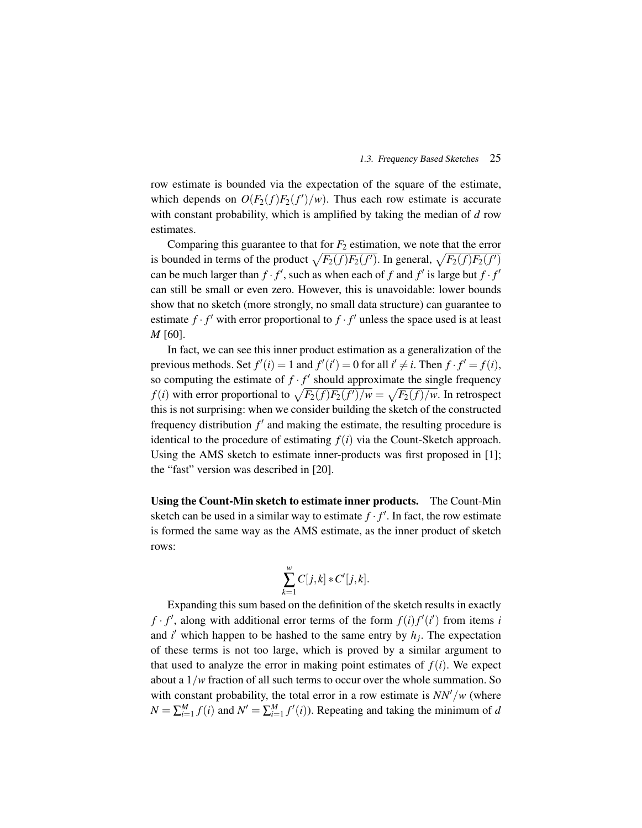row estimate is bounded via the expectation of the square of the estimate, which depends on  $O(F_2(f)F_2(f')/w)$ . Thus each row estimate is accurate with constant probability, which is amplified by taking the median of *d* row estimates.

Comparing this guarantee to that for  $F_2$  estimation, we note that the error is bounded in terms of the product  $\sqrt{F_2(f)F_2(f')}$ . In general,  $\sqrt{F_2(f)F_2(f')}$ can be much larger than  $f \cdot f'$ , such as when each of  $f$  and  $f'$  is large but  $f \cdot f'$ can still be small or even zero. However, this is unavoidable: lower bounds show that no sketch (more strongly, no small data structure) can guarantee to estimate  $f \cdot f'$  with error proportional to  $f \cdot f'$  unless the space used is at least *M* [60].

In fact, we can see this inner product estimation as a generalization of the previous methods. Set  $f'(i) = 1$  and  $f'(i') = 0$  for all  $i' \neq i$ . Then  $f \cdot f' = f(i)$ , so computing the estimate of  $f \cdot f'$  should approximate the single frequency *f*(*i*) with error proportional to  $\sqrt{F_2(f)F_2(f')/w} = \sqrt{F_2(f)/w}$ . In retrospect this is not surprising: when we consider building the sketch of the constructed frequency distribution  $f'$  and making the estimate, the resulting procedure is identical to the procedure of estimating  $f(i)$  via the Count-Sketch approach. Using the AMS sketch to estimate inner-products was first proposed in [1]; the "fast" version was described in [20].

Using the Count-Min sketch to estimate inner products. The Count-Min sketch can be used in a similar way to estimate  $f \cdot f'$ . In fact, the row estimate is formed the same way as the AMS estimate, as the inner product of sketch rows:

$$
\sum_{k=1}^w C[j,k] * C'[j,k].
$$

Expanding this sum based on the definition of the sketch results in exactly  $f \cdot f'$ , along with additional error terms of the form  $f(i)f'(i')$  from items *i* and  $i'$  which happen to be hashed to the same entry by  $h_j$ . The expectation of these terms is not too large, which is proved by a similar argument to that used to analyze the error in making point estimates of  $f(i)$ . We expect about a 1/*w* fraction of all such terms to occur over the whole summation. So with constant probability, the total error in a row estimate is  $NN'/w$  (where  $N = \sum_{i=1}^{M} f(i)$  and  $N' = \sum_{i=1}^{M} f'(i)$ . Repeating and taking the minimum of *d*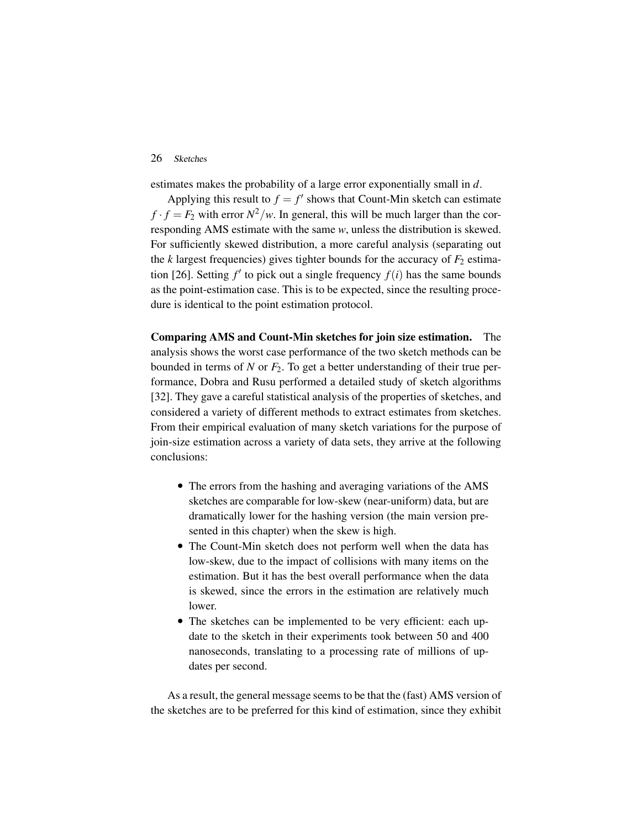estimates makes the probability of a large error exponentially small in *d*.

Applying this result to  $f = f'$  shows that Count-Min sketch can estimate  $f \cdot f = F_2$  with error  $N^2/w$ . In general, this will be much larger than the corresponding AMS estimate with the same *w*, unless the distribution is skewed. For sufficiently skewed distribution, a more careful analysis (separating out the *k* largest frequencies) gives tighter bounds for the accuracy of  $F_2$  estimation [26]. Setting  $f'$  to pick out a single frequency  $f(i)$  has the same bounds as the point-estimation case. This is to be expected, since the resulting procedure is identical to the point estimation protocol.

Comparing AMS and Count-Min sketches for join size estimation. The analysis shows the worst case performance of the two sketch methods can be bounded in terms of  $N$  or  $F_2$ . To get a better understanding of their true performance, Dobra and Rusu performed a detailed study of sketch algorithms [32]. They gave a careful statistical analysis of the properties of sketches, and considered a variety of different methods to extract estimates from sketches. From their empirical evaluation of many sketch variations for the purpose of join-size estimation across a variety of data sets, they arrive at the following conclusions:

- The errors from the hashing and averaging variations of the AMS sketches are comparable for low-skew (near-uniform) data, but are dramatically lower for the hashing version (the main version presented in this chapter) when the skew is high.
- The Count-Min sketch does not perform well when the data has low-skew, due to the impact of collisions with many items on the estimation. But it has the best overall performance when the data is skewed, since the errors in the estimation are relatively much lower.
- The sketches can be implemented to be very efficient: each update to the sketch in their experiments took between 50 and 400 nanoseconds, translating to a processing rate of millions of updates per second.

As a result, the general message seems to be that the (fast) AMS version of the sketches are to be preferred for this kind of estimation, since they exhibit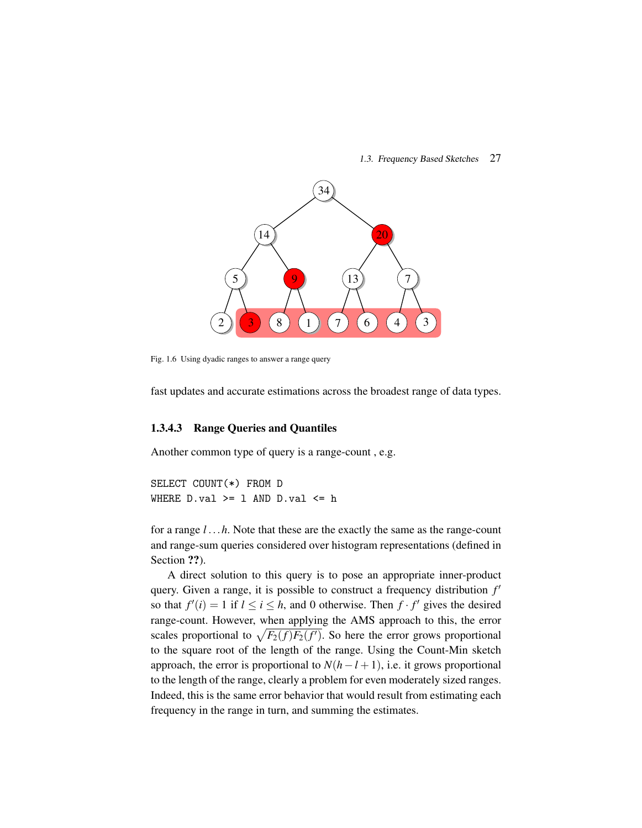



Fig. 1.6 Using dyadic ranges to answer a range query

fast updates and accurate estimations across the broadest range of data types.

## 1.3.4.3 Range Queries and Quantiles

Another common type of query is a range-count , e.g.

SELECT COUNT(\*) FROM D WHERE  $D.val \geq 1$  AND  $D.val \leq h$ 

for a range *l* ...*h*. Note that these are the exactly the same as the range-count and range-sum queries considered over histogram representations (defined in Section ??).

A direct solution to this query is to pose an appropriate inner-product query. Given a range, it is possible to construct a frequency distribution  $f'$ so that  $f'(i) = 1$  if  $l \le i \le h$ , and 0 otherwise. Then  $f \cdot f'$  gives the desired range-count. However, when applying the AMS approach to this, the error scales proportional to  $\sqrt{F_2(f)F_2(f')}$ . So here the error grows proportional to the square root of the length of the range. Using the Count-Min sketch approach, the error is proportional to  $N(h-l+1)$ , i.e. it grows proportional to the length of the range, clearly a problem for even moderately sized ranges. Indeed, this is the same error behavior that would result from estimating each frequency in the range in turn, and summing the estimates.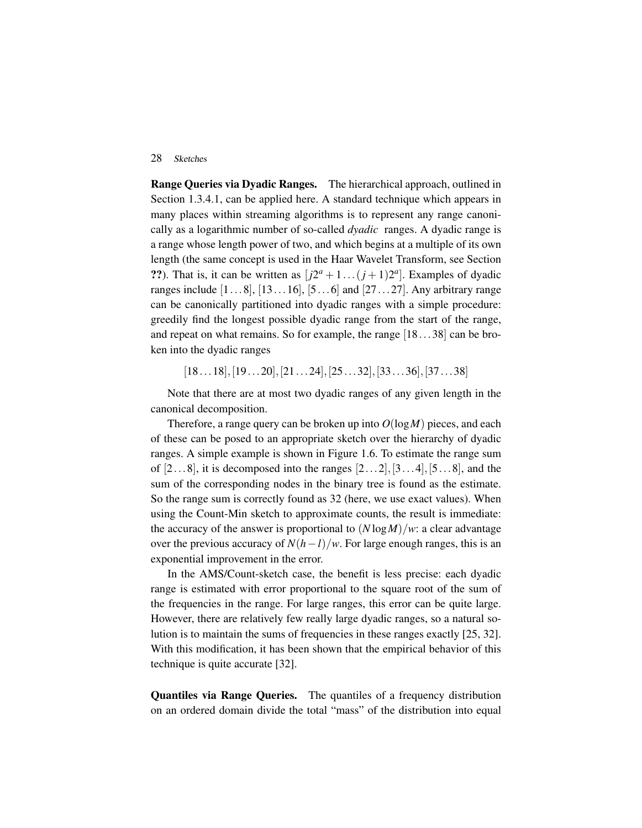Range Queries via Dyadic Ranges. The hierarchical approach, outlined in Section 1.3.4.1, can be applied here. A standard technique which appears in many places within streaming algorithms is to represent any range canonically as a logarithmic number of so-called *dyadic* ranges. A dyadic range is a range whose length power of two, and which begins at a multiple of its own length (the same concept is used in the Haar Wavelet Transform, see Section ??). That is, it can be written as  $[j2^a + 1 \dots (j+1)2^a]$ . Examples of dyadic ranges include  $[1 \dots 8]$ ,  $[13 \dots 16]$ ,  $[5 \dots 6]$  and  $[27 \dots 27]$ . Any arbitrary range can be canonically partitioned into dyadic ranges with a simple procedure: greedily find the longest possible dyadic range from the start of the range, and repeat on what remains. So for example, the range [18...38] can be broken into the dyadic ranges

 $[18...18], [19...20], [21...24], [25...32], [33...36], [37...38]$ 

Note that there are at most two dyadic ranges of any given length in the canonical decomposition.

Therefore, a range query can be broken up into *O*(log*M*) pieces, and each of these can be posed to an appropriate sketch over the hierarchy of dyadic ranges. A simple example is shown in Figure 1.6. To estimate the range sum of  $[2...8]$ , it is decomposed into the ranges  $[2...2]$ ,  $[3...4]$ ,  $[5...8]$ , and the sum of the corresponding nodes in the binary tree is found as the estimate. So the range sum is correctly found as 32 (here, we use exact values). When using the Count-Min sketch to approximate counts, the result is immediate: the accuracy of the answer is proportional to  $(N \log M)/w$ : a clear advantage over the previous accuracy of  $N(h-l)/w$ . For large enough ranges, this is an exponential improvement in the error.

In the AMS/Count-sketch case, the benefit is less precise: each dyadic range is estimated with error proportional to the square root of the sum of the frequencies in the range. For large ranges, this error can be quite large. However, there are relatively few really large dyadic ranges, so a natural solution is to maintain the sums of frequencies in these ranges exactly [25, 32]. With this modification, it has been shown that the empirical behavior of this technique is quite accurate [32].

Quantiles via Range Queries. The quantiles of a frequency distribution on an ordered domain divide the total "mass" of the distribution into equal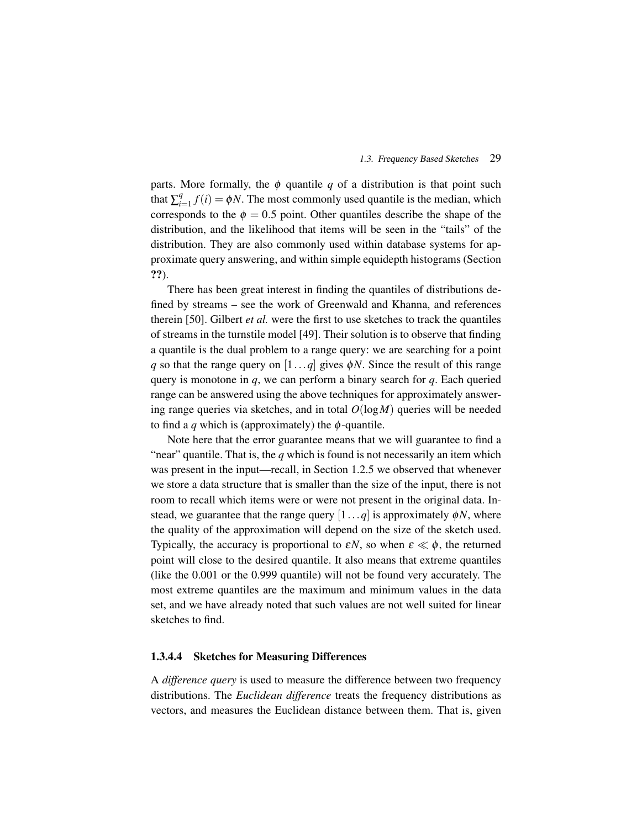parts. More formally, the  $\phi$  quantile *q* of a distribution is that point such that  $\sum_{i=1}^{q}$  $\psi_{i=1}^q f(i) = \phi N$ . The most commonly used quantile is the median, which corresponds to the  $\phi = 0.5$  point. Other quantiles describe the shape of the distribution, and the likelihood that items will be seen in the "tails" of the distribution. They are also commonly used within database systems for approximate query answering, and within simple equidepth histograms (Section ??).

There has been great interest in finding the quantiles of distributions defined by streams – see the work of Greenwald and Khanna, and references therein [50]. Gilbert *et al.* were the first to use sketches to track the quantiles of streams in the turnstile model [49]. Their solution is to observe that finding a quantile is the dual problem to a range query: we are searching for a point *q* so that the range query on  $[1 \dots q]$  gives  $\phi N$ . Since the result of this range query is monotone in *q*, we can perform a binary search for *q*. Each queried range can be answered using the above techniques for approximately answering range queries via sketches, and in total *O*(log*M*) queries will be needed to find a *q* which is (approximately) the  $\phi$ -quantile.

Note here that the error guarantee means that we will guarantee to find a "near" quantile. That is, the  $q$  which is found is not necessarily an item which was present in the input—recall, in Section 1.2.5 we observed that whenever we store a data structure that is smaller than the size of the input, there is not room to recall which items were or were not present in the original data. Instead, we guarantee that the range query  $[1 \dots q]$  is approximately  $\phi N$ , where the quality of the approximation will depend on the size of the sketch used. Typically, the accuracy is proportional to  $\epsilon N$ , so when  $\epsilon \ll \phi$ , the returned point will close to the desired quantile. It also means that extreme quantiles (like the 0.001 or the 0.999 quantile) will not be found very accurately. The most extreme quantiles are the maximum and minimum values in the data set, and we have already noted that such values are not well suited for linear sketches to find.

## 1.3.4.4 Sketches for Measuring Differences

A *difference query* is used to measure the difference between two frequency distributions. The *Euclidean difference* treats the frequency distributions as vectors, and measures the Euclidean distance between them. That is, given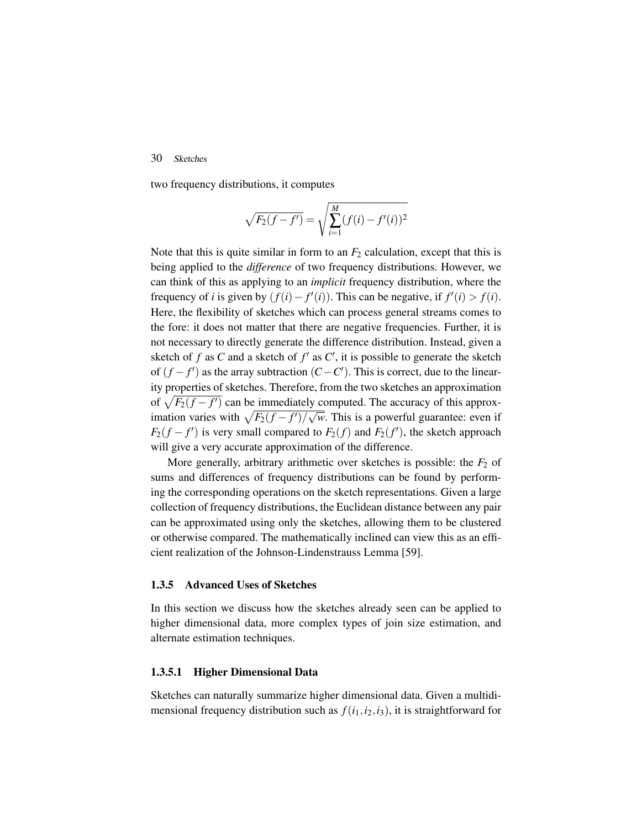two frequency distributions, it computes

$$
\sqrt{F_2(f - f')} = \sqrt{\sum_{i=1}^{M} (f(i) - f'(i))^2}
$$

Note that this is quite similar in form to an  $F_2$  calculation, except that this is being applied to the *difference* of two frequency distributions. However, we can think of this as applying to an *implicit* frequency distribution, where the frequency of *i* is given by  $(f(i) - f'(i))$ . This can be negative, if  $f'(i) > f(i)$ . Here, the flexibility of sketches which can process general streams comes to the fore: it does not matter that there are negative frequencies. Further, it is not necessary to directly generate the difference distribution. Instead, given a sketch of  $f$  as  $C$  and a sketch of  $f'$  as  $C'$ , it is possible to generate the sketch of  $(f - f')$  as the array subtraction  $(C - C')$ . This is correct, due to the linearity properties of sketches. Therefore, from the two sketches an approximation of  $\sqrt{F_2(f - f')}$  can be immediately computed. The accuracy of this approximation varies with  $\sqrt{F_2(f - f')}/\sqrt{w}$ . This is a powerful guarantee: even if  $F_2(f - f')$  is very small compared to  $F_2(f)$  and  $F_2(f')$ , the sketch approach will give a very accurate approximation of the difference.

More generally, arbitrary arithmetic over sketches is possible: the  $F_2$  of sums and differences of frequency distributions can be found by performing the corresponding operations on the sketch representations. Given a large collection of frequency distributions, the Euclidean distance between any pair can be approximated using only the sketches, allowing them to be clustered or otherwise compared. The mathematically inclined can view this as an efficient realization of the Johnson-Lindenstrauss Lemma [59].

#### 1.3.5 Advanced Uses of Sketches

In this section we discuss how the sketches already seen can be applied to higher dimensional data, more complex types of join size estimation, and alternate estimation techniques.

#### 1.3.5.1 Higher Dimensional Data

Sketches can naturally summarize higher dimensional data. Given a multidimensional frequency distribution such as  $f(i_1, i_2, i_3)$ , it is straightforward for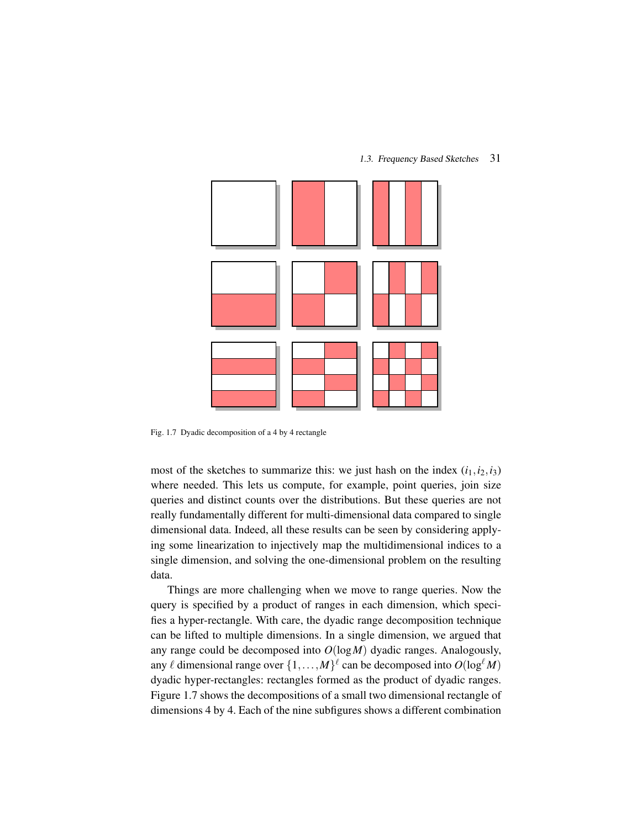1.3. Frequency Based Sketches 31



Fig. 1.7 Dyadic decomposition of a 4 by 4 rectangle

most of the sketches to summarize this: we just hash on the index  $(i_1, i_2, i_3)$ where needed. This lets us compute, for example, point queries, join size queries and distinct counts over the distributions. But these queries are not really fundamentally different for multi-dimensional data compared to single dimensional data. Indeed, all these results can be seen by considering applying some linearization to injectively map the multidimensional indices to a single dimension, and solving the one-dimensional problem on the resulting data.

Things are more challenging when we move to range queries. Now the query is specified by a product of ranges in each dimension, which specifies a hyper-rectangle. With care, the dyadic range decomposition technique can be lifted to multiple dimensions. In a single dimension, we argued that any range could be decomposed into *O*(log*M*) dyadic ranges. Analogously, any  $\ell$  dimensional range over  $\{1,\ldots,M\}^{\ell}$  can be decomposed into  $O(\log^{\ell} M)$ dyadic hyper-rectangles: rectangles formed as the product of dyadic ranges. Figure 1.7 shows the decompositions of a small two dimensional rectangle of dimensions 4 by 4. Each of the nine subfigures shows a different combination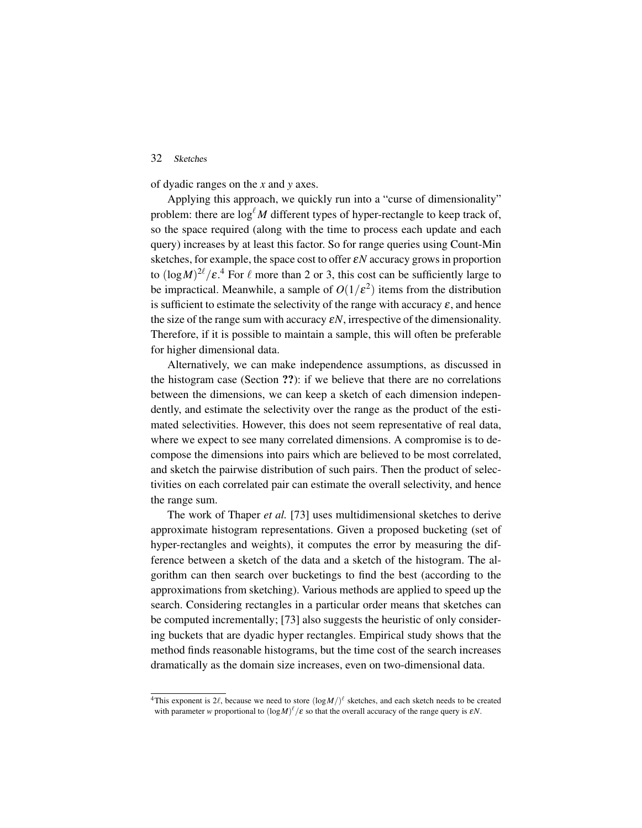of dyadic ranges on the *x* and *y* axes.

Applying this approach, we quickly run into a "curse of dimensionality" problem: there are  $\log^{\ell} M$  different types of hyper-rectangle to keep track of, so the space required (along with the time to process each update and each query) increases by at least this factor. So for range queries using Count-Min sketches, for example, the space cost to offer ε*N* accuracy grows in proportion to  $(\log M)^{2\ell}/\varepsilon$ .<sup>4</sup> For  $\ell$  more than 2 or 3, this cost can be sufficiently large to be impractical. Meanwhile, a sample of  $O(1/\varepsilon^2)$  items from the distribution is sufficient to estimate the selectivity of the range with accuracy  $\varepsilon$ , and hence the size of the range sum with accuracy  $\epsilon N$ , irrespective of the dimensionality. Therefore, if it is possible to maintain a sample, this will often be preferable for higher dimensional data.

Alternatively, we can make independence assumptions, as discussed in the histogram case (Section ??): if we believe that there are no correlations between the dimensions, we can keep a sketch of each dimension independently, and estimate the selectivity over the range as the product of the estimated selectivities. However, this does not seem representative of real data, where we expect to see many correlated dimensions. A compromise is to decompose the dimensions into pairs which are believed to be most correlated, and sketch the pairwise distribution of such pairs. Then the product of selectivities on each correlated pair can estimate the overall selectivity, and hence the range sum.

The work of Thaper *et al.* [73] uses multidimensional sketches to derive approximate histogram representations. Given a proposed bucketing (set of hyper-rectangles and weights), it computes the error by measuring the difference between a sketch of the data and a sketch of the histogram. The algorithm can then search over bucketings to find the best (according to the approximations from sketching). Various methods are applied to speed up the search. Considering rectangles in a particular order means that sketches can be computed incrementally; [73] also suggests the heuristic of only considering buckets that are dyadic hyper rectangles. Empirical study shows that the method finds reasonable histograms, but the time cost of the search increases dramatically as the domain size increases, even on two-dimensional data.

<sup>&</sup>lt;sup>4</sup>This exponent is 2 $\ell$ , because we need to store  $(\log M)^{\ell}$  sketches, and each sketch needs to be created with parameter *w* proportional to  $(\log M)^{\ell}/\varepsilon$  so that the overall accuracy of the range query is  $\varepsilon N$ .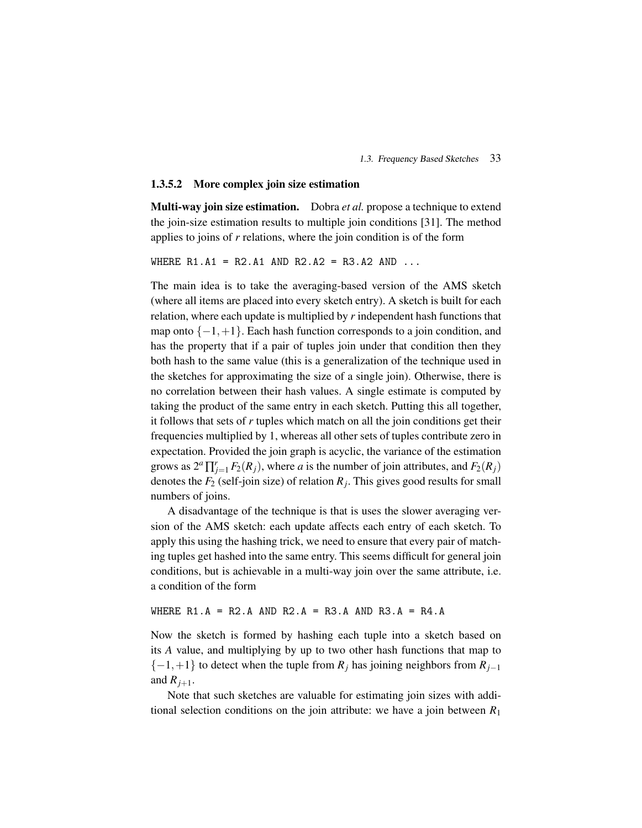#### 1.3.5.2 More complex join size estimation

Multi-way join size estimation. Dobra *et al.* propose a technique to extend the join-size estimation results to multiple join conditions [31]. The method applies to joins of *r* relations, where the join condition is of the form

WHERE R1.A1 = R2.A1 AND R2.A2 = R3.A2 AND ...

The main idea is to take the averaging-based version of the AMS sketch (where all items are placed into every sketch entry). A sketch is built for each relation, where each update is multiplied by *r* independent hash functions that map onto  $\{-1, +1\}$ . Each hash function corresponds to a join condition, and has the property that if a pair of tuples join under that condition then they both hash to the same value (this is a generalization of the technique used in the sketches for approximating the size of a single join). Otherwise, there is no correlation between their hash values. A single estimate is computed by taking the product of the same entry in each sketch. Putting this all together, it follows that sets of *r* tuples which match on all the join conditions get their frequencies multiplied by 1, whereas all other sets of tuples contribute zero in expectation. Provided the join graph is acyclic, the variance of the estimation grows as  $2^a \prod_{j=1}^r F_2(R_j)$ , where *a* is the number of join attributes, and  $F_2(R_j)$ denotes the  $F_2$  (self-join size) of relation  $R_j$ . This gives good results for small numbers of joins.

A disadvantage of the technique is that is uses the slower averaging version of the AMS sketch: each update affects each entry of each sketch. To apply this using the hashing trick, we need to ensure that every pair of matching tuples get hashed into the same entry. This seems difficult for general join conditions, but is achievable in a multi-way join over the same attribute, i.e. a condition of the form

## WHERE R1.A = R2.A AND R2.A = R3.A AND R3.A = R4.A

Now the sketch is formed by hashing each tuple into a sketch based on its *A* value, and multiplying by up to two other hash functions that map to  ${-1,+1}$  to detect when the tuple from  $R_j$  has joining neighbors from  $R_{j-1}$ and  $R_{j+1}$ .

Note that such sketches are valuable for estimating join sizes with additional selection conditions on the join attribute: we have a join between *R*<sup>1</sup>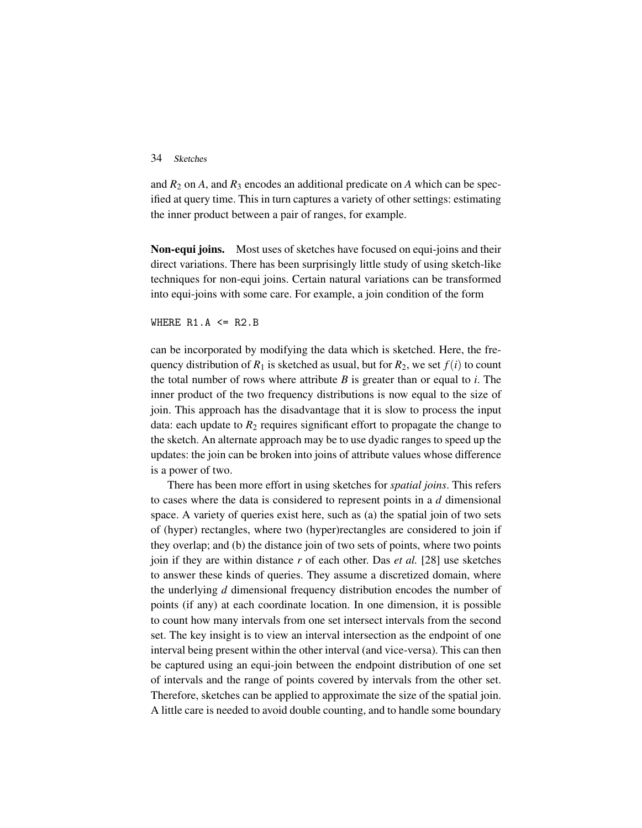and  $R_2$  on  $A$ , and  $R_3$  encodes an additional predicate on  $A$  which can be specified at query time. This in turn captures a variety of other settings: estimating the inner product between a pair of ranges, for example.

Non-equi joins. Most uses of sketches have focused on equi-joins and their direct variations. There has been surprisingly little study of using sketch-like techniques for non-equi joins. Certain natural variations can be transformed into equi-joins with some care. For example, a join condition of the form

#### WHERE  $R1.A \leq R2.B$

can be incorporated by modifying the data which is sketched. Here, the frequency distribution of  $R_1$  is sketched as usual, but for  $R_2$ , we set  $f(i)$  to count the total number of rows where attribute *B* is greater than or equal to *i*. The inner product of the two frequency distributions is now equal to the size of join. This approach has the disadvantage that it is slow to process the input data: each update to  $R_2$  requires significant effort to propagate the change to the sketch. An alternate approach may be to use dyadic ranges to speed up the updates: the join can be broken into joins of attribute values whose difference is a power of two.

There has been more effort in using sketches for *spatial joins*. This refers to cases where the data is considered to represent points in a *d* dimensional space. A variety of queries exist here, such as (a) the spatial join of two sets of (hyper) rectangles, where two (hyper)rectangles are considered to join if they overlap; and (b) the distance join of two sets of points, where two points join if they are within distance *r* of each other. Das *et al.* [28] use sketches to answer these kinds of queries. They assume a discretized domain, where the underlying *d* dimensional frequency distribution encodes the number of points (if any) at each coordinate location. In one dimension, it is possible to count how many intervals from one set intersect intervals from the second set. The key insight is to view an interval intersection as the endpoint of one interval being present within the other interval (and vice-versa). This can then be captured using an equi-join between the endpoint distribution of one set of intervals and the range of points covered by intervals from the other set. Therefore, sketches can be applied to approximate the size of the spatial join. A little care is needed to avoid double counting, and to handle some boundary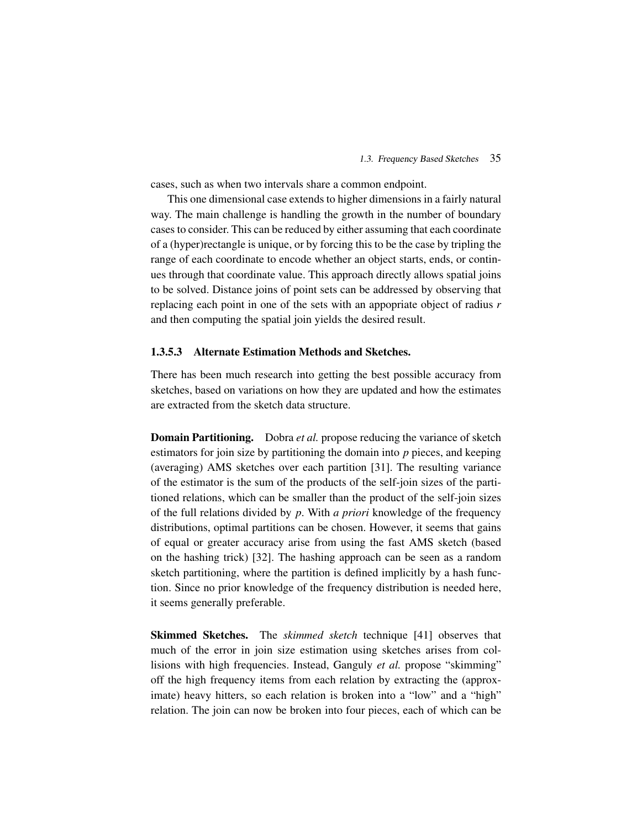cases, such as when two intervals share a common endpoint.

This one dimensional case extends to higher dimensions in a fairly natural way. The main challenge is handling the growth in the number of boundary cases to consider. This can be reduced by either assuming that each coordinate of a (hyper)rectangle is unique, or by forcing this to be the case by tripling the range of each coordinate to encode whether an object starts, ends, or continues through that coordinate value. This approach directly allows spatial joins to be solved. Distance joins of point sets can be addressed by observing that replacing each point in one of the sets with an appopriate object of radius *r* and then computing the spatial join yields the desired result.

## 1.3.5.3 Alternate Estimation Methods and Sketches.

There has been much research into getting the best possible accuracy from sketches, based on variations on how they are updated and how the estimates are extracted from the sketch data structure.

**Domain Partitioning.** Dobra *et al.* propose reducing the variance of sketch estimators for join size by partitioning the domain into *p* pieces, and keeping (averaging) AMS sketches over each partition [31]. The resulting variance of the estimator is the sum of the products of the self-join sizes of the partitioned relations, which can be smaller than the product of the self-join sizes of the full relations divided by *p*. With *a priori* knowledge of the frequency distributions, optimal partitions can be chosen. However, it seems that gains of equal or greater accuracy arise from using the fast AMS sketch (based on the hashing trick) [32]. The hashing approach can be seen as a random sketch partitioning, where the partition is defined implicitly by a hash function. Since no prior knowledge of the frequency distribution is needed here, it seems generally preferable.

Skimmed Sketches. The *skimmed sketch* technique [41] observes that much of the error in join size estimation using sketches arises from collisions with high frequencies. Instead, Ganguly *et al.* propose "skimming" off the high frequency items from each relation by extracting the (approximate) heavy hitters, so each relation is broken into a "low" and a "high" relation. The join can now be broken into four pieces, each of which can be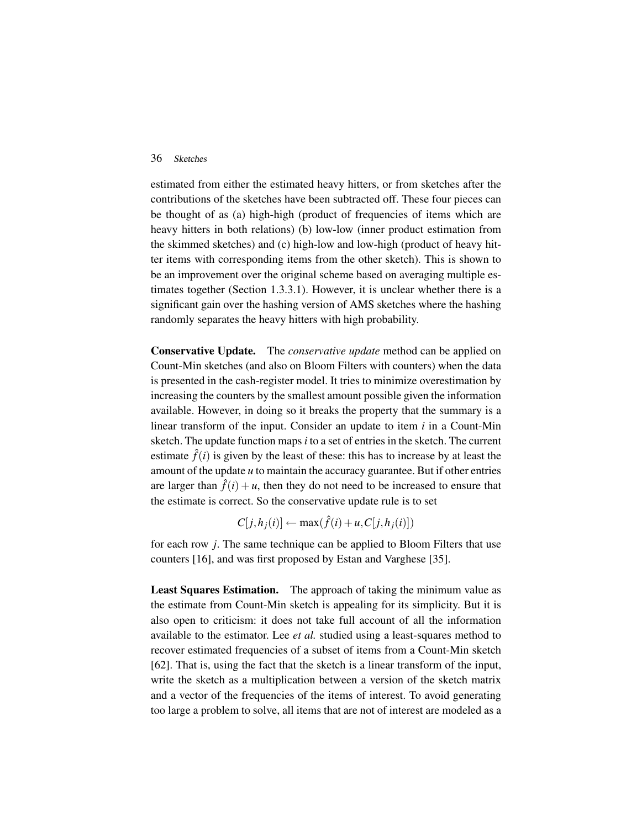estimated from either the estimated heavy hitters, or from sketches after the contributions of the sketches have been subtracted off. These four pieces can be thought of as (a) high-high (product of frequencies of items which are heavy hitters in both relations) (b) low-low (inner product estimation from the skimmed sketches) and (c) high-low and low-high (product of heavy hitter items with corresponding items from the other sketch). This is shown to be an improvement over the original scheme based on averaging multiple estimates together (Section 1.3.3.1). However, it is unclear whether there is a significant gain over the hashing version of AMS sketches where the hashing randomly separates the heavy hitters with high probability.

Conservative Update. The *conservative update* method can be applied on Count-Min sketches (and also on Bloom Filters with counters) when the data is presented in the cash-register model. It tries to minimize overestimation by increasing the counters by the smallest amount possible given the information available. However, in doing so it breaks the property that the summary is a linear transform of the input. Consider an update to item *i* in a Count-Min sketch. The update function maps*i* to a set of entries in the sketch. The current estimate  $\hat{f}(i)$  is given by the least of these: this has to increase by at least the amount of the update *u* to maintain the accuracy guarantee. But if other entries are larger than  $\hat{f}(i) + u$ , then they do not need to be increased to ensure that the estimate is correct. So the conservative update rule is to set

$$
C[j, h_j(i)] \leftarrow \max(\hat{f}(i) + u, C[j, h_j(i)])
$$

for each row *j*. The same technique can be applied to Bloom Filters that use counters [16], and was first proposed by Estan and Varghese [35].

Least Squares Estimation. The approach of taking the minimum value as the estimate from Count-Min sketch is appealing for its simplicity. But it is also open to criticism: it does not take full account of all the information available to the estimator. Lee *et al.* studied using a least-squares method to recover estimated frequencies of a subset of items from a Count-Min sketch [62]. That is, using the fact that the sketch is a linear transform of the input, write the sketch as a multiplication between a version of the sketch matrix and a vector of the frequencies of the items of interest. To avoid generating too large a problem to solve, all items that are not of interest are modeled as a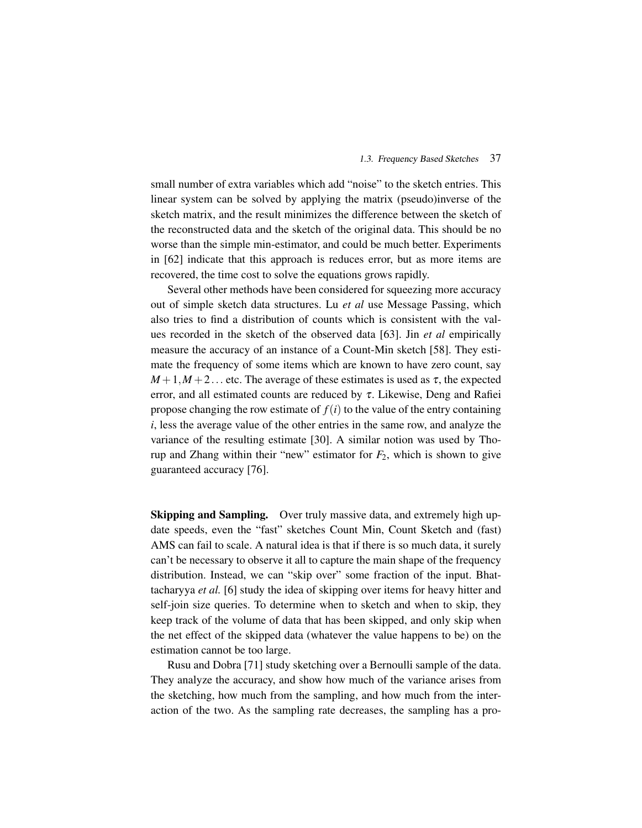#### 1.3. Frequency Based Sketches 37

small number of extra variables which add "noise" to the sketch entries. This linear system can be solved by applying the matrix (pseudo)inverse of the sketch matrix, and the result minimizes the difference between the sketch of the reconstructed data and the sketch of the original data. This should be no worse than the simple min-estimator, and could be much better. Experiments in [62] indicate that this approach is reduces error, but as more items are recovered, the time cost to solve the equations grows rapidly.

Several other methods have been considered for squeezing more accuracy out of simple sketch data structures. Lu *et al* use Message Passing, which also tries to find a distribution of counts which is consistent with the values recorded in the sketch of the observed data [63]. Jin *et al* empirically measure the accuracy of an instance of a Count-Min sketch [58]. They estimate the frequency of some items which are known to have zero count, say  $M+1, M+2...$  etc. The average of these estimates is used as  $\tau$ , the expected error, and all estimated counts are reduced by  $\tau$ . Likewise, Deng and Rafiei propose changing the row estimate of  $f(i)$  to the value of the entry containing *i*, less the average value of the other entries in the same row, and analyze the variance of the resulting estimate [30]. A similar notion was used by Thorup and Zhang within their "new" estimator for *F*2, which is shown to give guaranteed accuracy [76].

Skipping and Sampling. Over truly massive data, and extremely high update speeds, even the "fast" sketches Count Min, Count Sketch and (fast) AMS can fail to scale. A natural idea is that if there is so much data, it surely can't be necessary to observe it all to capture the main shape of the frequency distribution. Instead, we can "skip over" some fraction of the input. Bhattacharyya *et al.* [6] study the idea of skipping over items for heavy hitter and self-join size queries. To determine when to sketch and when to skip, they keep track of the volume of data that has been skipped, and only skip when the net effect of the skipped data (whatever the value happens to be) on the estimation cannot be too large.

Rusu and Dobra [71] study sketching over a Bernoulli sample of the data. They analyze the accuracy, and show how much of the variance arises from the sketching, how much from the sampling, and how much from the interaction of the two. As the sampling rate decreases, the sampling has a pro-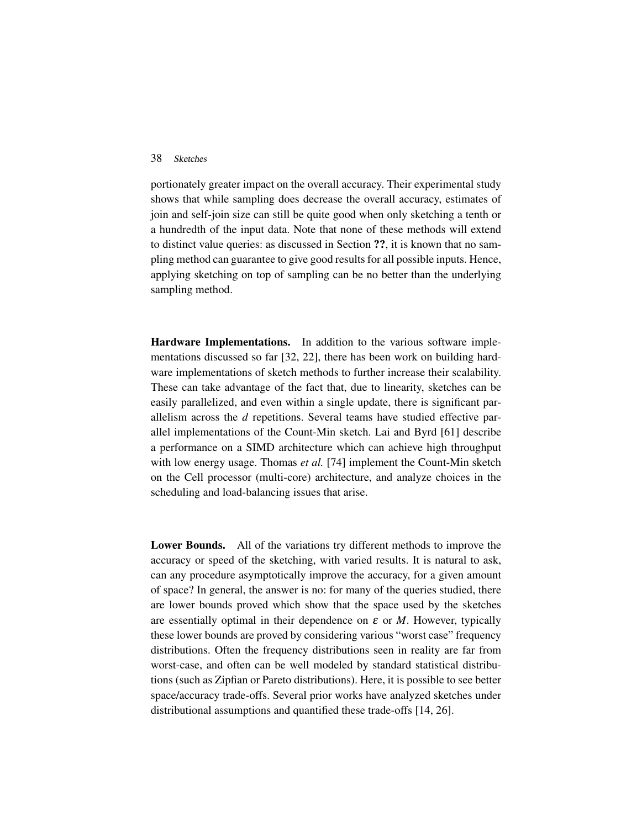portionately greater impact on the overall accuracy. Their experimental study shows that while sampling does decrease the overall accuracy, estimates of join and self-join size can still be quite good when only sketching a tenth or a hundredth of the input data. Note that none of these methods will extend to distinct value queries: as discussed in Section ??, it is known that no sampling method can guarantee to give good results for all possible inputs. Hence, applying sketching on top of sampling can be no better than the underlying sampling method.

Hardware Implementations. In addition to the various software implementations discussed so far [32, 22], there has been work on building hardware implementations of sketch methods to further increase their scalability. These can take advantage of the fact that, due to linearity, sketches can be easily parallelized, and even within a single update, there is significant parallelism across the *d* repetitions. Several teams have studied effective parallel implementations of the Count-Min sketch. Lai and Byrd [61] describe a performance on a SIMD architecture which can achieve high throughput with low energy usage. Thomas *et al.* [74] implement the Count-Min sketch on the Cell processor (multi-core) architecture, and analyze choices in the scheduling and load-balancing issues that arise.

Lower Bounds. All of the variations try different methods to improve the accuracy or speed of the sketching, with varied results. It is natural to ask, can any procedure asymptotically improve the accuracy, for a given amount of space? In general, the answer is no: for many of the queries studied, there are lower bounds proved which show that the space used by the sketches are essentially optimal in their dependence on  $\varepsilon$  or  $M$ . However, typically these lower bounds are proved by considering various "worst case" frequency distributions. Often the frequency distributions seen in reality are far from worst-case, and often can be well modeled by standard statistical distributions (such as Zipfian or Pareto distributions). Here, it is possible to see better space/accuracy trade-offs. Several prior works have analyzed sketches under distributional assumptions and quantified these trade-offs [14, 26].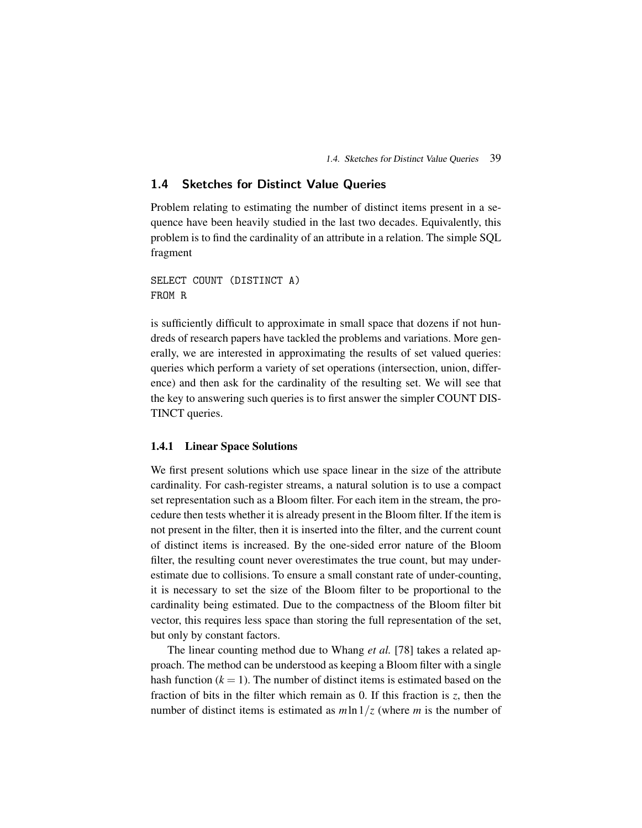## 1.4 Sketches for Distinct Value Queries

Problem relating to estimating the number of distinct items present in a sequence have been heavily studied in the last two decades. Equivalently, this problem is to find the cardinality of an attribute in a relation. The simple SQL fragment

SELECT COUNT (DISTINCT A) FROM R

is sufficiently difficult to approximate in small space that dozens if not hundreds of research papers have tackled the problems and variations. More generally, we are interested in approximating the results of set valued queries: queries which perform a variety of set operations (intersection, union, difference) and then ask for the cardinality of the resulting set. We will see that the key to answering such queries is to first answer the simpler COUNT DIS-TINCT queries.

## 1.4.1 Linear Space Solutions

We first present solutions which use space linear in the size of the attribute cardinality. For cash-register streams, a natural solution is to use a compact set representation such as a Bloom filter. For each item in the stream, the procedure then tests whether it is already present in the Bloom filter. If the item is not present in the filter, then it is inserted into the filter, and the current count of distinct items is increased. By the one-sided error nature of the Bloom filter, the resulting count never overestimates the true count, but may underestimate due to collisions. To ensure a small constant rate of under-counting, it is necessary to set the size of the Bloom filter to be proportional to the cardinality being estimated. Due to the compactness of the Bloom filter bit vector, this requires less space than storing the full representation of the set, but only by constant factors.

The linear counting method due to Whang *et al.* [78] takes a related approach. The method can be understood as keeping a Bloom filter with a single hash function  $(k = 1)$ . The number of distinct items is estimated based on the fraction of bits in the filter which remain as 0. If this fraction is *z*, then the number of distinct items is estimated as  $m \ln 1/z$  (where *m* is the number of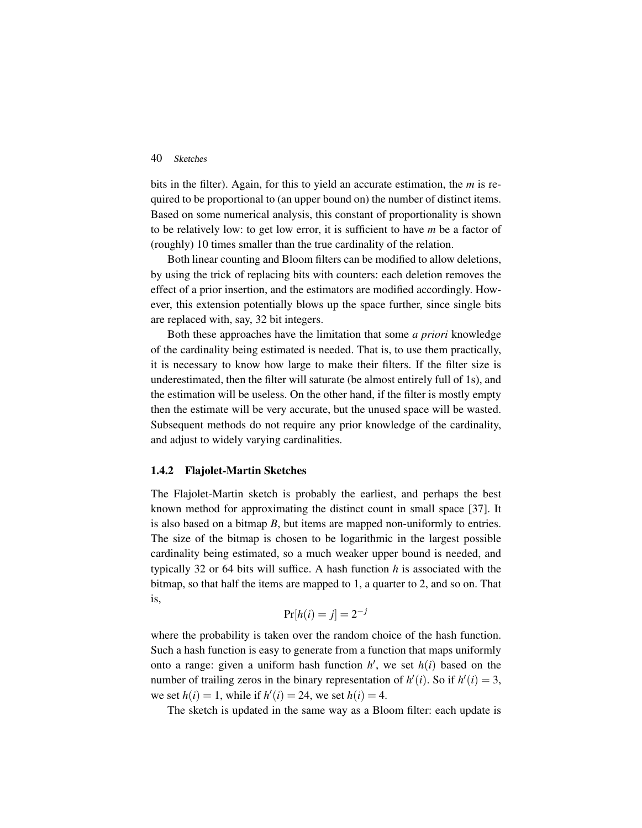bits in the filter). Again, for this to yield an accurate estimation, the *m* is required to be proportional to (an upper bound on) the number of distinct items. Based on some numerical analysis, this constant of proportionality is shown to be relatively low: to get low error, it is sufficient to have *m* be a factor of (roughly) 10 times smaller than the true cardinality of the relation.

Both linear counting and Bloom filters can be modified to allow deletions, by using the trick of replacing bits with counters: each deletion removes the effect of a prior insertion, and the estimators are modified accordingly. However, this extension potentially blows up the space further, since single bits are replaced with, say, 32 bit integers.

Both these approaches have the limitation that some *a priori* knowledge of the cardinality being estimated is needed. That is, to use them practically, it is necessary to know how large to make their filters. If the filter size is underestimated, then the filter will saturate (be almost entirely full of 1s), and the estimation will be useless. On the other hand, if the filter is mostly empty then the estimate will be very accurate, but the unused space will be wasted. Subsequent methods do not require any prior knowledge of the cardinality, and adjust to widely varying cardinalities.

#### 1.4.2 Flajolet-Martin Sketches

The Flajolet-Martin sketch is probably the earliest, and perhaps the best known method for approximating the distinct count in small space [37]. It is also based on a bitmap *B*, but items are mapped non-uniformly to entries. The size of the bitmap is chosen to be logarithmic in the largest possible cardinality being estimated, so a much weaker upper bound is needed, and typically 32 or 64 bits will suffice. A hash function *h* is associated with the bitmap, so that half the items are mapped to 1, a quarter to 2, and so on. That is,

$$
\Pr[h(i) = j] = 2^{-j}
$$

where the probability is taken over the random choice of the hash function. Such a hash function is easy to generate from a function that maps uniformly onto a range: given a uniform hash function  $h'$ , we set  $h(i)$  based on the number of trailing zeros in the binary representation of  $h'(i)$ . So if  $h'(i) = 3$ , we set  $h(i) = 1$ , while if  $h'(i) = 24$ , we set  $h(i) = 4$ .

The sketch is updated in the same way as a Bloom filter: each update is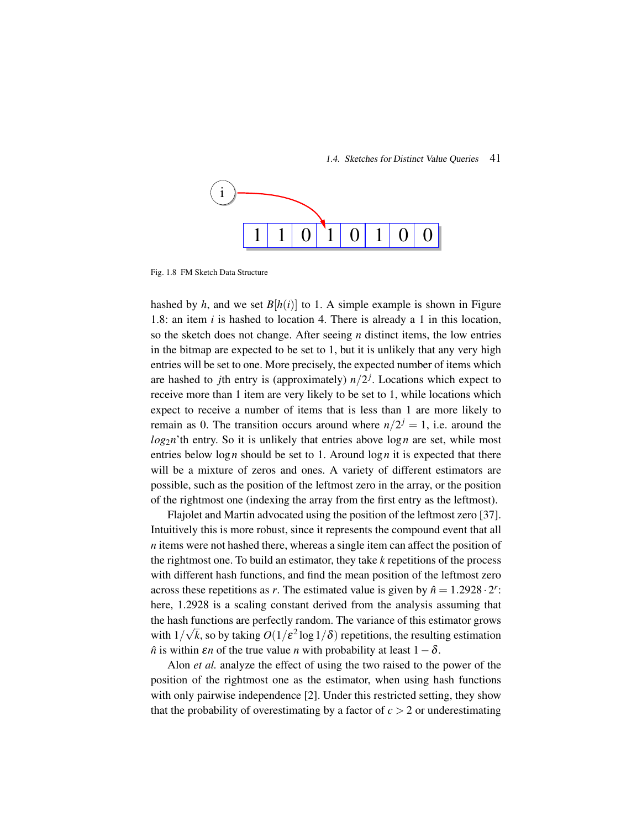

Fig. 1.8 FM Sketch Data Structure

hashed by *h*, and we set  $B[h(i)]$  to 1. A simple example is shown in Figure 1.8: an item *i* is hashed to location 4. There is already a 1 in this location, so the sketch does not change. After seeing *n* distinct items, the low entries in the bitmap are expected to be set to 1, but it is unlikely that any very high entries will be set to one. More precisely, the expected number of items which are hashed to *j*th entry is (approximately)  $n/2<sup>j</sup>$ . Locations which expect to receive more than 1 item are very likely to be set to 1, while locations which expect to receive a number of items that is less than 1 are more likely to remain as 0. The transition occurs around where  $n/2^j = 1$ , i.e. around the  $log_2 n$ 'th entry. So it is unlikely that entries above  $log n$  are set, while most entries below log*n* should be set to 1. Around log*n* it is expected that there will be a mixture of zeros and ones. A variety of different estimators are possible, such as the position of the leftmost zero in the array, or the position of the rightmost one (indexing the array from the first entry as the leftmost).

Flajolet and Martin advocated using the position of the leftmost zero [37]. Intuitively this is more robust, since it represents the compound event that all *n* items were not hashed there, whereas a single item can affect the position of the rightmost one. To build an estimator, they take *k* repetitions of the process with different hash functions, and find the mean position of the leftmost zero across these repetitions as *r*. The estimated value is given by  $\hat{n} = 1.2928 \cdot 2^r$ : here, 1.2928 is a scaling constant derived from the analysis assuming that the hash functions are perfectly random. The variance of this estimator grows with  $1/\sqrt{k}$ , so by taking  $O(1/\varepsilon^2 \log 1/\delta)$  repetitions, the resulting estimation  $\hat{n}$  is within  $\varepsilon n$  of the true value *n* with probability at least  $1-\delta$ .

Alon *et al.* analyze the effect of using the two raised to the power of the position of the rightmost one as the estimator, when using hash functions with only pairwise independence [2]. Under this restricted setting, they show that the probability of overestimating by a factor of  $c > 2$  or underestimating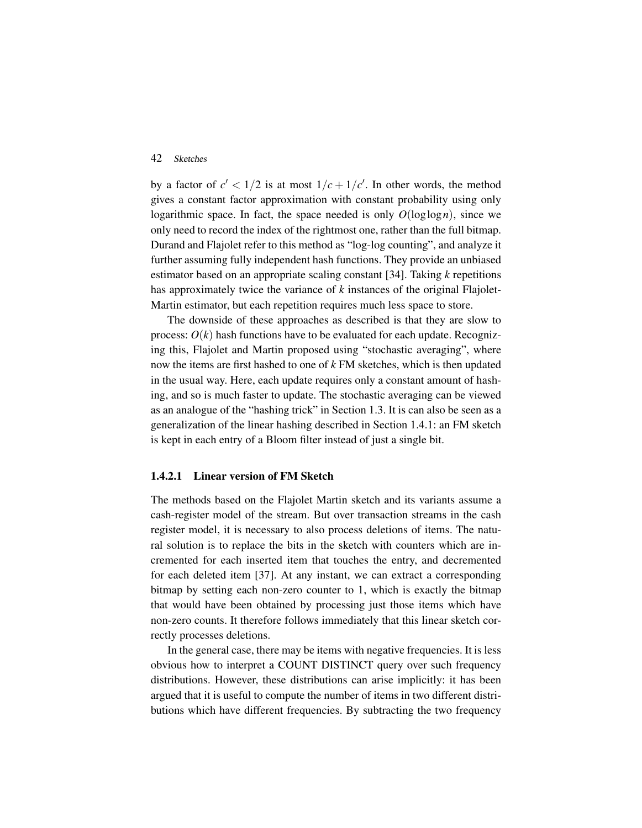by a factor of  $c' < 1/2$  is at most  $1/c + 1/c'$ . In other words, the method gives a constant factor approximation with constant probability using only logarithmic space. In fact, the space needed is only  $O(\log \log n)$ , since we only need to record the index of the rightmost one, rather than the full bitmap. Durand and Flajolet refer to this method as "log-log counting", and analyze it further assuming fully independent hash functions. They provide an unbiased estimator based on an appropriate scaling constant [34]. Taking *k* repetitions has approximately twice the variance of *k* instances of the original Flajolet-Martin estimator, but each repetition requires much less space to store.

The downside of these approaches as described is that they are slow to process:  $O(k)$  hash functions have to be evaluated for each update. Recognizing this, Flajolet and Martin proposed using "stochastic averaging", where now the items are first hashed to one of *k* FM sketches, which is then updated in the usual way. Here, each update requires only a constant amount of hashing, and so is much faster to update. The stochastic averaging can be viewed as an analogue of the "hashing trick" in Section 1.3. It is can also be seen as a generalization of the linear hashing described in Section 1.4.1: an FM sketch is kept in each entry of a Bloom filter instead of just a single bit.

## 1.4.2.1 Linear version of FM Sketch

The methods based on the Flajolet Martin sketch and its variants assume a cash-register model of the stream. But over transaction streams in the cash register model, it is necessary to also process deletions of items. The natural solution is to replace the bits in the sketch with counters which are incremented for each inserted item that touches the entry, and decremented for each deleted item [37]. At any instant, we can extract a corresponding bitmap by setting each non-zero counter to 1, which is exactly the bitmap that would have been obtained by processing just those items which have non-zero counts. It therefore follows immediately that this linear sketch correctly processes deletions.

In the general case, there may be items with negative frequencies. It is less obvious how to interpret a COUNT DISTINCT query over such frequency distributions. However, these distributions can arise implicitly: it has been argued that it is useful to compute the number of items in two different distributions which have different frequencies. By subtracting the two frequency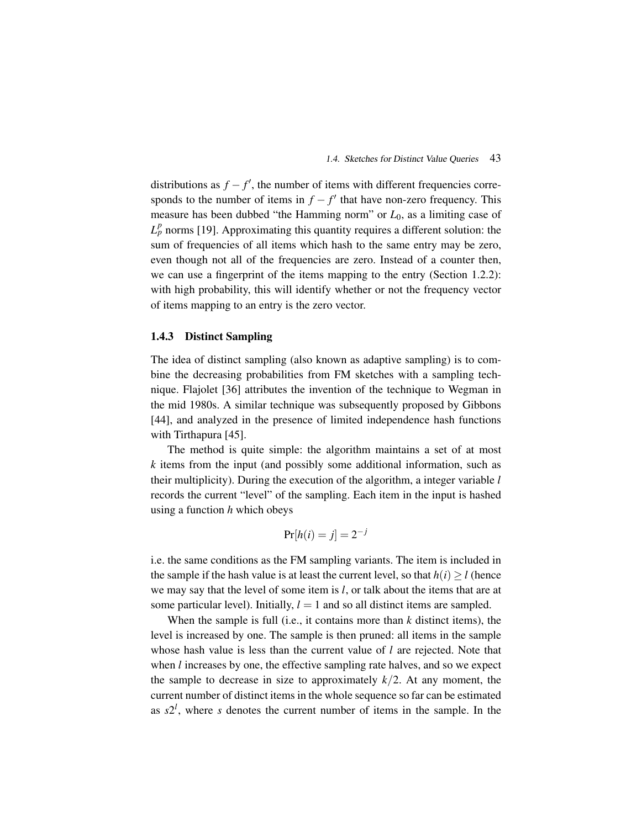distributions as  $f - f'$ , the number of items with different frequencies corresponds to the number of items in  $f - f'$  that have non-zero frequency. This measure has been dubbed "the Hamming norm" or  $L_0$ , as a limiting case of  $L_p^p$  norms [19]. Approximating this quantity requires a different solution: the sum of frequencies of all items which hash to the same entry may be zero, even though not all of the frequencies are zero. Instead of a counter then, we can use a fingerprint of the items mapping to the entry (Section 1.2.2): with high probability, this will identify whether or not the frequency vector of items mapping to an entry is the zero vector.

## 1.4.3 Distinct Sampling

The idea of distinct sampling (also known as adaptive sampling) is to combine the decreasing probabilities from FM sketches with a sampling technique. Flajolet [36] attributes the invention of the technique to Wegman in the mid 1980s. A similar technique was subsequently proposed by Gibbons [44], and analyzed in the presence of limited independence hash functions with Tirthapura [45].

The method is quite simple: the algorithm maintains a set of at most *k* items from the input (and possibly some additional information, such as their multiplicity). During the execution of the algorithm, a integer variable *l* records the current "level" of the sampling. Each item in the input is hashed using a function *h* which obeys

$$
\Pr[h(i) = j] = 2^{-j}
$$

i.e. the same conditions as the FM sampling variants. The item is included in the sample if the hash value is at least the current level, so that  $h(i) \geq l$  (hence we may say that the level of some item is *l*, or talk about the items that are at some particular level). Initially,  $l = 1$  and so all distinct items are sampled.

When the sample is full (i.e., it contains more than *k* distinct items), the level is increased by one. The sample is then pruned: all items in the sample whose hash value is less than the current value of *l* are rejected. Note that when *l* increases by one, the effective sampling rate halves, and so we expect the sample to decrease in size to approximately  $k/2$ . At any moment, the current number of distinct items in the whole sequence so far can be estimated as  $s2<sup>l</sup>$ , where *s* denotes the current number of items in the sample. In the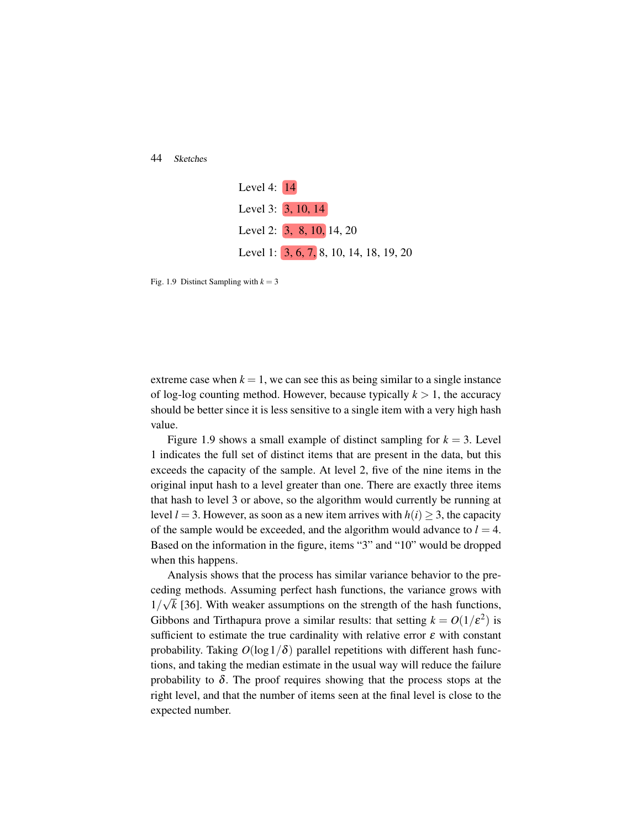

Fig. 1.9 Distinct Sampling with  $k = 3$ 

extreme case when  $k = 1$ , we can see this as being similar to a single instance of log-log counting method. However, because typically  $k > 1$ , the accuracy should be better since it is less sensitive to a single item with a very high hash value.

Figure 1.9 shows a small example of distinct sampling for  $k = 3$ . Level 1 indicates the full set of distinct items that are present in the data, but this exceeds the capacity of the sample. At level 2, five of the nine items in the original input hash to a level greater than one. There are exactly three items that hash to level 3 or above, so the algorithm would currently be running at level  $l = 3$ . However, as soon as a new item arrives with  $h(i) \geq 3$ , the capacity of the sample would be exceeded, and the algorithm would advance to  $l = 4$ . Based on the information in the figure, items "3" and "10" would be dropped when this happens.

Analysis shows that the process has similar variance behavior to the preceding methods. Assuming perfect hash functions, the variance grows with  $1/\sqrt{k}$  [36]. With weaker assumptions on the strength of the hash functions, Gibbons and Tirthapura prove a similar results: that setting  $k = O(1/\varepsilon^2)$  is sufficient to estimate the true cardinality with relative error  $\varepsilon$  with constant probability. Taking  $O(\log 1/\delta)$  parallel repetitions with different hash functions, and taking the median estimate in the usual way will reduce the failure probability to  $\delta$ . The proof requires showing that the process stops at the right level, and that the number of items seen at the final level is close to the expected number.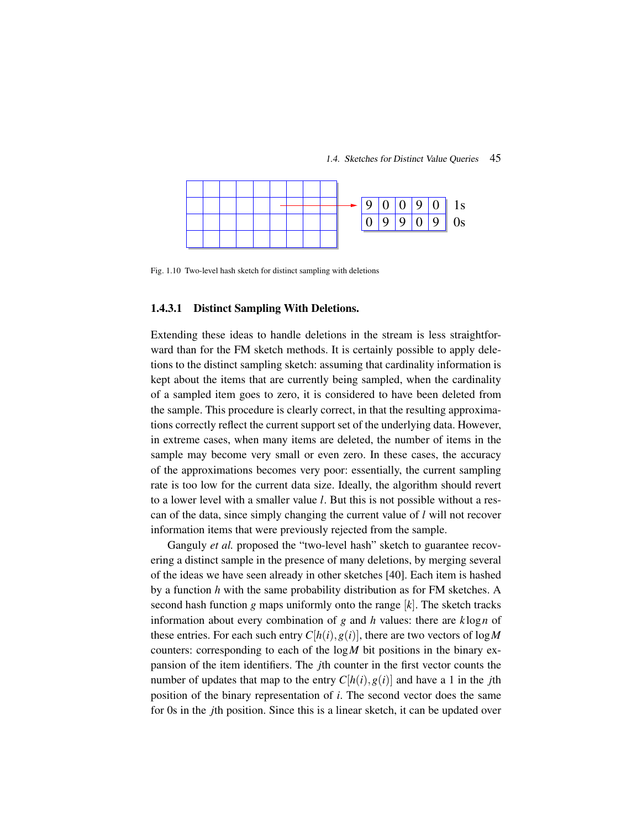

Fig. 1.10 Two-level hash sketch for distinct sampling with deletions

## 1.4.3.1 Distinct Sampling With Deletions.

Extending these ideas to handle deletions in the stream is less straightforward than for the FM sketch methods. It is certainly possible to apply deletions to the distinct sampling sketch: assuming that cardinality information is kept about the items that are currently being sampled, when the cardinality of a sampled item goes to zero, it is considered to have been deleted from the sample. This procedure is clearly correct, in that the resulting approximations correctly reflect the current support set of the underlying data. However, in extreme cases, when many items are deleted, the number of items in the sample may become very small or even zero. In these cases, the accuracy of the approximations becomes very poor: essentially, the current sampling rate is too low for the current data size. Ideally, the algorithm should revert to a lower level with a smaller value *l*. But this is not possible without a rescan of the data, since simply changing the current value of *l* will not recover information items that were previously rejected from the sample.

Ganguly *et al.* proposed the "two-level hash" sketch to guarantee recovering a distinct sample in the presence of many deletions, by merging several of the ideas we have seen already in other sketches [40]. Each item is hashed by a function *h* with the same probability distribution as for FM sketches. A second hash function *g* maps uniformly onto the range [*k*]. The sketch tracks information about every combination of *g* and *h* values: there are *k* log*n* of these entries. For each such entry  $C[h(i), g(i)]$ , there are two vectors of  $log M$ counters: corresponding to each of the log*M* bit positions in the binary expansion of the item identifiers. The *j*th counter in the first vector counts the number of updates that map to the entry  $C[h(i), g(i)]$  and have a 1 in the *j*th position of the binary representation of *i*. The second vector does the same for 0s in the *j*th position. Since this is a linear sketch, it can be updated over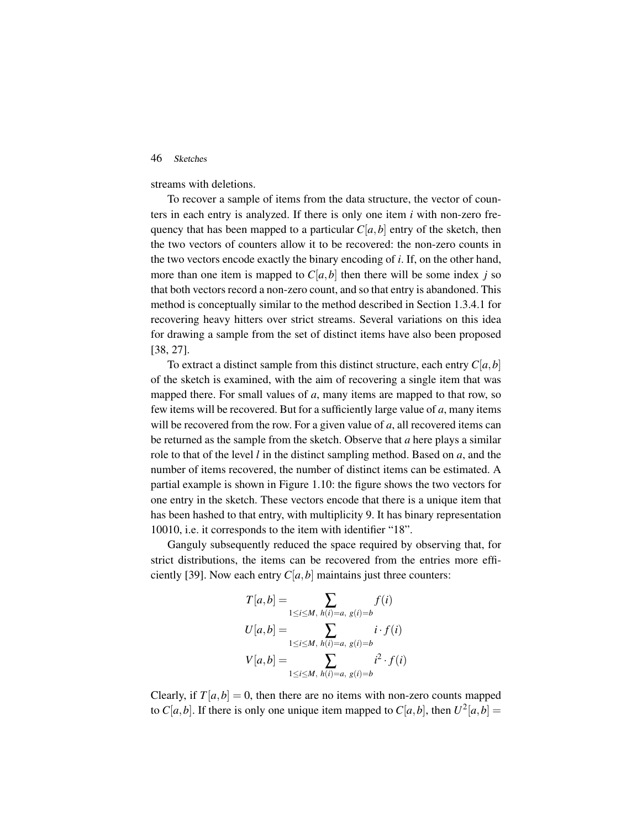streams with deletions.

To recover a sample of items from the data structure, the vector of counters in each entry is analyzed. If there is only one item *i* with non-zero frequency that has been mapped to a particular  $C[a, b]$  entry of the sketch, then the two vectors of counters allow it to be recovered: the non-zero counts in the two vectors encode exactly the binary encoding of *i*. If, on the other hand, more than one item is mapped to  $C[a, b]$  then there will be some index *j* so that both vectors record a non-zero count, and so that entry is abandoned. This method is conceptually similar to the method described in Section 1.3.4.1 for recovering heavy hitters over strict streams. Several variations on this idea for drawing a sample from the set of distinct items have also been proposed [38, 27].

To extract a distinct sample from this distinct structure, each entry  $C[a,b]$ of the sketch is examined, with the aim of recovering a single item that was mapped there. For small values of *a*, many items are mapped to that row, so few items will be recovered. But for a sufficiently large value of *a*, many items will be recovered from the row. For a given value of *a*, all recovered items can be returned as the sample from the sketch. Observe that *a* here plays a similar role to that of the level *l* in the distinct sampling method. Based on *a*, and the number of items recovered, the number of distinct items can be estimated. A partial example is shown in Figure 1.10: the figure shows the two vectors for one entry in the sketch. These vectors encode that there is a unique item that has been hashed to that entry, with multiplicity 9. It has binary representation 10010, i.e. it corresponds to the item with identifier "18".

Ganguly subsequently reduced the space required by observing that, for strict distributions, the items can be recovered from the entries more efficiently [39]. Now each entry  $C[a,b]$  maintains just three counters:

$$
T[a,b] = \sum_{1 \le i \le M, h(i) = a, g(i) = b} f(i)
$$
  
\n
$$
U[a,b] = \sum_{1 \le i \le M, h(i) = a, g(i) = b} i \cdot f(i)
$$
  
\n
$$
V[a,b] = \sum_{1 \le i \le M, h(i) = a, g(i) = b} i^{2} \cdot f(i)
$$

Clearly, if  $T[a,b] = 0$ , then there are no items with non-zero counts mapped to  $C[a,b]$ . If there is only one unique item mapped to  $C[a,b]$ , then  $U^2[a,b]$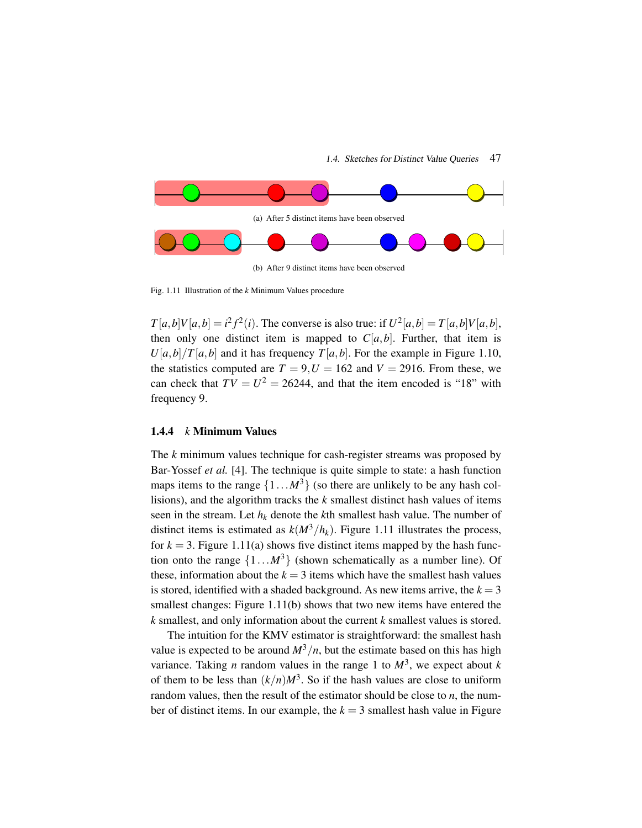

(b) After 9 distinct items have been observed

Fig. 1.11 Illustration of the *k* Minimum Values procedure

 $T[a,b]V[a,b] = i^2 f^2(i)$ . The converse is also true: if  $U^2[a,b] = T[a,b]V[a,b]$ , then only one distinct item is mapped to  $C[a, b]$ . Further, that item is  $U[a,b]/T[a,b]$  and it has frequency  $T[a,b]$ . For the example in Figure 1.10, the statistics computed are  $T = 9, U = 162$  and  $V = 2916$ . From these, we can check that  $TV = U^2 = 26244$ , and that the item encoded is "18" with frequency 9.

#### 1.4.4 *k* Minimum Values

The *k* minimum values technique for cash-register streams was proposed by Bar-Yossef *et al.* [4]. The technique is quite simple to state: a hash function maps items to the range  $\{1...M^3\}$  (so there are unlikely to be any hash collisions), and the algorithm tracks the *k* smallest distinct hash values of items seen in the stream. Let  $h_k$  denote the *k*th smallest hash value. The number of distinct items is estimated as  $k(M^3/h_k)$ . Figure 1.11 illustrates the process, for  $k = 3$ . Figure 1.11(a) shows five distinct items mapped by the hash function onto the range  $\{1...M^3\}$  (shown schematically as a number line). Of these, information about the  $k = 3$  items which have the smallest hash values is stored, identified with a shaded background. As new items arrive, the  $k = 3$ smallest changes: Figure 1.11(b) shows that two new items have entered the *k* smallest, and only information about the current *k* smallest values is stored.

The intuition for the KMV estimator is straightforward: the smallest hash value is expected to be around  $M^3/n$ , but the estimate based on this has high variance. Taking *n* random values in the range 1 to  $M^3$ , we expect about *k* of them to be less than  $(k/n)M^3$ . So if the hash values are close to uniform random values, then the result of the estimator should be close to *n*, the number of distinct items. In our example, the  $k = 3$  smallest hash value in Figure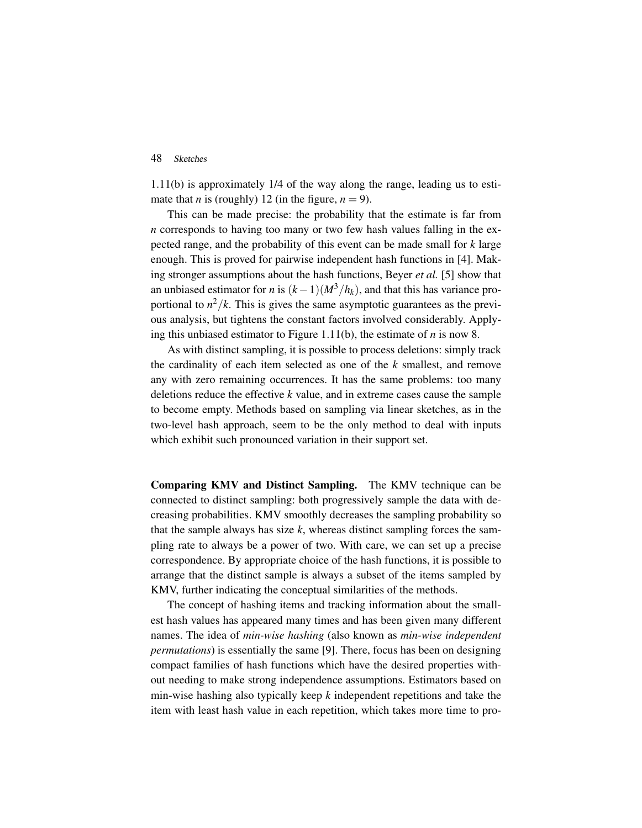1.11(b) is approximately 1/4 of the way along the range, leading us to estimate that *n* is (roughly) 12 (in the figure,  $n = 9$ ).

This can be made precise: the probability that the estimate is far from *n* corresponds to having too many or two few hash values falling in the expected range, and the probability of this event can be made small for *k* large enough. This is proved for pairwise independent hash functions in [4]. Making stronger assumptions about the hash functions, Beyer *et al.* [5] show that an unbiased estimator for *n* is  $(k-1)(M^3/h_k)$ , and that this has variance proportional to  $n^2/k$ . This is gives the same asymptotic guarantees as the previous analysis, but tightens the constant factors involved considerably. Applying this unbiased estimator to Figure 1.11(b), the estimate of *n* is now 8.

As with distinct sampling, it is possible to process deletions: simply track the cardinality of each item selected as one of the *k* smallest, and remove any with zero remaining occurrences. It has the same problems: too many deletions reduce the effective *k* value, and in extreme cases cause the sample to become empty. Methods based on sampling via linear sketches, as in the two-level hash approach, seem to be the only method to deal with inputs which exhibit such pronounced variation in their support set.

Comparing KMV and Distinct Sampling. The KMV technique can be connected to distinct sampling: both progressively sample the data with decreasing probabilities. KMV smoothly decreases the sampling probability so that the sample always has size  $k$ , whereas distinct sampling forces the sampling rate to always be a power of two. With care, we can set up a precise correspondence. By appropriate choice of the hash functions, it is possible to arrange that the distinct sample is always a subset of the items sampled by KMV, further indicating the conceptual similarities of the methods.

The concept of hashing items and tracking information about the smallest hash values has appeared many times and has been given many different names. The idea of *min-wise hashing* (also known as *min-wise independent permutations*) is essentially the same [9]. There, focus has been on designing compact families of hash functions which have the desired properties without needing to make strong independence assumptions. Estimators based on min-wise hashing also typically keep *k* independent repetitions and take the item with least hash value in each repetition, which takes more time to pro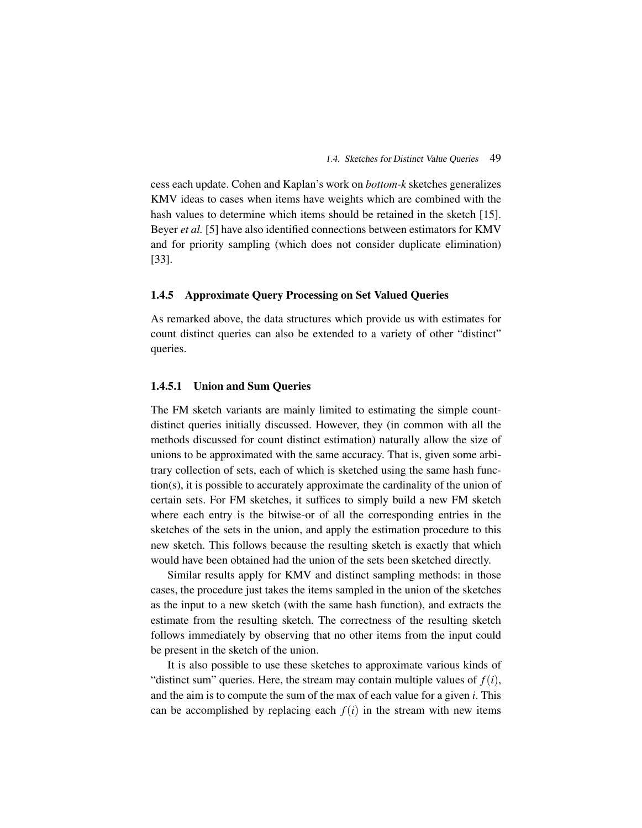cess each update. Cohen and Kaplan's work on *bottom-k* sketches generalizes KMV ideas to cases when items have weights which are combined with the hash values to determine which items should be retained in the sketch [15]. Beyer *et al.* [5] have also identified connections between estimators for KMV and for priority sampling (which does not consider duplicate elimination) [33].

#### 1.4.5 Approximate Query Processing on Set Valued Queries

As remarked above, the data structures which provide us with estimates for count distinct queries can also be extended to a variety of other "distinct" queries.

#### 1.4.5.1 Union and Sum Queries

The FM sketch variants are mainly limited to estimating the simple countdistinct queries initially discussed. However, they (in common with all the methods discussed for count distinct estimation) naturally allow the size of unions to be approximated with the same accuracy. That is, given some arbitrary collection of sets, each of which is sketched using the same hash function(s), it is possible to accurately approximate the cardinality of the union of certain sets. For FM sketches, it suffices to simply build a new FM sketch where each entry is the bitwise-or of all the corresponding entries in the sketches of the sets in the union, and apply the estimation procedure to this new sketch. This follows because the resulting sketch is exactly that which would have been obtained had the union of the sets been sketched directly.

Similar results apply for KMV and distinct sampling methods: in those cases, the procedure just takes the items sampled in the union of the sketches as the input to a new sketch (with the same hash function), and extracts the estimate from the resulting sketch. The correctness of the resulting sketch follows immediately by observing that no other items from the input could be present in the sketch of the union.

It is also possible to use these sketches to approximate various kinds of "distinct sum" queries. Here, the stream may contain multiple values of  $f(i)$ , and the aim is to compute the sum of the max of each value for a given *i*. This can be accomplished by replacing each  $f(i)$  in the stream with new items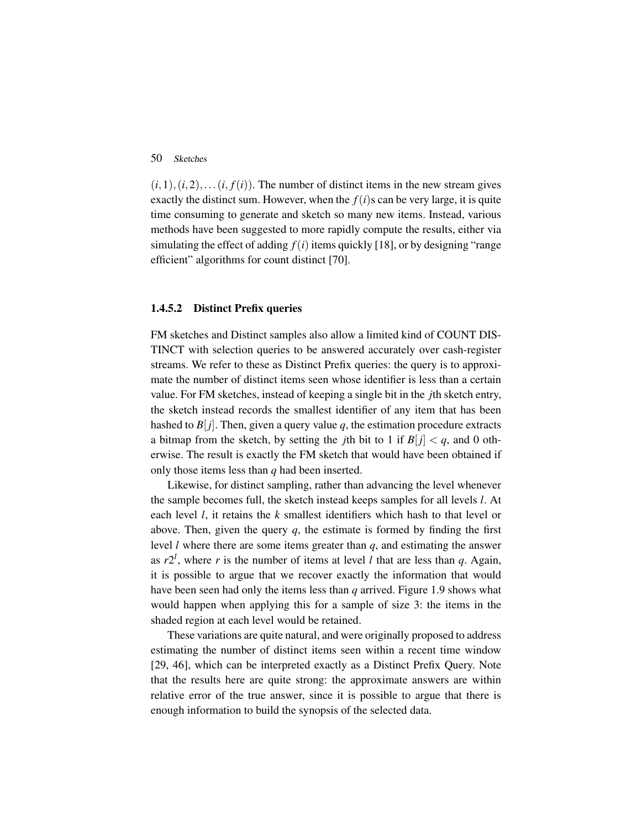$(i,1), (i,2), \ldots (i, f(i))$ . The number of distinct items in the new stream gives exactly the distinct sum. However, when the  $f(i)$ s can be very large, it is quite time consuming to generate and sketch so many new items. Instead, various methods have been suggested to more rapidly compute the results, either via simulating the effect of adding  $f(i)$  items quickly [18], or by designing "range" efficient" algorithms for count distinct [70].

### 1.4.5.2 Distinct Prefix queries

FM sketches and Distinct samples also allow a limited kind of COUNT DIS-TINCT with selection queries to be answered accurately over cash-register streams. We refer to these as Distinct Prefix queries: the query is to approximate the number of distinct items seen whose identifier is less than a certain value. For FM sketches, instead of keeping a single bit in the *j*th sketch entry, the sketch instead records the smallest identifier of any item that has been hashed to  $B[i]$ . Then, given a query value q, the estimation procedure extracts a bitmap from the sketch, by setting the *j*th bit to 1 if  $B[j] < q$ , and 0 otherwise. The result is exactly the FM sketch that would have been obtained if only those items less than *q* had been inserted.

Likewise, for distinct sampling, rather than advancing the level whenever the sample becomes full, the sketch instead keeps samples for all levels *l*. At each level *l*, it retains the *k* smallest identifiers which hash to that level or above. Then, given the query  $q$ , the estimate is formed by finding the first level *l* where there are some items greater than *q*, and estimating the answer as  $r2^l$ , where r is the number of items at level *l* that are less than *q*. Again, it is possible to argue that we recover exactly the information that would have been seen had only the items less than *q* arrived. Figure 1.9 shows what would happen when applying this for a sample of size 3: the items in the shaded region at each level would be retained.

These variations are quite natural, and were originally proposed to address estimating the number of distinct items seen within a recent time window [29, 46], which can be interpreted exactly as a Distinct Prefix Query. Note that the results here are quite strong: the approximate answers are within relative error of the true answer, since it is possible to argue that there is enough information to build the synopsis of the selected data.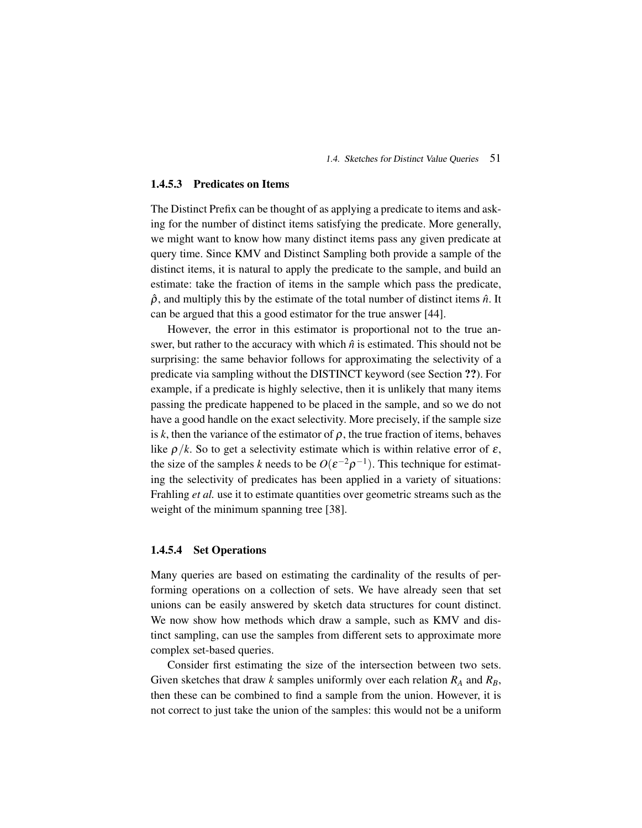## 1.4.5.3 Predicates on Items

The Distinct Prefix can be thought of as applying a predicate to items and asking for the number of distinct items satisfying the predicate. More generally, we might want to know how many distinct items pass any given predicate at query time. Since KMV and Distinct Sampling both provide a sample of the distinct items, it is natural to apply the predicate to the sample, and build an estimate: take the fraction of items in the sample which pass the predicate,  $\hat{\rho}$ , and multiply this by the estimate of the total number of distinct items  $\hat{n}$ . It can be argued that this a good estimator for the true answer [44].

However, the error in this estimator is proportional not to the true answer, but rather to the accuracy with which  $\hat{n}$  is estimated. This should not be surprising: the same behavior follows for approximating the selectivity of a predicate via sampling without the DISTINCT keyword (see Section ??). For example, if a predicate is highly selective, then it is unlikely that many items passing the predicate happened to be placed in the sample, and so we do not have a good handle on the exact selectivity. More precisely, if the sample size is *k*, then the variance of the estimator of  $\rho$ , the true fraction of items, behaves like  $\rho/k$ . So to get a selectivity estimate which is within relative error of  $\varepsilon$ , the size of the samples *k* needs to be  $O(\varepsilon^{-2} \rho^{-1})$ . This technique for estimating the selectivity of predicates has been applied in a variety of situations: Frahling *et al.* use it to estimate quantities over geometric streams such as the weight of the minimum spanning tree [38].

## 1.4.5.4 Set Operations

Many queries are based on estimating the cardinality of the results of performing operations on a collection of sets. We have already seen that set unions can be easily answered by sketch data structures for count distinct. We now show how methods which draw a sample, such as KMV and distinct sampling, can use the samples from different sets to approximate more complex set-based queries.

Consider first estimating the size of the intersection between two sets. Given sketches that draw *k* samples uniformly over each relation  $R_A$  and  $R_B$ , then these can be combined to find a sample from the union. However, it is not correct to just take the union of the samples: this would not be a uniform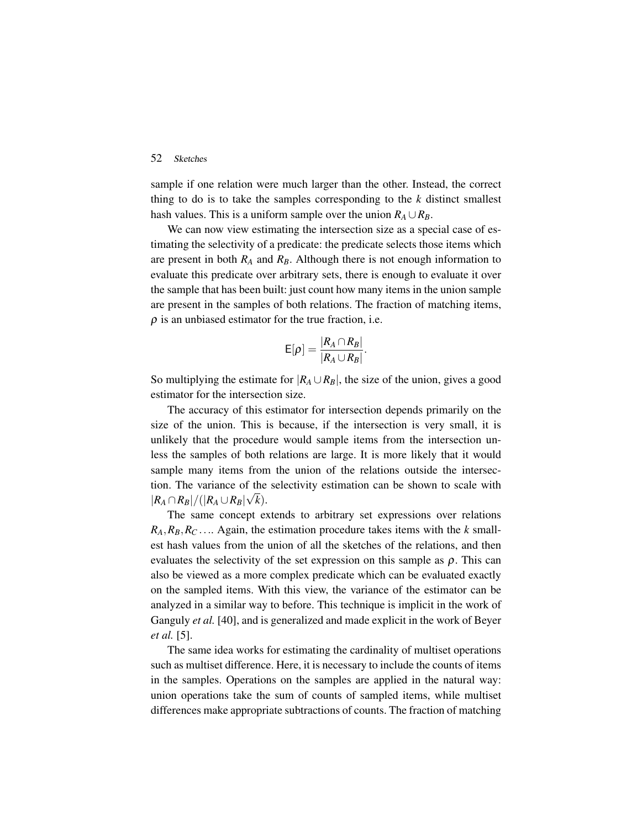sample if one relation were much larger than the other. Instead, the correct thing to do is to take the samples corresponding to the *k* distinct smallest hash values. This is a uniform sample over the union  $R_A \cup R_B$ .

We can now view estimating the intersection size as a special case of estimating the selectivity of a predicate: the predicate selects those items which are present in both  $R_A$  and  $R_B$ . Although there is not enough information to evaluate this predicate over arbitrary sets, there is enough to evaluate it over the sample that has been built: just count how many items in the union sample are present in the samples of both relations. The fraction of matching items,  $\rho$  is an unbiased estimator for the true fraction, i.e.

$$
\mathsf{E}[\rho] = \frac{|R_A \cap R_B|}{|R_A \cup R_B|}.
$$

So multiplying the estimate for  $|R_A \cup R_B|$ , the size of the union, gives a good estimator for the intersection size.

The accuracy of this estimator for intersection depends primarily on the size of the union. This is because, if the intersection is very small, it is unlikely that the procedure would sample items from the intersection unless the samples of both relations are large. It is more likely that it would sample many items from the union of the relations outside the intersection. The variance of the selectivity estimation can be shown to scale with  $|R_A \cap R_B|/(|R_A \cup R_B| \sqrt{k}).$ 

The same concept extends to arbitrary set expressions over relations  $R_A, R_B, R_C$ .... Again, the estimation procedure takes items with the *k* smallest hash values from the union of all the sketches of the relations, and then evaluates the selectivity of the set expression on this sample as  $\rho$ . This can also be viewed as a more complex predicate which can be evaluated exactly on the sampled items. With this view, the variance of the estimator can be analyzed in a similar way to before. This technique is implicit in the work of Ganguly *et al.* [40], and is generalized and made explicit in the work of Beyer *et al.* [5].

The same idea works for estimating the cardinality of multiset operations such as multiset difference. Here, it is necessary to include the counts of items in the samples. Operations on the samples are applied in the natural way: union operations take the sum of counts of sampled items, while multiset differences make appropriate subtractions of counts. The fraction of matching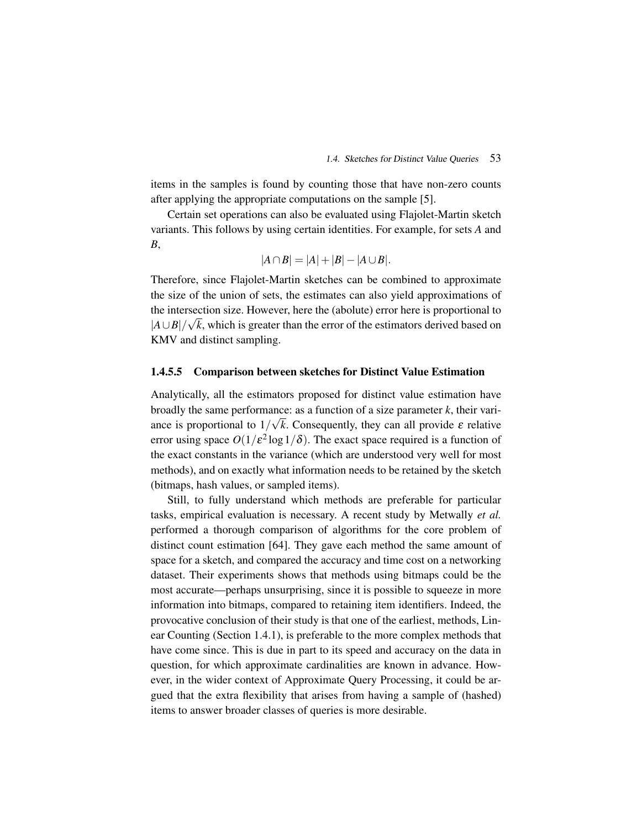items in the samples is found by counting those that have non-zero counts after applying the appropriate computations on the sample [5].

Certain set operations can also be evaluated using Flajolet-Martin sketch variants. This follows by using certain identities. For example, for sets *A* and *B*,

$$
|A \cap B| = |A| + |B| - |A \cup B|.
$$

Therefore, since Flajolet-Martin sketches can be combined to approximate the size of the union of sets, the estimates can also yield approximations of the intersection size. However, here the (abolute) error here is proportional to  $|A \cup B| / \sqrt{k}$ , which is greater than the error of the estimators derived based on KMV and distinct sampling.

## 1.4.5.5 Comparison between sketches for Distinct Value Estimation

Analytically, all the estimators proposed for distinct value estimation have broadly the same performance: as a function of a size parameter  $k$ , their variance is proportional to  $1/\sqrt{k}$ . Consequently, they can all provide  $\varepsilon$  relative error using space  $O(1/\varepsilon^2 \log 1/\delta)$ . The exact space required is a function of the exact constants in the variance (which are understood very well for most methods), and on exactly what information needs to be retained by the sketch (bitmaps, hash values, or sampled items).

Still, to fully understand which methods are preferable for particular tasks, empirical evaluation is necessary. A recent study by Metwally *et al.* performed a thorough comparison of algorithms for the core problem of distinct count estimation [64]. They gave each method the same amount of space for a sketch, and compared the accuracy and time cost on a networking dataset. Their experiments shows that methods using bitmaps could be the most accurate—perhaps unsurprising, since it is possible to squeeze in more information into bitmaps, compared to retaining item identifiers. Indeed, the provocative conclusion of their study is that one of the earliest, methods, Linear Counting (Section 1.4.1), is preferable to the more complex methods that have come since. This is due in part to its speed and accuracy on the data in question, for which approximate cardinalities are known in advance. However, in the wider context of Approximate Query Processing, it could be argued that the extra flexibility that arises from having a sample of (hashed) items to answer broader classes of queries is more desirable.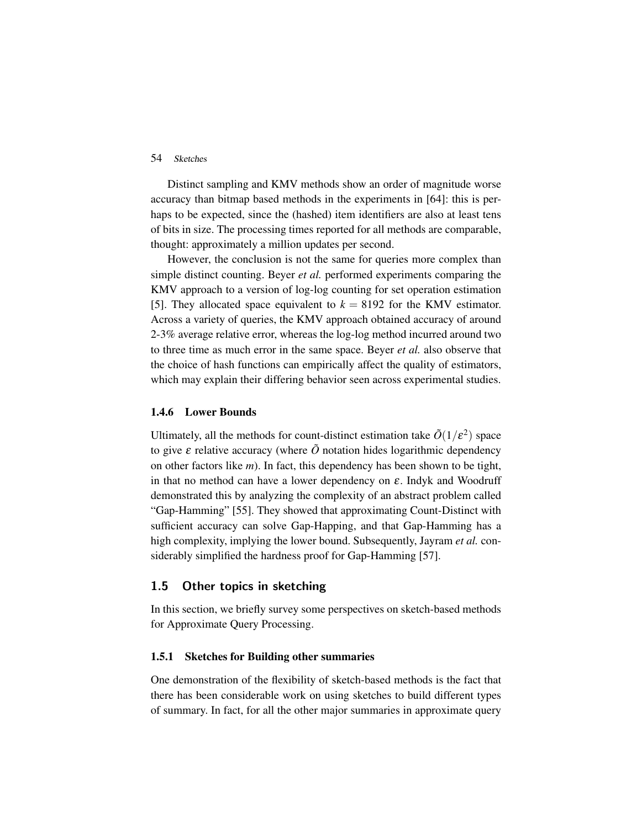Distinct sampling and KMV methods show an order of magnitude worse accuracy than bitmap based methods in the experiments in [64]: this is perhaps to be expected, since the (hashed) item identifiers are also at least tens of bits in size. The processing times reported for all methods are comparable, thought: approximately a million updates per second.

However, the conclusion is not the same for queries more complex than simple distinct counting. Beyer *et al.* performed experiments comparing the KMV approach to a version of log-log counting for set operation estimation [5]. They allocated space equivalent to  $k = 8192$  for the KMV estimator. Across a variety of queries, the KMV approach obtained accuracy of around 2-3% average relative error, whereas the log-log method incurred around two to three time as much error in the same space. Beyer *et al.* also observe that the choice of hash functions can empirically affect the quality of estimators, which may explain their differing behavior seen across experimental studies.

## 1.4.6 Lower Bounds

Ultimately, all the methods for count-distinct estimation take  $\tilde{O}(1/\varepsilon^2)$  space to give  $\varepsilon$  relative accuracy (where  $\tilde{O}$  notation hides logarithmic dependency on other factors like *m*). In fact, this dependency has been shown to be tight, in that no method can have a lower dependency on  $\varepsilon$ . Indyk and Woodruff demonstrated this by analyzing the complexity of an abstract problem called "Gap-Hamming" [55]. They showed that approximating Count-Distinct with sufficient accuracy can solve Gap-Happing, and that Gap-Hamming has a high complexity, implying the lower bound. Subsequently, Jayram *et al.* considerably simplified the hardness proof for Gap-Hamming [57].

## 1.5 Other topics in sketching

In this section, we briefly survey some perspectives on sketch-based methods for Approximate Query Processing.

## 1.5.1 Sketches for Building other summaries

One demonstration of the flexibility of sketch-based methods is the fact that there has been considerable work on using sketches to build different types of summary. In fact, for all the other major summaries in approximate query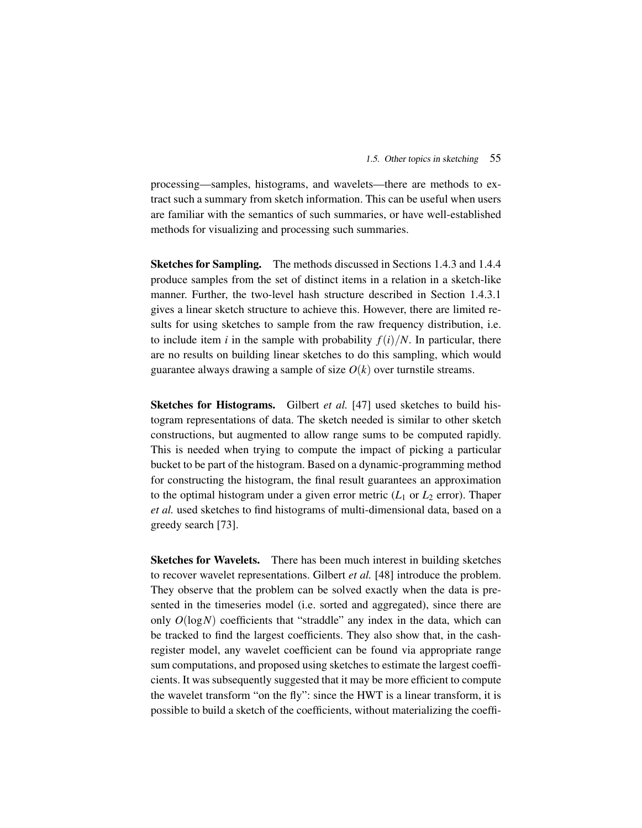processing—samples, histograms, and wavelets—there are methods to extract such a summary from sketch information. This can be useful when users are familiar with the semantics of such summaries, or have well-established methods for visualizing and processing such summaries.

Sketches for Sampling. The methods discussed in Sections 1.4.3 and 1.4.4 produce samples from the set of distinct items in a relation in a sketch-like manner. Further, the two-level hash structure described in Section 1.4.3.1 gives a linear sketch structure to achieve this. However, there are limited results for using sketches to sample from the raw frequency distribution, i.e. to include item *i* in the sample with probability  $f(i)/N$ . In particular, there are no results on building linear sketches to do this sampling, which would guarantee always drawing a sample of size  $O(k)$  over turnstile streams.

Sketches for Histograms. Gilbert *et al.* [47] used sketches to build histogram representations of data. The sketch needed is similar to other sketch constructions, but augmented to allow range sums to be computed rapidly. This is needed when trying to compute the impact of picking a particular bucket to be part of the histogram. Based on a dynamic-programming method for constructing the histogram, the final result guarantees an approximation to the optimal histogram under a given error metric  $(L_1 \text{ or } L_2 \text{ error})$ . Thaper *et al.* used sketches to find histograms of multi-dimensional data, based on a greedy search [73].

Sketches for Wavelets. There has been much interest in building sketches to recover wavelet representations. Gilbert *et al.* [48] introduce the problem. They observe that the problem can be solved exactly when the data is presented in the timeseries model (i.e. sorted and aggregated), since there are only *O*(log*N*) coefficients that "straddle" any index in the data, which can be tracked to find the largest coefficients. They also show that, in the cashregister model, any wavelet coefficient can be found via appropriate range sum computations, and proposed using sketches to estimate the largest coefficients. It was subsequently suggested that it may be more efficient to compute the wavelet transform "on the fly": since the HWT is a linear transform, it is possible to build a sketch of the coefficients, without materializing the coeffi-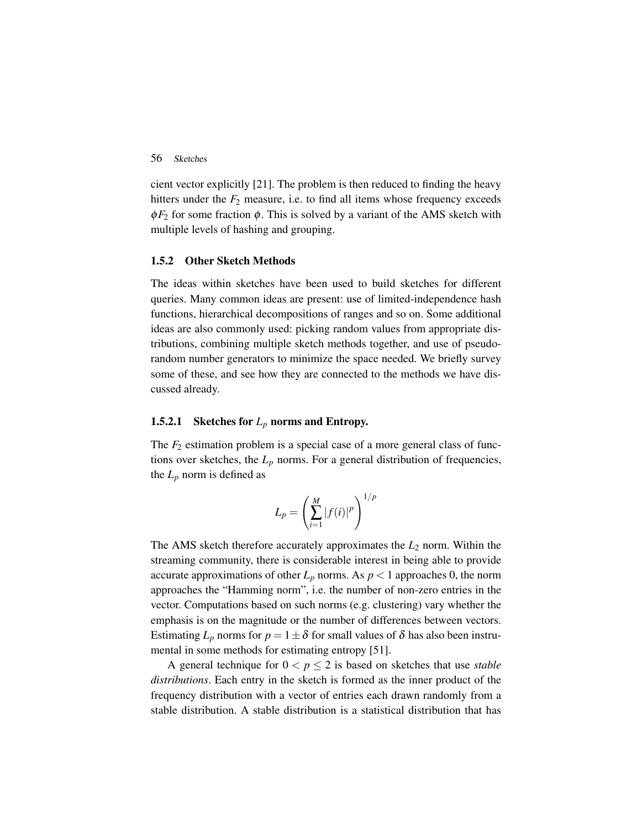cient vector explicitly [21]. The problem is then reduced to finding the heavy hitters under the  $F_2$  measure, i.e. to find all items whose frequency exceeds  $\phi F_2$  for some fraction  $\phi$ . This is solved by a variant of the AMS sketch with multiple levels of hashing and grouping.

## 1.5.2 Other Sketch Methods

The ideas within sketches have been used to build sketches for different queries. Many common ideas are present: use of limited-independence hash functions, hierarchical decompositions of ranges and so on. Some additional ideas are also commonly used: picking random values from appropriate distributions, combining multiple sketch methods together, and use of pseudorandom number generators to minimize the space needed. We briefly survey some of these, and see how they are connected to the methods we have discussed already.

## 1.5.2.1 Sketches for *L<sup>p</sup>* norms and Entropy.

The  $F_2$  estimation problem is a special case of a more general class of functions over sketches, the  $L_p$  norms. For a general distribution of frequencies, the  $L_p$  norm is defined as

$$
L_p = \left(\sum_{i=1}^M |f(i)|^p\right)^{1/p}
$$

The AMS sketch therefore accurately approximates the  $L_2$  norm. Within the streaming community, there is considerable interest in being able to provide accurate approximations of other  $L_p$  norms. As  $p < 1$  approaches 0, the norm approaches the "Hamming norm", i.e. the number of non-zero entries in the vector. Computations based on such norms (e.g. clustering) vary whether the emphasis is on the magnitude or the number of differences between vectors. Estimating  $L_p$  norms for  $p = 1 \pm \delta$  for small values of  $\delta$  has also been instrumental in some methods for estimating entropy [51].

A general technique for  $0 < p \le 2$  is based on sketches that use *stable distributions*. Each entry in the sketch is formed as the inner product of the frequency distribution with a vector of entries each drawn randomly from a stable distribution. A stable distribution is a statistical distribution that has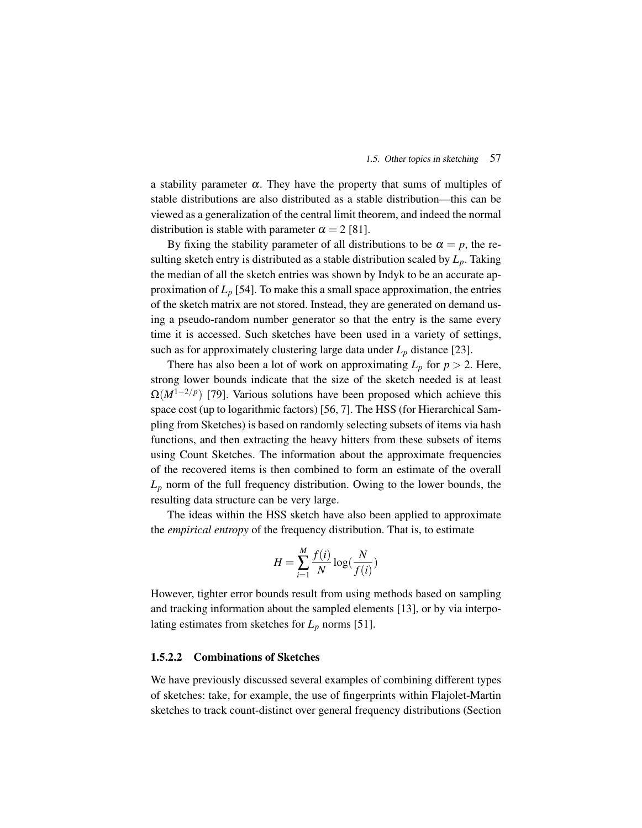a stability parameter  $\alpha$ . They have the property that sums of multiples of stable distributions are also distributed as a stable distribution—this can be viewed as a generalization of the central limit theorem, and indeed the normal distribution is stable with parameter  $\alpha = 2$  [81].

By fixing the stability parameter of all distributions to be  $\alpha = p$ , the resulting sketch entry is distributed as a stable distribution scaled by  $L_p$ . Taking the median of all the sketch entries was shown by Indyk to be an accurate approximation of  $L_p$  [54]. To make this a small space approximation, the entries of the sketch matrix are not stored. Instead, they are generated on demand using a pseudo-random number generator so that the entry is the same every time it is accessed. Such sketches have been used in a variety of settings, such as for approximately clustering large data under  $L_p$  distance [23].

There has also been a lot of work on approximating  $L_p$  for  $p > 2$ . Here, strong lower bounds indicate that the size of the sketch needed is at least Ω(*M*1−2/*<sup>p</sup>* ) [79]. Various solutions have been proposed which achieve this space cost (up to logarithmic factors) [56, 7]. The HSS (for Hierarchical Sampling from Sketches) is based on randomly selecting subsets of items via hash functions, and then extracting the heavy hitters from these subsets of items using Count Sketches. The information about the approximate frequencies of the recovered items is then combined to form an estimate of the overall  $L_p$  norm of the full frequency distribution. Owing to the lower bounds, the resulting data structure can be very large.

The ideas within the HSS sketch have also been applied to approximate the *empirical entropy* of the frequency distribution. That is, to estimate

$$
H = \sum_{i=1}^{M} \frac{f(i)}{N} \log(\frac{N}{f(i)})
$$

However, tighter error bounds result from using methods based on sampling and tracking information about the sampled elements [13], or by via interpolating estimates from sketches for  $L_p$  norms [51].

#### 1.5.2.2 Combinations of Sketches

We have previously discussed several examples of combining different types of sketches: take, for example, the use of fingerprints within Flajolet-Martin sketches to track count-distinct over general frequency distributions (Section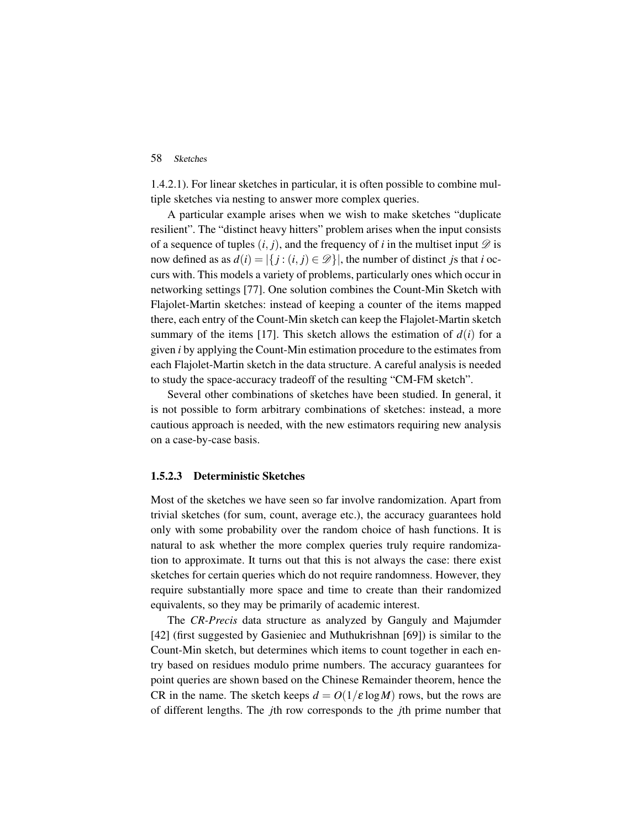1.4.2.1). For linear sketches in particular, it is often possible to combine multiple sketches via nesting to answer more complex queries.

A particular example arises when we wish to make sketches "duplicate resilient". The "distinct heavy hitters" problem arises when the input consists of a sequence of tuples  $(i, j)$ , and the frequency of *i* in the multiset input  $\mathscr D$  is now defined as as  $d(i) = |\{j : (i, j) \in \mathcal{D}\}\}|$ , the number of distinct *js* that *i* occurs with. This models a variety of problems, particularly ones which occur in networking settings [77]. One solution combines the Count-Min Sketch with Flajolet-Martin sketches: instead of keeping a counter of the items mapped there, each entry of the Count-Min sketch can keep the Flajolet-Martin sketch summary of the items [17]. This sketch allows the estimation of  $d(i)$  for a given *i* by applying the Count-Min estimation procedure to the estimates from each Flajolet-Martin sketch in the data structure. A careful analysis is needed to study the space-accuracy tradeoff of the resulting "CM-FM sketch".

Several other combinations of sketches have been studied. In general, it is not possible to form arbitrary combinations of sketches: instead, a more cautious approach is needed, with the new estimators requiring new analysis on a case-by-case basis.

#### 1.5.2.3 Deterministic Sketches

Most of the sketches we have seen so far involve randomization. Apart from trivial sketches (for sum, count, average etc.), the accuracy guarantees hold only with some probability over the random choice of hash functions. It is natural to ask whether the more complex queries truly require randomization to approximate. It turns out that this is not always the case: there exist sketches for certain queries which do not require randomness. However, they require substantially more space and time to create than their randomized equivalents, so they may be primarily of academic interest.

The *CR-Precis* data structure as analyzed by Ganguly and Majumder [42] (first suggested by Gasieniec and Muthukrishnan [69]) is similar to the Count-Min sketch, but determines which items to count together in each entry based on residues modulo prime numbers. The accuracy guarantees for point queries are shown based on the Chinese Remainder theorem, hence the CR in the name. The sketch keeps  $d = O(1/\varepsilon \log M)$  rows, but the rows are of different lengths. The *j*th row corresponds to the *j*th prime number that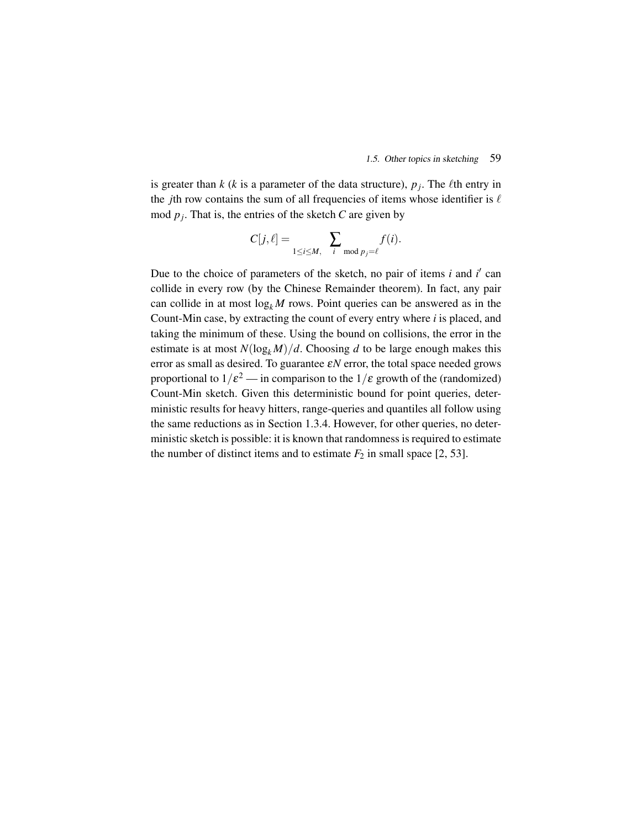#### 1.5. Other topics in sketching 59

is greater than  $k$  ( $k$  is a parameter of the data structure),  $p_j$ . The  $\ell$ th entry in the *j*th row contains the sum of all frequencies of items whose identifier is  $\ell$ mod *p<sup>j</sup>* . That is, the entries of the sketch *C* are given by

$$
C[j,\ell] = \sum_{1 \leq i \leq M, \quad i \mod p_j = \ell} f(i).
$$

Due to the choice of parameters of the sketch, no pair of items  $i$  and  $i'$  can collide in every row (by the Chinese Remainder theorem). In fact, any pair can collide in at most  $log_k M$  rows. Point queries can be answered as in the Count-Min case, by extracting the count of every entry where *i* is placed, and taking the minimum of these. Using the bound on collisions, the error in the estimate is at most  $N(\log_k M)/d$ . Choosing *d* to be large enough makes this error as small as desired. To guarantee ε*N* error, the total space needed grows proportional to  $1/\varepsilon^2$  — in comparison to the  $1/\varepsilon$  growth of the (randomized) Count-Min sketch. Given this deterministic bound for point queries, deterministic results for heavy hitters, range-queries and quantiles all follow using the same reductions as in Section 1.3.4. However, for other queries, no deterministic sketch is possible: it is known that randomness is required to estimate the number of distinct items and to estimate  $F_2$  in small space [2, 53].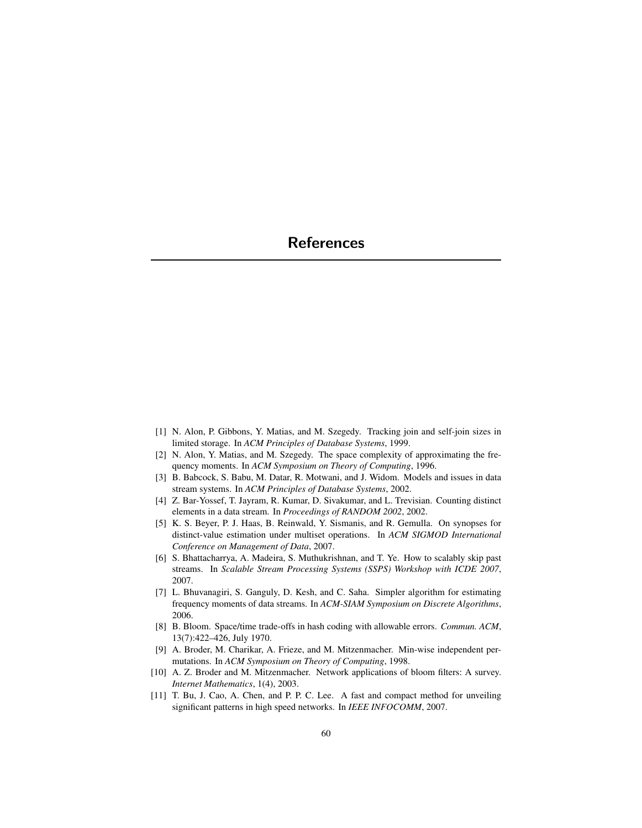# **References**

- [1] N. Alon, P. Gibbons, Y. Matias, and M. Szegedy. Tracking join and self-join sizes in limited storage. In *ACM Principles of Database Systems*, 1999.
- [2] N. Alon, Y. Matias, and M. Szegedy. The space complexity of approximating the frequency moments. In *ACM Symposium on Theory of Computing*, 1996.
- [3] B. Babcock, S. Babu, M. Datar, R. Motwani, and J. Widom. Models and issues in data stream systems. In *ACM Principles of Database Systems*, 2002.
- [4] Z. Bar-Yossef, T. Jayram, R. Kumar, D. Sivakumar, and L. Trevisian. Counting distinct elements in a data stream. In *Proceedings of RANDOM 2002*, 2002.
- [5] K. S. Beyer, P. J. Haas, B. Reinwald, Y. Sismanis, and R. Gemulla. On synopses for distinct-value estimation under multiset operations. In *ACM SIGMOD International Conference on Management of Data*, 2007.
- [6] S. Bhattacharrya, A. Madeira, S. Muthukrishnan, and T. Ye. How to scalably skip past streams. In *Scalable Stream Processing Systems (SSPS) Workshop with ICDE 2007*, 2007.
- [7] L. Bhuvanagiri, S. Ganguly, D. Kesh, and C. Saha. Simpler algorithm for estimating frequency moments of data streams. In *ACM-SIAM Symposium on Discrete Algorithms*, 2006.
- [8] B. Bloom. Space/time trade-offs in hash coding with allowable errors. *Commun. ACM*, 13(7):422–426, July 1970.
- [9] A. Broder, M. Charikar, A. Frieze, and M. Mitzenmacher. Min-wise independent permutations. In *ACM Symposium on Theory of Computing*, 1998.
- [10] A. Z. Broder and M. Mitzenmacher. Network applications of bloom filters: A survey. *Internet Mathematics*, 1(4), 2003.
- [11] T. Bu, J. Cao, A. Chen, and P. P. C. Lee. A fast and compact method for unveiling significant patterns in high speed networks. In *IEEE INFOCOMM*, 2007.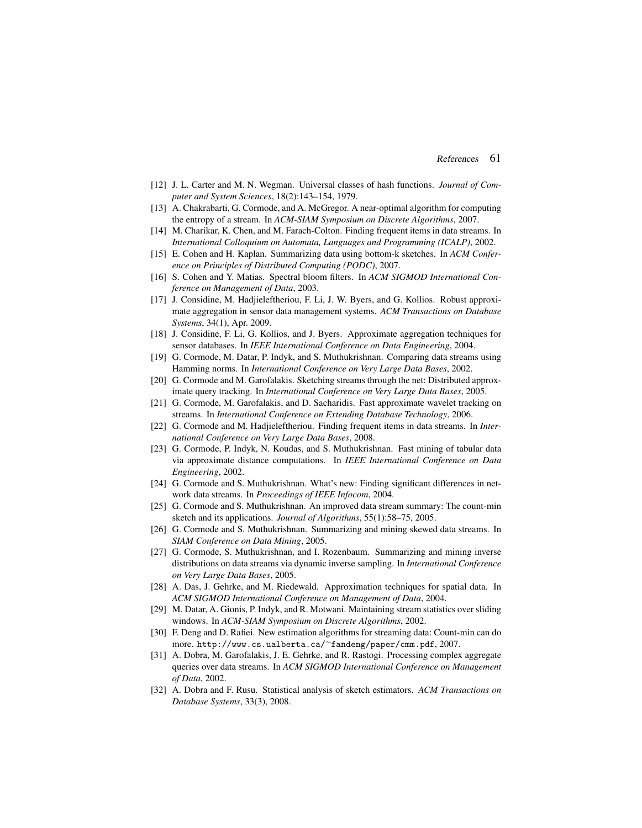- [12] J. L. Carter and M. N. Wegman. Universal classes of hash functions. *Journal of Computer and System Sciences*, 18(2):143–154, 1979.
- [13] A. Chakrabarti, G. Cormode, and A. McGregor. A near-optimal algorithm for computing the entropy of a stream. In *ACM-SIAM Symposium on Discrete Algorithms*, 2007.
- [14] M. Charikar, K. Chen, and M. Farach-Colton. Finding frequent items in data streams. In *International Colloquium on Automata, Languages and Programming (ICALP)*, 2002.
- [15] E. Cohen and H. Kaplan. Summarizing data using bottom-k sketches. In *ACM Conference on Principles of Distributed Computing (PODC)*, 2007.
- [16] S. Cohen and Y. Matias. Spectral bloom filters. In *ACM SIGMOD International Conference on Management of Data*, 2003.
- [17] J. Considine, M. Hadjieleftheriou, F. Li, J. W. Byers, and G. Kollios. Robust approximate aggregation in sensor data management systems. *ACM Transactions on Database Systems*, 34(1), Apr. 2009.
- [18] J. Considine, F. Li, G. Kollios, and J. Byers. Approximate aggregation techniques for sensor databases. In *IEEE International Conference on Data Engineering*, 2004.
- [19] G. Cormode, M. Datar, P. Indyk, and S. Muthukrishnan. Comparing data streams using Hamming norms. In *International Conference on Very Large Data Bases*, 2002.
- [20] G. Cormode and M. Garofalakis. Sketching streams through the net: Distributed approximate query tracking. In *International Conference on Very Large Data Bases*, 2005.
- [21] G. Cormode, M. Garofalakis, and D. Sacharidis. Fast approximate wavelet tracking on streams. In *International Conference on Extending Database Technology*, 2006.
- [22] G. Cormode and M. Hadjieleftheriou. Finding frequent items in data streams. In *International Conference on Very Large Data Bases*, 2008.
- [23] G. Cormode, P. Indyk, N. Koudas, and S. Muthukrishnan. Fast mining of tabular data via approximate distance computations. In *IEEE International Conference on Data Engineering*, 2002.
- [24] G. Cormode and S. Muthukrishnan. What's new: Finding significant differences in network data streams. In *Proceedings of IEEE Infocom*, 2004.
- [25] G. Cormode and S. Muthukrishnan. An improved data stream summary: The count-min sketch and its applications. *Journal of Algorithms*, 55(1):58–75, 2005.
- [26] G. Cormode and S. Muthukrishnan. Summarizing and mining skewed data streams. In *SIAM Conference on Data Mining*, 2005.
- [27] G. Cormode, S. Muthukrishnan, and I. Rozenbaum. Summarizing and mining inverse distributions on data streams via dynamic inverse sampling. In *International Conference on Very Large Data Bases*, 2005.
- [28] A. Das, J. Gehrke, and M. Riedewald. Approximation techniques for spatial data. In *ACM SIGMOD International Conference on Management of Data*, 2004.
- [29] M. Datar, A. Gionis, P. Indyk, and R. Motwani. Maintaining stream statistics over sliding windows. In *ACM-SIAM Symposium on Discrete Algorithms*, 2002.
- [30] F. Deng and D. Rafiei. New estimation algorithms for streaming data: Count-min can do more. http://www.cs.ualberta.ca/∼fandeng/paper/cmm.pdf, 2007.
- [31] A. Dobra, M. Garofalakis, J. E. Gehrke, and R. Rastogi. Processing complex aggregate queries over data streams. In *ACM SIGMOD International Conference on Management of Data*, 2002.
- [32] A. Dobra and F. Rusu. Statistical analysis of sketch estimators. *ACM Transactions on Database Systems*, 33(3), 2008.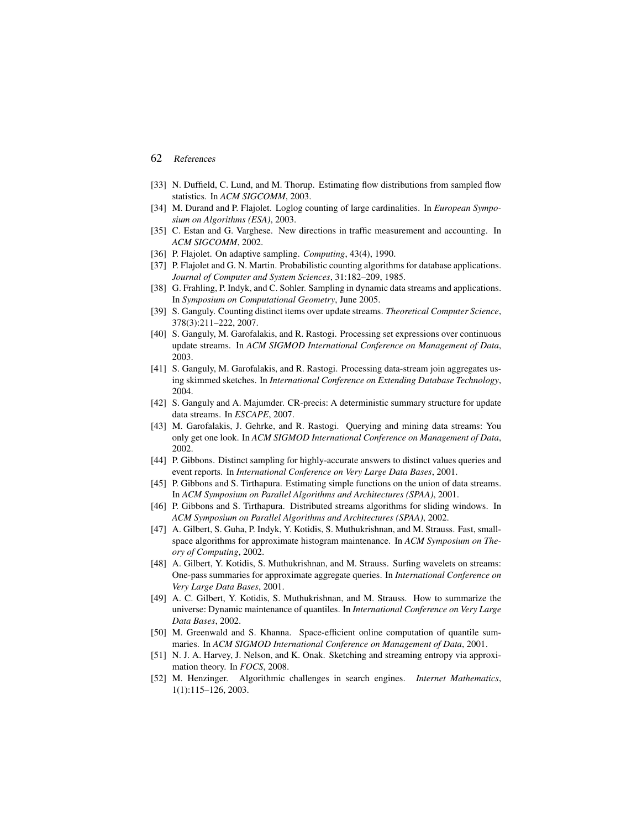- 62 References
- [33] N. Duffield, C. Lund, and M. Thorup. Estimating flow distributions from sampled flow statistics. In *ACM SIGCOMM*, 2003.
- [34] M. Durand and P. Flajolet. Loglog counting of large cardinalities. In *European Symposium on Algorithms (ESA)*, 2003.
- [35] C. Estan and G. Varghese. New directions in traffic measurement and accounting. In *ACM SIGCOMM*, 2002.
- [36] P. Flajolet. On adaptive sampling. *Computing*, 43(4), 1990.
- [37] P. Flajolet and G. N. Martin. Probabilistic counting algorithms for database applications. *Journal of Computer and System Sciences*, 31:182–209, 1985.
- [38] G. Frahling, P. Indyk, and C. Sohler. Sampling in dynamic data streams and applications. In *Symposium on Computational Geometry*, June 2005.
- [39] S. Ganguly. Counting distinct items over update streams. *Theoretical Computer Science*, 378(3):211–222, 2007.
- [40] S. Ganguly, M. Garofalakis, and R. Rastogi. Processing set expressions over continuous update streams. In *ACM SIGMOD International Conference on Management of Data*, 2003.
- [41] S. Ganguly, M. Garofalakis, and R. Rastogi. Processing data-stream join aggregates using skimmed sketches. In *International Conference on Extending Database Technology*, 2004.
- [42] S. Ganguly and A. Majumder. CR-precis: A deterministic summary structure for update data streams. In *ESCAPE*, 2007.
- [43] M. Garofalakis, J. Gehrke, and R. Rastogi. Querying and mining data streams: You only get one look. In *ACM SIGMOD International Conference on Management of Data*, 2002.
- [44] P. Gibbons. Distinct sampling for highly-accurate answers to distinct values queries and event reports. In *International Conference on Very Large Data Bases*, 2001.
- [45] P. Gibbons and S. Tirthapura. Estimating simple functions on the union of data streams. In *ACM Symposium on Parallel Algorithms and Architectures (SPAA)*, 2001.
- [46] P. Gibbons and S. Tirthapura. Distributed streams algorithms for sliding windows. In *ACM Symposium on Parallel Algorithms and Architectures (SPAA)*, 2002.
- [47] A. Gilbert, S. Guha, P. Indyk, Y. Kotidis, S. Muthukrishnan, and M. Strauss. Fast, smallspace algorithms for approximate histogram maintenance. In *ACM Symposium on Theory of Computing*, 2002.
- [48] A. Gilbert, Y. Kotidis, S. Muthukrishnan, and M. Strauss. Surfing wavelets on streams: One-pass summaries for approximate aggregate queries. In *International Conference on Very Large Data Bases*, 2001.
- [49] A. C. Gilbert, Y. Kotidis, S. Muthukrishnan, and M. Strauss. How to summarize the universe: Dynamic maintenance of quantiles. In *International Conference on Very Large Data Bases*, 2002.
- [50] M. Greenwald and S. Khanna. Space-efficient online computation of quantile summaries. In *ACM SIGMOD International Conference on Management of Data*, 2001.
- [51] N. J. A. Harvey, J. Nelson, and K. Onak. Sketching and streaming entropy via approximation theory. In *FOCS*, 2008.
- [52] M. Henzinger. Algorithmic challenges in search engines. *Internet Mathematics*, 1(1):115–126, 2003.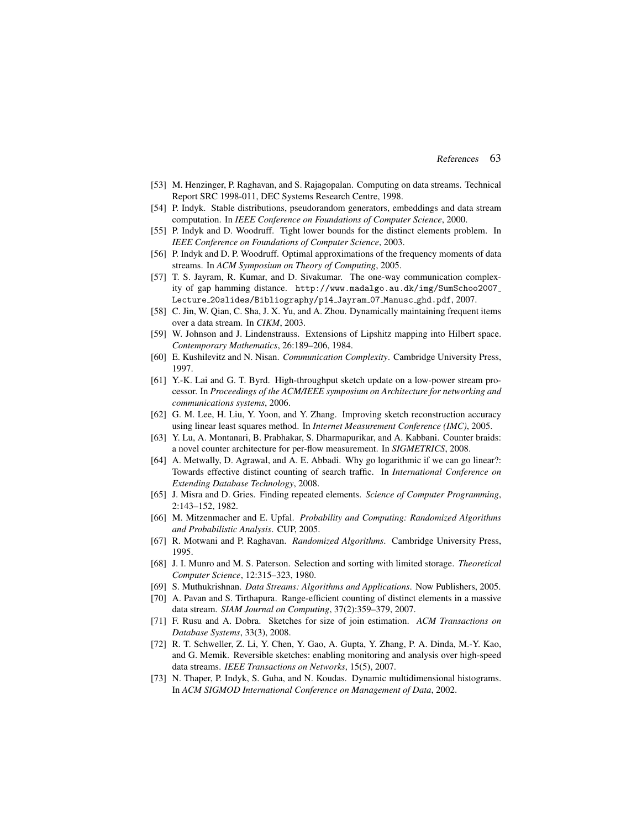- [53] M. Henzinger, P. Raghavan, and S. Rajagopalan. Computing on data streams. Technical Report SRC 1998-011, DEC Systems Research Centre, 1998.
- [54] P. Indyk. Stable distributions, pseudorandom generators, embeddings and data stream computation. In *IEEE Conference on Foundations of Computer Science*, 2000.
- [55] P. Indyk and D. Woodruff. Tight lower bounds for the distinct elements problem. In *IEEE Conference on Foundations of Computer Science*, 2003.
- [56] P. Indyk and D. P. Woodruff. Optimal approximations of the frequency moments of data streams. In *ACM Symposium on Theory of Computing*, 2005.
- [57] T. S. Jayram, R. Kumar, and D. Sivakumar. The one-way communication complexity of gap hamming distance. http://www.madalgo.au.dk/img/SumSchoo2007 Lecture 20slides/Bibliography/p14 Jayram 07 Manusc ghd.pdf, 2007.
- [58] C. Jin, W. Qian, C. Sha, J. X. Yu, and A. Zhou. Dynamically maintaining frequent items over a data stream. In *CIKM*, 2003.
- [59] W. Johnson and J. Lindenstrauss. Extensions of Lipshitz mapping into Hilbert space. *Contemporary Mathematics*, 26:189–206, 1984.
- [60] E. Kushilevitz and N. Nisan. *Communication Complexity*. Cambridge University Press, 1997.
- [61] Y.-K. Lai and G. T. Byrd. High-throughput sketch update on a low-power stream processor. In *Proceedings of the ACM/IEEE symposium on Architecture for networking and communications systems*, 2006.
- [62] G. M. Lee, H. Liu, Y. Yoon, and Y. Zhang. Improving sketch reconstruction accuracy using linear least squares method. In *Internet Measurement Conference (IMC)*, 2005.
- [63] Y. Lu, A. Montanari, B. Prabhakar, S. Dharmapurikar, and A. Kabbani. Counter braids: a novel counter architecture for per-flow measurement. In *SIGMETRICS*, 2008.
- [64] A. Metwally, D. Agrawal, and A. E. Abbadi. Why go logarithmic if we can go linear?: Towards effective distinct counting of search traffic. In *International Conference on Extending Database Technology*, 2008.
- [65] J. Misra and D. Gries. Finding repeated elements. *Science of Computer Programming*, 2:143–152, 1982.
- [66] M. Mitzenmacher and E. Upfal. *Probability and Computing: Randomized Algorithms and Probabilistic Analysis*. CUP, 2005.
- [67] R. Motwani and P. Raghavan. *Randomized Algorithms*. Cambridge University Press, 1995.
- [68] J. I. Munro and M. S. Paterson. Selection and sorting with limited storage. *Theoretical Computer Science*, 12:315–323, 1980.
- [69] S. Muthukrishnan. *Data Streams: Algorithms and Applications*. Now Publishers, 2005.
- [70] A. Pavan and S. Tirthapura. Range-efficient counting of distinct elements in a massive data stream. *SIAM Journal on Computing*, 37(2):359–379, 2007.
- [71] F. Rusu and A. Dobra. Sketches for size of join estimation. *ACM Transactions on Database Systems*, 33(3), 2008.
- [72] R. T. Schweller, Z. Li, Y. Chen, Y. Gao, A. Gupta, Y. Zhang, P. A. Dinda, M.-Y. Kao, and G. Memik. Reversible sketches: enabling monitoring and analysis over high-speed data streams. *IEEE Transactions on Networks*, 15(5), 2007.
- [73] N. Thaper, P. Indyk, S. Guha, and N. Koudas. Dynamic multidimensional histograms. In *ACM SIGMOD International Conference on Management of Data*, 2002.